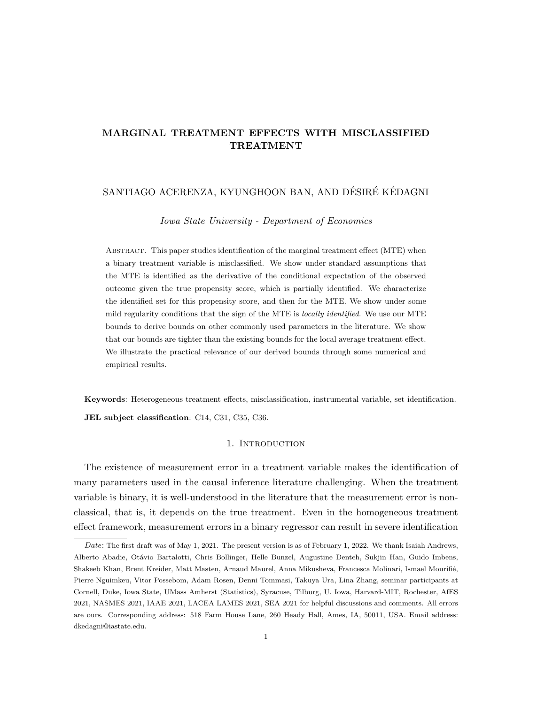# MARGINAL TREATMENT EFFECTS WITH MISCLASSIFIED TREATMENT

# SANTIAGO ACERENZA, KYUNGHOON BAN, AND DÉSIRÉ KÉDAGNI

Iowa State University - Department of Economics

ABSTRACT. This paper studies identification of the marginal treatment effect (MTE) when a binary treatment variable is misclassified. We show under standard assumptions that the MTE is identified as the derivative of the conditional expectation of the observed outcome given the true propensity score, which is partially identified. We characterize the identified set for this propensity score, and then for the MTE. We show under some mild regularity conditions that the sign of the MTE is *locally identified*. We use our MTE bounds to derive bounds on other commonly used parameters in the literature. We show that our bounds are tighter than the existing bounds for the local average treatment effect. We illustrate the practical relevance of our derived bounds through some numerical and empirical results.

Keywords: Heterogeneous treatment effects, misclassification, instrumental variable, set identification. JEL subject classification: C14, C31, C35, C36.

### 1. INTRODUCTION

The existence of measurement error in a treatment variable makes the identification of many parameters used in the causal inference literature challenging. When the treatment variable is binary, it is well-understood in the literature that the measurement error is nonclassical, that is, it depends on the true treatment. Even in the homogeneous treatment effect framework, measurement errors in a binary regressor can result in severe identification

Date: The first draft was of May 1, 2021. The present version is as of February 1, 2022. We thank Isaiah Andrews, Alberto Abadie, Otávio Bartalotti, Chris Bollinger, Helle Bunzel, Augustine Denteh, Sukjin Han, Guido Imbens, Shakeeb Khan, Brent Kreider, Matt Masten, Arnaud Maurel, Anna Mikusheva, Francesca Molinari, Ismael Mourifié, Pierre Nguimkeu, Vitor Possebom, Adam Rosen, Denni Tommasi, Takuya Ura, Lina Zhang, seminar participants at Cornell, Duke, Iowa State, UMass Amherst (Statistics), Syracuse, Tilburg, U. Iowa, Harvard-MIT, Rochester, AfES 2021, NASMES 2021, IAAE 2021, LACEA LAMES 2021, SEA 2021 for helpful discussions and comments. All errors are ours. Corresponding address: 518 Farm House Lane, 260 Heady Hall, Ames, IA, 50011, USA. Email address: dkedagni@iastate.edu.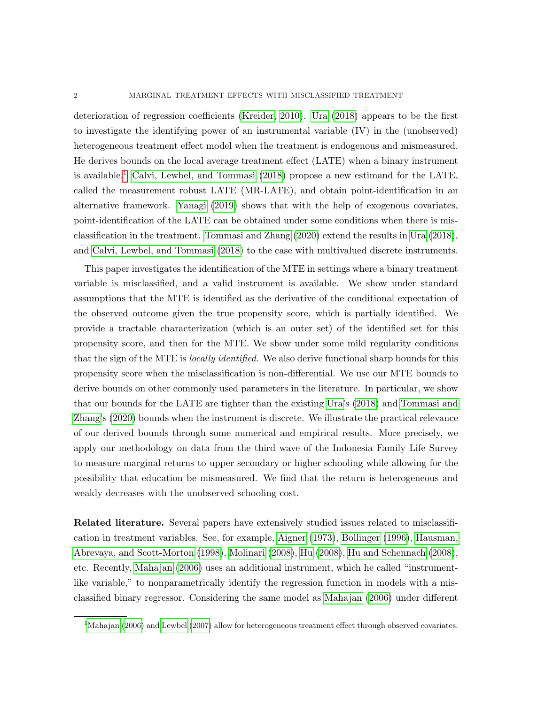deterioration of regression coefficients [\(Kreider, 2010\)](#page-58-0). [Ura](#page-59-0) [\(2018\)](#page-59-0) appears to be the first to investigate the identifying power of an instrumental variable (IV) in the (unobserved) heterogeneous treatment effect model when the treatment is endogenous and mismeasured. He derives bounds on the local average treatment effect (LATE) when a binary instrument is available.[1](#page-1-0) [Calvi, Lewbel, and Tommasi](#page-57-0) [\(2018\)](#page-57-0) propose a new estimand for the LATE, called the measurement robust LATE (MR-LATE), and obtain point-identification in an alternative framework. [Yanagi](#page-60-0) [\(2019\)](#page-60-0) shows that with the help of exogenous covariates, point-identification of the LATE can be obtained under some conditions when there is misclassification in the treatment. [Tommasi and Zhang](#page-59-1) [\(2020\)](#page-59-1) extend the results in [Ura](#page-59-0) [\(2018\)](#page-59-0), and [Calvi, Lewbel, and Tommasi](#page-57-0) [\(2018\)](#page-57-0) to the case with multivalued discrete instruments.

This paper investigates the identification of the MTE in settings where a binary treatment variable is misclassified, and a valid instrument is available. We show under standard assumptions that the MTE is identified as the derivative of the conditional expectation of the observed outcome given the true propensity score, which is partially identified. We provide a tractable characterization (which is an outer set) of the identified set for this propensity score, and then for the MTE. We show under some mild regularity conditions that the sign of the MTE is locally identified. We also derive functional sharp bounds for this propensity score when the misclassification is non-differential. We use our MTE bounds to derive bounds on other commonly used parameters in the literature. In particular, we show that our bounds for the LATE are tighter than the existing [Ura'](#page-59-0)s [\(2018\)](#page-59-0) and [Tommasi and](#page-59-1) [Zhang'](#page-59-1)s [\(2020\)](#page-59-1) bounds when the instrument is discrete. We illustrate the practical relevance of our derived bounds through some numerical and empirical results. More precisely, we apply our methodology on data from the third wave of the Indonesia Family Life Survey to measure marginal returns to upper secondary or higher schooling while allowing for the possibility that education be mismeasured. We find that the return is heterogeneous and weakly decreases with the unobserved schooling cost.

Related literature. Several papers have extensively studied issues related to misclassification in treatment variables. See, for example, [Aigner](#page-57-1) [\(1973\)](#page-57-1), [Bollinger](#page-57-2) [\(1996\)](#page-57-2), [Hausman,](#page-58-1) [Abrevaya, and Scott-Morton](#page-58-1) [\(1998\)](#page-58-1), [Molinari](#page-59-2) [\(2008\)](#page-59-2), [Hu](#page-58-2) [\(2008\)](#page-58-2), [Hu and Schennach](#page-58-3) [\(2008\)](#page-58-3), etc. Recently, [Mahajan](#page-59-3) [\(2006\)](#page-59-3) uses an additional instrument, which he called "instrumentlike variable," to nonparametrically identify the regression function in models with a misclassified binary regressor. Considering the same model as [Mahajan](#page-59-3) [\(2006\)](#page-59-3) under different

<span id="page-1-0"></span><sup>&</sup>lt;sup>1</sup>[Mahajan](#page-59-3) [\(2006\)](#page-59-3) and [Lewbel](#page-59-4) [\(2007\)](#page-59-4) allow for heterogeneous treatment effect through observed covariates.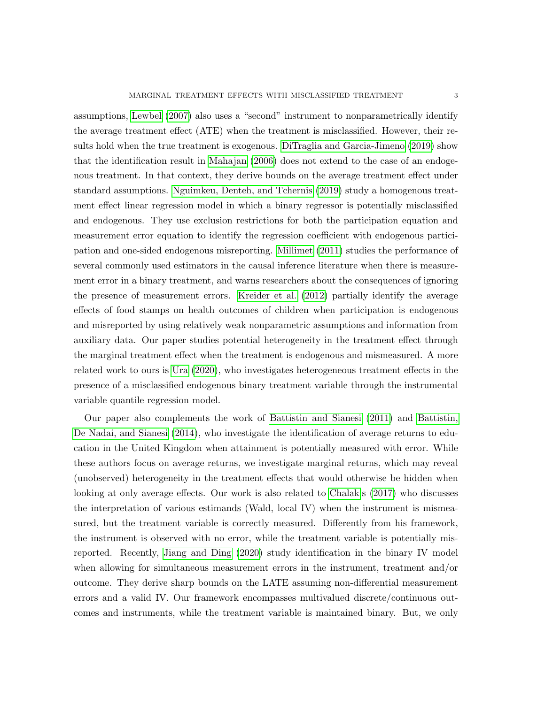assumptions, [Lewbel](#page-59-4) [\(2007\)](#page-59-4) also uses a "second" instrument to nonparametrically identify the average treatment effect (ATE) when the treatment is misclassified. However, their results hold when the true treatment is exogenous. [DiTraglia and Garcia-Jimeno](#page-58-4) [\(2019\)](#page-58-4) show that the identification result in [Mahajan](#page-59-3) [\(2006\)](#page-59-3) does not extend to the case of an endogenous treatment. In that context, they derive bounds on the average treatment effect under standard assumptions. [Nguimkeu, Denteh, and Tchernis](#page-59-5) [\(2019\)](#page-59-5) study a homogenous treatment effect linear regression model in which a binary regressor is potentially misclassified and endogenous. They use exclusion restrictions for both the participation equation and measurement error equation to identify the regression coefficient with endogenous participation and one-sided endogenous misreporting. [Millimet](#page-59-6) [\(2011\)](#page-59-6) studies the performance of several commonly used estimators in the causal inference literature when there is measurement error in a binary treatment, and warns researchers about the consequences of ignoring the presence of measurement errors. [Kreider et al.](#page-59-7) [\(2012\)](#page-59-7) partially identify the average effects of food stamps on health outcomes of children when participation is endogenous and misreported by using relatively weak nonparametric assumptions and information from auxiliary data. Our paper studies potential heterogeneity in the treatment effect through the marginal treatment effect when the treatment is endogenous and mismeasured. A more related work to ours is [Ura](#page-60-1) [\(2020\)](#page-60-1), who investigates heterogeneous treatment effects in the presence of a misclassified endogenous binary treatment variable through the instrumental variable quantile regression model.

Our paper also complements the work of [Battistin and Sianesi](#page-57-3) [\(2011\)](#page-57-3) and [Battistin,](#page-57-4) [De Nadai, and Sianesi](#page-57-4) [\(2014\)](#page-57-4), who investigate the identification of average returns to education in the United Kingdom when attainment is potentially measured with error. While these authors focus on average returns, we investigate marginal returns, which may reveal (unobserved) heterogeneity in the treatment effects that would otherwise be hidden when looking at only average effects. Our work is also related to [Chalak'](#page-58-5)s [\(2017\)](#page-58-5) who discusses the interpretation of various estimands (Wald, local IV) when the instrument is mismeasured, but the treatment variable is correctly measured. Differently from his framework, the instrument is observed with no error, while the treatment variable is potentially misreported. Recently, [Jiang and Ding](#page-58-6) [\(2020\)](#page-58-6) study identification in the binary IV model when allowing for simultaneous measurement errors in the instrument, treatment and/or outcome. They derive sharp bounds on the LATE assuming non-differential measurement errors and a valid IV. Our framework encompasses multivalued discrete/continuous outcomes and instruments, while the treatment variable is maintained binary. But, we only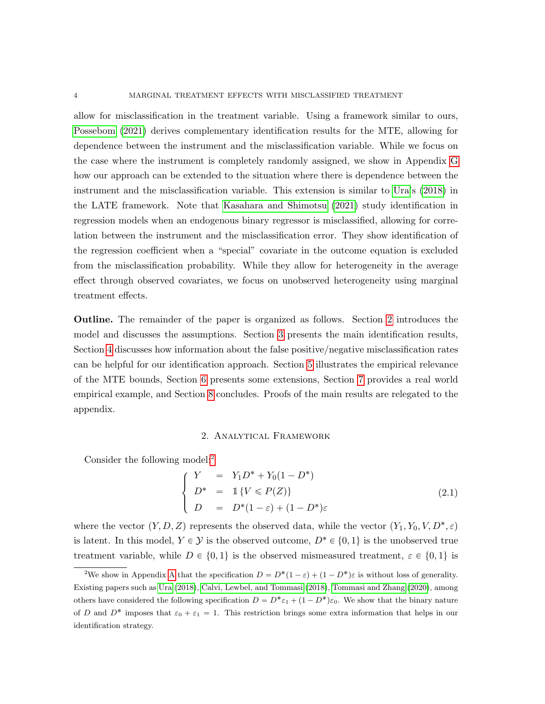allow for misclassification in the treatment variable. Using a framework similar to ours, [Possebom](#page-59-8) [\(2021\)](#page-59-8) derives complementary identification results for the MTE, allowing for dependence between the instrument and the misclassification variable. While we focus on the case where the instrument is completely randomly assigned, we show in Appendix [G](#page-40-0) how our approach can be extended to the situation where there is dependence between the instrument and the misclassification variable. This extension is similar to [Ura'](#page-59-0)s [\(2018\)](#page-59-0) in the LATE framework. Note that [Kasahara and Shimotsu](#page-58-7) [\(2021\)](#page-58-7) study identification in regression models when an endogenous binary regressor is misclassified, allowing for correlation between the instrument and the misclassification error. They show identification of the regression coefficient when a "special" covariate in the outcome equation is excluded from the misclassification probability. While they allow for heterogeneity in the average effect through observed covariates, we focus on unobserved heterogeneity using marginal treatment effects.

Outline. The remainder of the paper is organized as follows. Section [2](#page-3-0) introduces the model and discusses the assumptions. Section [3](#page-6-0) presents the main identification results, Section [4](#page-18-0) discusses how information about the false positive/negative misclassification rates can be helpful for our identification approach. Section [5](#page-22-0) illustrates the empirical relevance of the MTE bounds, Section [6](#page-22-1) presents some extensions, Section [7](#page-25-0) provides a real world empirical example, and Section [8](#page-33-0) concludes. Proofs of the main results are relegated to the appendix.

### 2. Analytical Framework

<span id="page-3-0"></span>Consider the following model:<sup>[2](#page-3-1)</sup>

<span id="page-3-2"></span>
$$
\begin{cases}\nY = Y_1 D^* + Y_0 (1 - D^*) \\
D^* = 1 \{ V \le P(Z) \} \\
D = D^* (1 - \varepsilon) + (1 - D^*) \varepsilon\n\end{cases}
$$
\n(2.1)

where the vector  $(Y, D, Z)$  represents the observed data, while the vector  $(Y_1, Y_0, V, D^*, \varepsilon)$ is latent. In this model,  $Y \in \mathcal{Y}$  is the observed outcome,  $D^* \in \{0, 1\}$  is the unobserved true treatment variable, while  $D \in \{0, 1\}$  is the observed mismeasured treatment,  $\varepsilon \in \{0, 1\}$  is

<span id="page-3-1"></span><sup>&</sup>lt;sup>2</sup>We show in [A](#page-34-0)ppendix A that the specification  $D = D^*(1 - \varepsilon) + (1 - D^*)\varepsilon$  is without loss of generality. Existing papers such as [Ura](#page-59-0) [\(2018\)](#page-59-0), [Calvi, Lewbel, and Tommasi](#page-57-0) [\(2018\)](#page-57-0), [Tommasi and Zhang](#page-59-1) [\(2020\)](#page-59-1), among others have considered the following specification  $D = D^* \varepsilon_1 + (1 - D^*) \varepsilon_0$ . We show that the binary nature of D and  $D^*$  imposes that  $\varepsilon_0 + \varepsilon_1 = 1$ . This restriction brings some extra information that helps in our identification strategy.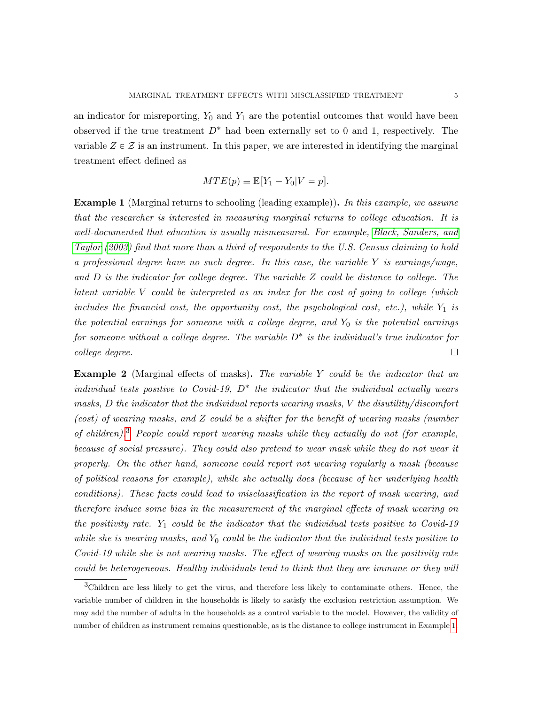an indicator for misreporting,  $Y_0$  and  $Y_1$  are the potential outcomes that would have been observed if the true treatment  $D^*$  had been externally set to 0 and 1, respectively. The variable  $Z \in \mathcal{Z}$  is an instrument. In this paper, we are interested in identifying the marginal treatment effect defined as

$$
MTE(p) \equiv \mathbb{E}[Y_1 - Y_0 | V = p].
$$

<span id="page-4-1"></span>Example 1 (Marginal returns to schooling (leading example)). In this example, we assume that the researcher is interested in measuring marginal returns to college education. It is well-documented that education is usually mismeasured. For example, [Black, Sanders, and](#page-57-5) [Taylor](#page-57-5) [\(2003\)](#page-57-5) find that more than a third of respondents to the U.S. Census claiming to hold a professional degree have no such degree. In this case, the variable Y is earnings/wage, and D is the indicator for college degree. The variable Z could be distance to college. The latent variable V could be interpreted as an index for the cost of going to college (which includes the financial cost, the opportunity cost, the psychological cost, etc.), while  $Y_1$  is the potential earnings for someone with a college degree, and  $Y_0$  is the potential earnings for someone without a college degree. The variable  $D^*$  is the individual's true indicator for college degree.  $\Box$ 

Example 2 (Marginal effects of masks). The variable Y could be the indicator that an individual tests positive to Covid-19,  $D^*$  the indicator that the individual actually wears masks, D the indicator that the individual reports wearing masks, V the disutility/discomfort (cost) of wearing masks, and Z could be a shifter for the benefit of wearing masks (number of children).<sup>[3](#page-4-0)</sup> People could report wearing masks while they actually do not (for example, because of social pressure). They could also pretend to wear mask while they do not wear it properly. On the other hand, someone could report not wearing regularly a mask (because of political reasons for example), while she actually does (because of her underlying health conditions). These facts could lead to misclassification in the report of mask wearing, and therefore induce some bias in the measurement of the marginal effects of mask wearing on the positivity rate.  $Y_1$  could be the indicator that the individual tests positive to Covid-19 while she is wearing masks, and  $Y_0$  could be the indicator that the individual tests positive to Covid-19 while she is not wearing masks. The effect of wearing masks on the positivity rate could be heterogeneous. Healthy individuals tend to think that they are immune or they will

<span id="page-4-0"></span><sup>3</sup>Children are less likely to get the virus, and therefore less likely to contaminate others. Hence, the variable number of children in the households is likely to satisfy the exclusion restriction assumption. We may add the number of adults in the households as a control variable to the model. However, the validity of number of children as instrument remains questionable, as is the distance to college instrument in Example [1.](#page-4-1)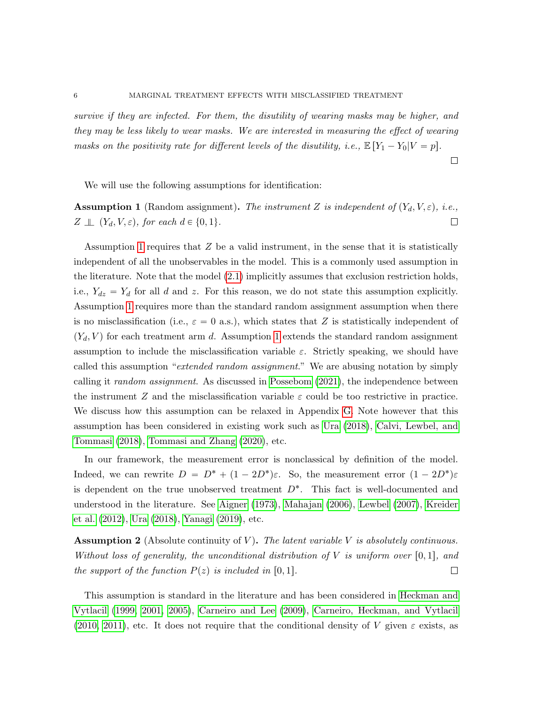survive if they are infected. For them, the disutility of wearing masks may be higher, and they may be less likely to wear masks. We are interested in measuring the effect of wearing masks on the positivity rate for different levels of the disutility, i.e.,  $\mathbb{E}[Y_1 - Y_0|V = p]$ .

 $\Box$ 

We will use the following assumptions for identification:

<span id="page-5-0"></span>**Assumption 1** (Random assignment). The instrument Z is independent of  $(Y_d, V, \varepsilon)$ , i.e.,  $\Box$  $Z \perp\!\!\!\perp (Y_d, V, \varepsilon)$ , for each  $d \in \{0, 1\}$ .

Assumption [1](#page-5-0) requires that  $Z$  be a valid instrument, in the sense that it is statistically independent of all the unobservables in the model. This is a commonly used assumption in the literature. Note that the model [\(2.1\)](#page-3-2) implicitly assumes that exclusion restriction holds, i.e.,  $Y_{dz} = Y_d$  for all d and z. For this reason, we do not state this assumption explicitly. Assumption [1](#page-5-0) requires more than the standard random assignment assumption when there is no misclassification (i.e.,  $\varepsilon = 0$  a.s.), which states that Z is statistically independent of  $(Y_d, V)$  for each treatment arm d. Assumption [1](#page-5-0) extends the standard random assignment assumption to include the misclassification variable  $\varepsilon$ . Strictly speaking, we should have called this assumption "extended random assignment." We are abusing notation by simply calling it *random assignment*. As discussed in [Possebom](#page-59-8) [\(2021\)](#page-59-8), the independence between the instrument Z and the misclassification variable  $\varepsilon$  could be too restrictive in practice. We discuss how this assumption can be relaxed in Appendix [G.](#page-40-0) Note however that this assumption has been considered in existing work such as [Ura](#page-59-0) [\(2018\)](#page-59-0), [Calvi, Lewbel, and](#page-57-0) [Tommasi](#page-57-0) [\(2018\)](#page-57-0), [Tommasi and Zhang](#page-59-1) [\(2020\)](#page-59-1), etc.

In our framework, the measurement error is nonclassical by definition of the model. Indeed, we can rewrite  $D = D^* + (1 - 2D^*)\varepsilon$ . So, the measurement error  $(1 - 2D^*)\varepsilon$ is dependent on the true unobserved treatment  $D^*$ . This fact is well-documented and understood in the literature. See [Aigner](#page-57-1) [\(1973\)](#page-57-1), [Mahajan](#page-59-3) [\(2006\)](#page-59-3), [Lewbel](#page-59-4) [\(2007\)](#page-59-4), [Kreider](#page-59-7) [et al.](#page-59-7) [\(2012\)](#page-59-7), [Ura](#page-59-0) [\(2018\)](#page-59-0), [Yanagi](#page-60-0) [\(2019\)](#page-60-0), etc.

<span id="page-5-1"></span>**Assumption 2** (Absolute continuity of V). The latent variable V is absolutely continuous. Without loss of generality, the unconditional distribution of V is uniform over  $[0, 1]$ , and the support of the function  $P(z)$  is included in [0, 1].  $\Box$ 

This assumption is standard in the literature and has been considered in [Heckman and](#page-58-8) [Vytlacil](#page-58-8) [\(1999,](#page-58-8) [2001,](#page-58-9) [2005\)](#page-58-10), [Carneiro and Lee](#page-57-6) [\(2009\)](#page-57-6), [Carneiro, Heckman, and Vytlacil](#page-57-7) [\(2010,](#page-57-7) [2011\)](#page-57-8), etc. It does not require that the conditional density of V given  $\varepsilon$  exists, as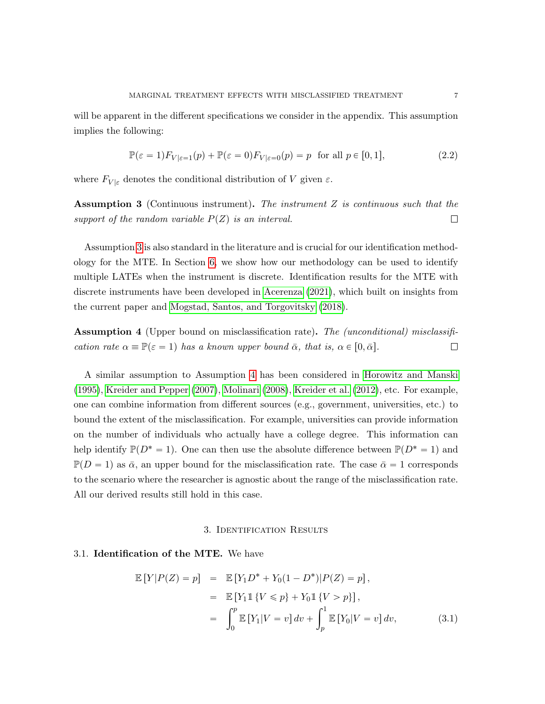will be apparent in the different specifications we consider in the appendix. This assumption implies the following:

<span id="page-6-3"></span>
$$
\mathbb{P}(\varepsilon = 1) F_{V|\varepsilon=1}(p) + \mathbb{P}(\varepsilon = 0) F_{V|\varepsilon=0}(p) = p \text{ for all } p \in [0, 1],
$$
\n(2.2)

where  $F_{V|\varepsilon}$  denotes the conditional distribution of V given  $\varepsilon$ .

<span id="page-6-1"></span>Assumption 3 (Continuous instrument). The instrument Z is continuous such that the support of the random variable  $P(Z)$  is an interval.  $\Box$ 

Assumption [3](#page-6-1) is also standard in the literature and is crucial for our identification methodology for the MTE. In Section [6,](#page-22-1) we show how our methodology can be used to identify multiple LATEs when the instrument is discrete. Identification results for the MTE with discrete instruments have been developed in [Acerenza](#page-57-9) [\(2021\)](#page-57-9), which built on insights from the current paper and [Mogstad, Santos, and Torgovitsky](#page-59-9) [\(2018\)](#page-59-9).

<span id="page-6-2"></span>**Assumption 4** (Upper bound on misclassification rate). The *(unconditional)* misclassification rate  $\alpha \equiv \mathbb{P}(\varepsilon = 1)$  has a known upper bound  $\bar{\alpha}$ , that is,  $\alpha \in [0, \bar{\alpha}]$ .  $\Box$ 

A similar assumption to Assumption [4](#page-6-2) has been considered in [Horowitz and Manski](#page-58-11) [\(1995\)](#page-58-11), [Kreider and Pepper](#page-58-12) [\(2007\)](#page-58-12), [Molinari](#page-59-2) [\(2008\)](#page-59-2), [Kreider et al.](#page-59-7) [\(2012\)](#page-59-7), etc. For example, one can combine information from different sources (e.g., government, universities, etc.) to bound the extent of the misclassification. For example, universities can provide information on the number of individuals who actually have a college degree. This information can help identify  $\mathbb{P}(D^* = 1)$ . One can then use the absolute difference between  $\mathbb{P}(D^* = 1)$  and  $\mathbb{P}(D = 1)$  as  $\bar{\alpha}$ , an upper bound for the misclassification rate. The case  $\bar{\alpha} = 1$  corresponds to the scenario where the researcher is agnostic about the range of the misclassification rate. All our derived results still hold in this case.

#### 3. Identification Results

### <span id="page-6-0"></span>3.1. Identification of the MTE. We have

<span id="page-6-4"></span>
$$
\mathbb{E}[Y|P(Z) = p] = \mathbb{E}[Y_1D^* + Y_0(1 - D^*)|P(Z) = p],
$$
  
\n
$$
= \mathbb{E}[Y_11\{V \le p\} + Y_01\{V > p\}],
$$
  
\n
$$
= \int_0^p \mathbb{E}[Y_1|V = v] dv + \int_p^1 \mathbb{E}[Y_0|V = v] dv,
$$
 (3.1)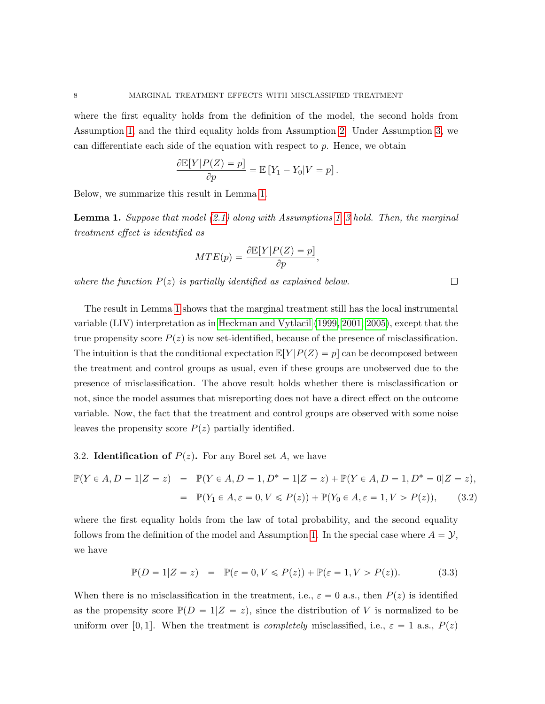where the first equality holds from the definition of the model, the second holds from Assumption [1,](#page-5-0) and the third equality holds from Assumption [2.](#page-5-1) Under Assumption [3,](#page-6-1) we can differentiate each side of the equation with respect to  $p$ . Hence, we obtain

$$
\frac{\partial \mathbb{E}[Y|P(Z) = p]}{\partial p} = \mathbb{E}[Y_1 - Y_0|V = p].
$$

Below, we summarize this result in Lemma [1.](#page-7-0)

<span id="page-7-0"></span>**Lemma 1.** Suppose that model  $(2.1)$  along with Assumptions [1–](#page-5-0)[3](#page-6-1) hold. Then, the marginal treatment effect is identified as

 $\Box$ 

$$
MTE(p) = \frac{\partial \mathbb{E}[Y|P(Z) = p]}{\partial p},
$$

where the function  $P(z)$  is partially identified as explained below.

The result in Lemma [1](#page-7-0) shows that the marginal treatment still has the local instrumental variable (LIV) interpretation as in [Heckman and Vytlacil](#page-58-8) [\(1999,](#page-58-8) [2001,](#page-58-9) [2005\)](#page-58-10), except that the true propensity score  $P(z)$  is now set-identified, because of the presence of misclassification. The intuition is that the conditional expectation  $\mathbb{E}[Y|P(Z) = p]$  can be decomposed between the treatment and control groups as usual, even if these groups are unobserved due to the presence of misclassification. The above result holds whether there is misclassification or not, since the model assumes that misreporting does not have a direct effect on the outcome variable. Now, the fact that the treatment and control groups are observed with some noise leaves the propensity score  $P(z)$  partially identified.

## 3.2. Identification of  $P(z)$ . For any Borel set A, we have

<span id="page-7-1"></span>
$$
\mathbb{P}(Y \in A, D = 1 | Z = z) = \mathbb{P}(Y \in A, D = 1, D^* = 1 | Z = z) + \mathbb{P}(Y \in A, D = 1, D^* = 0 | Z = z),
$$
  
=  $\mathbb{P}(Y_1 \in A, \varepsilon = 0, V \le P(z)) + \mathbb{P}(Y_0 \in A, \varepsilon = 1, V > P(z)),$  (3.2)

where the first equality holds from the law of total probability, and the second equality follows from the definition of the model and Assumption [1.](#page-5-0) In the special case where  $A = Y$ , we have

<span id="page-7-2"></span>
$$
\mathbb{P}(D=1|Z=z) = \mathbb{P}(\varepsilon=0, V \leq P(z)) + \mathbb{P}(\varepsilon=1, V > P(z)).
$$
\n(3.3)

When there is no misclassification in the treatment, i.e.,  $\varepsilon = 0$  a.s., then  $P(z)$  is identified as the propensity score  $\mathbb{P}(D = 1|Z = z)$ , since the distribution of V is normalized to be uniform over [0, 1]. When the treatment is *completely* misclassified, i.e.,  $\varepsilon = 1$  a.s.,  $P(z)$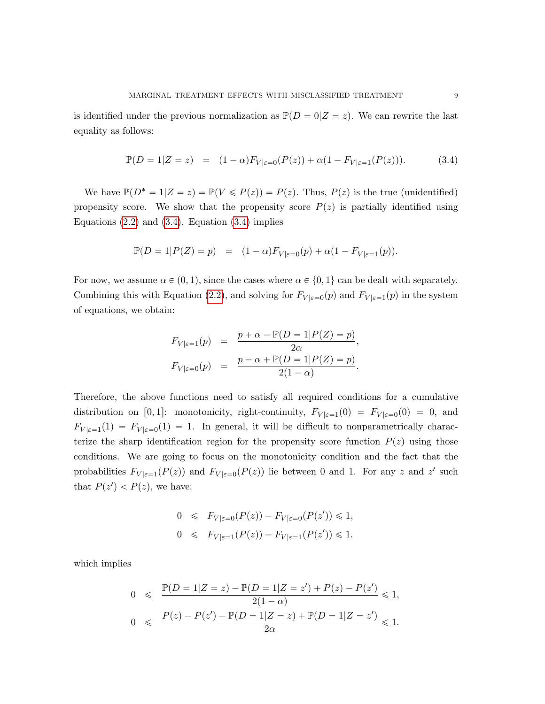is identified under the previous normalization as  $\mathbb{P}(D = 0|Z = z)$ . We can rewrite the last equality as follows:

<span id="page-8-0"></span>
$$
\mathbb{P}(D = 1|Z = z) = (1 - \alpha)F_{V|\varepsilon = 0}(P(z)) + \alpha(1 - F_{V|\varepsilon = 1}(P(z))).
$$
 (3.4)

We have  $\mathbb{P}(D^* = 1|Z = z) = \mathbb{P}(V \leq P(z)) = P(z)$ . Thus,  $P(z)$  is the true (unidentified) propensity score. We show that the propensity score  $P(z)$  is partially identified using Equations  $(2.2)$  and  $(3.4)$ . Equation  $(3.4)$  implies

$$
\mathbb{P}(D = 1|P(Z) = p) = (1 - \alpha)F_{V|\varepsilon = 0}(p) + \alpha(1 - F_{V|\varepsilon = 1}(p)).
$$

For now, we assume  $\alpha \in (0, 1)$ , since the cases where  $\alpha \in \{0, 1\}$  can be dealt with separately. Combining this with Equation [\(2.2\)](#page-6-3), and solving for  $F_{V|\varepsilon=0}(p)$  and  $F_{V|\varepsilon=1}(p)$  in the system of equations, we obtain:

$$
F_{V|\varepsilon=1}(p) = \frac{p + \alpha - \mathbb{P}(D = 1|P(Z) = p)}{2\alpha},
$$
  

$$
F_{V|\varepsilon=0}(p) = \frac{p - \alpha + \mathbb{P}(D = 1|P(Z) = p)}{2(1 - \alpha)}.
$$

Therefore, the above functions need to satisfy all required conditions for a cumulative distribution on [0,1]: monotonicity, right-continuity,  $F_{V|\varepsilon=1}(0) = F_{V|\varepsilon=0}(0) = 0$ , and  $F_{V|\varepsilon=1}(1) = F_{V|\varepsilon=0}(1) = 1$ . In general, it will be difficult to nonparametrically characterize the sharp identification region for the propensity score function  $P(z)$  using those conditions. We are going to focus on the monotonicity condition and the fact that the probabilities  $F_{V|\varepsilon=1}(P(z))$  and  $F_{V|\varepsilon=0}(P(z))$  lie between 0 and 1. For any z and z' such that  $P(z') < P(z)$ , we have:

$$
0 \leqslant F_{V|\varepsilon=0}(P(z)) - F_{V|\varepsilon=0}(P(z')) \leqslant 1,
$$
  

$$
0 \leqslant F_{V|\varepsilon=1}(P(z)) - F_{V|\varepsilon=1}(P(z')) \leqslant 1.
$$

which implies

$$
0 \leq \frac{\mathbb{P}(D = 1|Z = z) - \mathbb{P}(D = 1|Z = z') + P(z) - P(z')}{2(1 - \alpha)} \leq 1,
$$
  

$$
0 \leq \frac{P(z) - P(z') - \mathbb{P}(D = 1|Z = z) + \mathbb{P}(D = 1|Z = z')}{2\alpha} \leq 1.
$$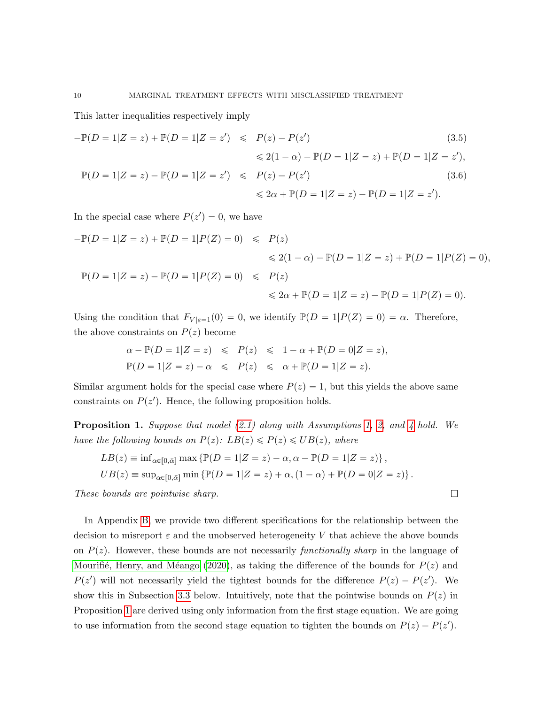This latter inequalities respectively imply

<span id="page-9-1"></span>
$$
-\mathbb{P}(D = 1|Z = z) + \mathbb{P}(D = 1|Z = z') \leq P(z) - P(z')
$$
\n
$$
\leq 2(1 - \alpha) - \mathbb{P}(D = 1|Z = z) + \mathbb{P}(D = 1|Z = z'),
$$
\n
$$
\mathbb{P}(D = 1|Z = z) - \mathbb{P}(D = 1|Z = z') \leq P(z) - P(z')
$$
\n
$$
\leq 2\alpha + \mathbb{P}(D = 1|Z = z) - \mathbb{P}(D = 1|Z = z').
$$
\n(3.6)

In the special case where  $P(z') = 0$ , we have

$$
-\mathbb{P}(D = 1|Z = z) + \mathbb{P}(D = 1|P(Z) = 0) \le P(z)
$$
  
\n
$$
\le 2(1 - \alpha) - \mathbb{P}(D = 1|Z = z) + \mathbb{P}(D = 1|P(Z) = 0),
$$
  
\n
$$
\mathbb{P}(D = 1|Z = z) - \mathbb{P}(D = 1|P(Z) = 0) \le P(z)
$$
  
\n
$$
\le 2\alpha + \mathbb{P}(D = 1|Z = z) - \mathbb{P}(D = 1|P(Z) = 0).
$$

Using the condition that  $F_{V|\varepsilon=1}(0) = 0$ , we identify  $\mathbb{P}(D = 1|P(Z) = 0) = \alpha$ . Therefore, the above constraints on  $P(z)$  become

$$
\alpha - \mathbb{P}(D = 1|Z = z) \leq P(z) \leq 1 - \alpha + \mathbb{P}(D = 0|Z = z),
$$
  

$$
\mathbb{P}(D = 1|Z = z) - \alpha \leq P(z) \leq \alpha + \mathbb{P}(D = 1|Z = z).
$$

Similar argument holds for the special case where  $P(z) = 1$ , but this yields the above same constraints on  $P(z')$ . Hence, the following proposition holds.

<span id="page-9-0"></span>**Proposition 1.** Suppose that model  $(2.1)$  along with Assumptions [1,](#page-5-0) [2,](#page-5-1) and [4](#page-6-2) hold. We have the following bounds on  $P(z)$ :  $LB(z) \leq P(z) \leq UB(z)$ , where

 $\Box$ 

$$
LB(z) \equiv \inf_{\alpha \in [0,\bar{\alpha}]} \max \{ \mathbb{P}(D=1|Z=z) - \alpha, \alpha - \mathbb{P}(D=1|Z=z) \},
$$
  
\n
$$
UB(z) \equiv \sup_{\alpha \in [0,\bar{\alpha}]} \min \{ \mathbb{P}(D=1|Z=z) + \alpha, (1-\alpha) + \mathbb{P}(D=0|Z=z) \}.
$$

These bounds are pointwise sharp.

In Appendix [B,](#page-34-1) we provide two different specifications for the relationship between the decision to misreport  $\varepsilon$  and the unobserved heterogeneity V that achieve the above bounds on  $P(z)$ . However, these bounds are not necessarily functionally sharp in the language of Mourifié, Henry, and Méango [\(2020\)](#page-59-10), as taking the difference of the bounds for  $P(z)$  and  $P(z')$  will not necessarily yield the tightest bounds for the difference  $P(z) - P(z')$ . We show this in Subsection [3.3](#page-10-0) below. Intuitively, note that the pointwise bounds on  $P(z)$  in Proposition [1](#page-9-0) are derived using only information from the first stage equation. We are going to use information from the second stage equation to tighten the bounds on  $P(z) - P(z')$ .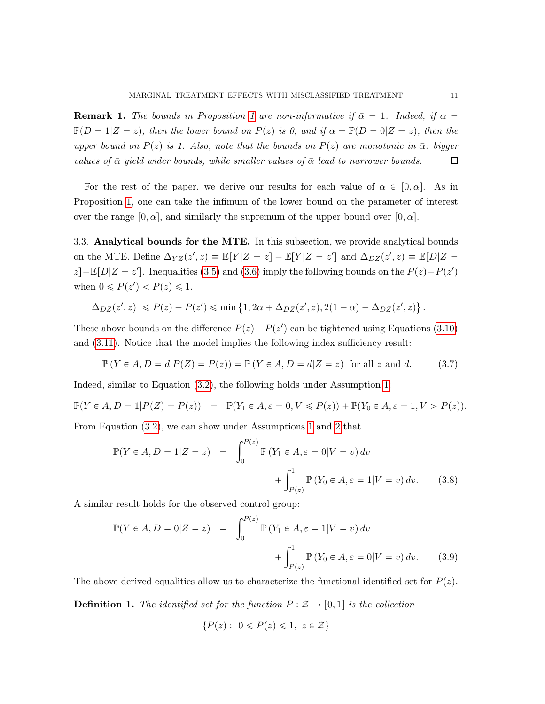**Remark [1](#page-9-0).** The bounds in Proposition 1 are non-informative if  $\bar{\alpha} = 1$ . Indeed, if  $\alpha =$  $\mathbb{P}(D = 1|Z = z)$ , then the lower bound on  $P(z)$  is 0, and if  $\alpha = \mathbb{P}(D = 0|Z = z)$ , then the upper bound on  $P(z)$  is 1. Also, note that the bounds on  $P(z)$  are monotonic in  $\bar{\alpha}$ : bigger values of  $\bar{\alpha}$  yield wider bounds, while smaller values of  $\bar{\alpha}$  lead to narrower bounds.  $\Box$ 

For the rest of the paper, we derive our results for each value of  $\alpha \in [0, \bar{\alpha}]$ . As in Proposition [1,](#page-9-0) one can take the infimum of the lower bound on the parameter of interest over the range  $[0, \bar{\alpha}]$ , and similarly the supremum of the upper bound over  $[0, \bar{\alpha}]$ .

<span id="page-10-0"></span>3.3. Analytical bounds for the MTE. In this subsection, we provide analytical bounds on the MTE. Define  $\Delta_{YZ}(z', z) \equiv \mathbb{E}[Y|Z = z] - \mathbb{E}[Y|Z = z']$  and  $\Delta_{DZ}(z', z) \equiv \mathbb{E}[D|Z = z']$  $z$ ]- $\mathbb{E}[D|Z = z']$ . Inequalities [\(3.5\)](#page-9-1) and [\(3.6\)](#page-9-1) imply the following bounds on the  $P(z) - P(z')$ when  $0 \leq P(z') < P(z) \leq 1$ .

$$
\left|\Delta_{DZ}(z',z)\right| \leqslant P(z) - P(z') \leqslant \min\left\{1,2\alpha+\Delta_{DZ}(z',z),2(1-\alpha)-\Delta_{DZ}(z',z)\right\}.
$$

These above bounds on the difference  $P(z) - P(z')$  can be tightened using Equations [\(3.10\)](#page-11-0) and [\(3.11\)](#page-11-1). Notice that the model implies the following index sufficiency result:

<span id="page-10-1"></span>
$$
\mathbb{P}(Y \in A, D = d | P(Z) = P(z)) = \mathbb{P}(Y \in A, D = d | Z = z) \text{ for all } z \text{ and } d. \tag{3.7}
$$

Indeed, similar to Equation [\(3.2\)](#page-7-1), the following holds under Assumption [1:](#page-5-0)

$$
\mathbb{P}(Y \in A, D = 1 | P(Z) = P(z)) = \mathbb{P}(Y_1 \in A, \varepsilon = 0, V \le P(z)) + \mathbb{P}(Y_0 \in A, \varepsilon = 1, V > P(z)).
$$

From Equation [\(3.2\)](#page-7-1), we can show under Assumptions [1](#page-5-0) and [2](#page-5-1) that

<span id="page-10-3"></span>
$$
\mathbb{P}(Y \in A, D = 1 | Z = z) = \int_0^{P(z)} \mathbb{P}(Y_1 \in A, \varepsilon = 0 | V = v) dv
$$

$$
+ \int_{P(z)}^1 \mathbb{P}(Y_0 \in A, \varepsilon = 1 | V = v) dv. \qquad (3.8)
$$

A similar result holds for the observed control group:

<span id="page-10-2"></span>
$$
\mathbb{P}(Y \in A, D = 0 | Z = z) = \int_0^{P(z)} \mathbb{P}(Y_1 \in A, \varepsilon = 1 | V = v) dv
$$

$$
+ \int_{P(z)}^1 \mathbb{P}(Y_0 \in A, \varepsilon = 0 | V = v) dv. \qquad (3.9)
$$

The above derived equalities allow us to characterize the functional identified set for  $P(z)$ .

**Definition 1.** The identified set for the function  $P : \mathcal{Z} \to [0, 1]$  is the collection

$$
\{P(z): 0 \le P(z) \le 1, z \in \mathcal{Z}\}
$$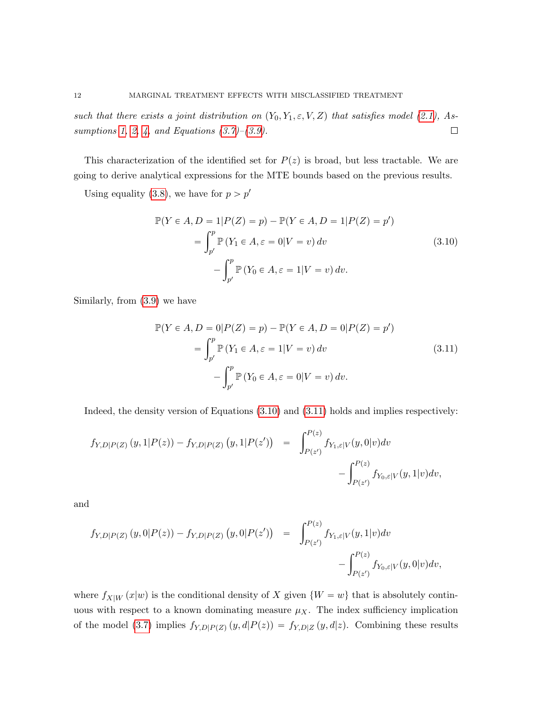such that there exists a joint distribution on  $(Y_0, Y_1, \varepsilon, V, Z)$  that satisfies model [\(2.1\)](#page-3-2), As-sumptions [1,](#page-5-0) [2,](#page-5-1) [4,](#page-6-2) and Equations  $(3.7)$ – $(3.9)$ .  $\Box$ 

This characterization of the identified set for  $P(z)$  is broad, but less tractable. We are going to derive analytical expressions for the MTE bounds based on the previous results.

Using equality [\(3.8\)](#page-10-3), we have for  $p > p'$ 

<span id="page-11-0"></span>
$$
\mathbb{P}(Y \in A, D = 1 | P(Z) = p) - \mathbb{P}(Y \in A, D = 1 | P(Z) = p')
$$
  
= 
$$
\int_{p'}^{p} \mathbb{P}(Y_1 \in A, \varepsilon = 0 | V = v) dv
$$
  

$$
- \int_{p'}^{p} \mathbb{P}(Y_0 \in A, \varepsilon = 1 | V = v) dv.
$$
 (3.10)

Similarly, from [\(3.9\)](#page-10-2) we have

<span id="page-11-1"></span>
$$
\mathbb{P}(Y \in A, D = 0 | P(Z) = p) - \mathbb{P}(Y \in A, D = 0 | P(Z) = p')
$$
  
= 
$$
\int_{p'}^{p} \mathbb{P}(Y_1 \in A, \varepsilon = 1 | V = v) dv
$$
  

$$
- \int_{p'}^{p} \mathbb{P}(Y_0 \in A, \varepsilon = 0 | V = v) dv.
$$
 (3.11)

Indeed, the density version of Equations [\(3.10\)](#page-11-0) and [\(3.11\)](#page-11-1) holds and implies respectively:

$$
f_{Y,D|P(Z)}(y,1|P(z)) - f_{Y,D|P(Z)}(y,1|P(z')) = \int_{P(z)}^{P(z)} f_{Y_{1},\varepsilon|V}(y,0|v)dv - \int_{P(z)}^{P(z)} f_{Y_{0},\varepsilon|V}(y,1|v)dv,
$$

and

$$
f_{Y,D|P(Z)}(y,0|P(z)) - f_{Y,D|P(Z)}(y,0|P(z')) = \int_{P(z')}^{P(z)} f_{Y_{1},\varepsilon|V}(y,1|v)dv - \int_{P(z')}^{P(z)} f_{Y_{0},\varepsilon|V}(y,0|v)dv,
$$

where  $f_{X|W}(x|w)$  is the conditional density of X given  $\{W = w\}$  that is absolutely continuous with respect to a known dominating measure  $\mu_X$ . The index sufficiency implication of the model [\(3.7\)](#page-10-1) implies  $f_{Y,D|P(Z)}(y, d|P(z)) = f_{Y,D|Z}(y, d|z)$ . Combining these results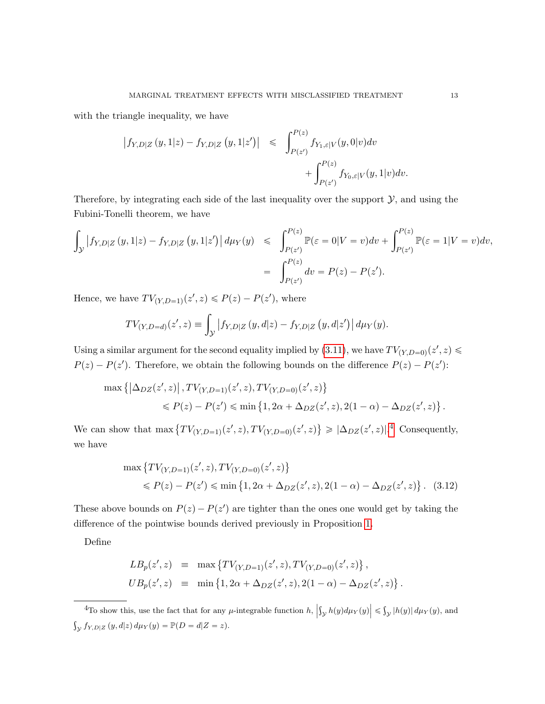with the triangle inequality, we have

$$
\begin{array}{lcl} \left|f_{Y,D|Z} \left(y,1|z\right)-f_{Y,D|Z} \left(y,1|z'\right)\right| & \leqslant & \displaystyle \int_{P(z)}^{P(z)} f_{Y_{1},\varepsilon |V} \big(y,0|v\big)dv \vspace{3mm} \\ & & \displaystyle + \int_{P(z)}^{P(z)} f_{Y_{0},\varepsilon |V} \big(y,1|v\big)dv. \end{array}
$$

Therefore, by integrating each side of the last inequality over the support  $\mathcal{Y}$ , and using the Fubini-Tonelli theorem, we have

$$
\int_{\mathcal{Y}} |f_{Y,D|Z}(y,1|z) - f_{Y,D|Z}(y,1|z')| d\mu_Y(y) \leq \int_{P(z')}^{P(z)} \mathbb{P}(\varepsilon = 0|V = v) dv + \int_{P(z')}^{P(z)} \mathbb{P}(\varepsilon = 1|V = v) dv,
$$
  
= 
$$
\int_{P(z')}^{P(z)} dv = P(z) - P(z').
$$

Hence, we have  $TV_{(Y,D=1)}(z',z) \leq P(z) - P(z')$ , where

$$
TV_{(Y,D=d)}(z',z) \equiv \int_{\mathcal{Y}} |f_{Y,D|Z}(y,d|z) - f_{Y,D|Z}(y,d|z')| d\mu_Y(y).
$$

Using a similar argument for the second equality implied by [\(3.11\)](#page-11-1), we have  $TV_{(Y,D=0)}(z',z) \le$  $P(z) - P(z')$ . Therefore, we obtain the following bounds on the difference  $P(z) - P(z')$ :

$$
\max \left\{ \left| \Delta_{DZ}(z', z) \right|, TV_{(Y, D=1)}(z', z), TV_{(Y, D=0)}(z', z) \right\}
$$
  
\$\le P(z) - P(z') \le \min \left\{ 1, 2\alpha + \Delta\_{DZ}(z', z), 2(1 - \alpha) - \Delta\_{DZ}(z', z) \right\}.

We can show that  $\max \{ TV_{(Y,D=1)}(z', z), TV_{(Y,D=0)}(z', z) \}$  $\geqslant |\Delta_{DZ}(z',z)|^{.4}$  $\geqslant |\Delta_{DZ}(z',z)|^{.4}$  $\geqslant |\Delta_{DZ}(z',z)|^{.4}$  Consequently, we have

<span id="page-12-1"></span>
$$
\max \left\{ TV_{(Y,D=1)}(z', z), TV_{(Y,D=0)}(z', z) \right\}
$$
  
\$\le P(z) - P(z') \le \min \left\{1, 2\alpha + \Delta\_{DZ}(z', z), 2(1 - \alpha) - \Delta\_{DZ}(z', z) \right\}. (3.12)

These above bounds on  $P(z) - P(z')$  are tighter than the ones one would get by taking the difference of the pointwise bounds derived previously in Proposition [1.](#page-9-0)

Define

$$
LB_p(z', z) = \max \{ TV_{(Y, D=1)}(z', z), TV_{(Y, D=0)}(z', z) \},
$$
  
\n
$$
UB_p(z', z) = \min \{ 1, 2\alpha + \Delta_{DZ}(z', z), 2(1 - \alpha) - \Delta_{DZ}(z', z) \}.
$$

<span id="page-12-0"></span><sup>4</sup>To show this, use the fact that for any  $\mu$ -integrable function  $h$ ,  $\left| \int_{\mathcal{Y}} h(y) d\mu_Y(y) \right| \leqslant$  $y |h(y)| d\mu_Y(y)$ , and  $\int_Y f_{Y,D|Z}(y, d|z) d\mu_Y(y) = \mathbb{P}(D = d|Z = z).$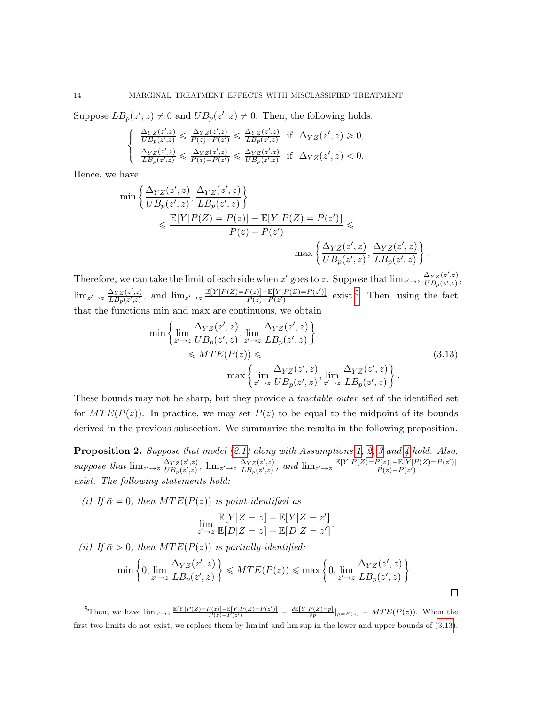Suppose  $LB_p(z', z) \neq 0$  and  $UB_p(z', z) \neq 0$ . Then, the following holds.

$$
\begin{cases} \n\frac{\Delta_{YZ}(z',z)}{UB_p(z',z)} \leq \frac{\Delta_{YZ}(z',z)}{P(z)-P(z')} \leq \frac{\Delta_{YZ}(z',z)}{LB_p(z',z)} \n\text{ if } \Delta_{YZ}(z',z) \geq 0, \\
\frac{\Delta_{YZ}(z',z)}{LB_p(z',z)} \leq \frac{\Delta_{YZ}(z',z)}{P(z)-P(z')} \leq \frac{\Delta_{YZ}(z',z)}{UB_p(z',z)} \n\text{ if } \Delta_{YZ}(z',z) < 0.\n\end{cases}
$$

Hence, we have

$$
\min\left\{\frac{\Delta_{YZ}(z',z)}{UB_p(z',z)}, \frac{\Delta_{YZ}(z',z)}{LB_p(z',z)}\right\}
$$
  

$$
\leq \frac{\mathbb{E}[Y|P(Z) = P(z)] - \mathbb{E}[Y|P(Z) = P(z')]}{P(z) - P(z')} \leq
$$
  

$$
\max\left\{\frac{\Delta_{YZ}(z',z)}{UB_p(z',z)}, \frac{\Delta_{YZ}(z',z)}{LB_p(z',z)}\right\}
$$

Therefore, we can take the limit of each side when z' goes to z. Suppose that  $\lim_{z'\to z} \frac{\Delta_{YZ}(z',z)}{UB_n(z',z)}$  $\frac{\Delta_{YZ}(z^{\prime},z)}{UB_p(z^{\prime},z)},$  $\lim_{z' \to z} \frac{\Delta_{YZ}(z',z)}{LB_n(z',z)}$  $\frac{\Delta_{YZ}(z',z)}{LB_p(z',z)}$ , and  $\lim_{z'\to z}\frac{\mathbb{E}[Y|P(Z)=P(z)]-\mathbb{E}[Y|P(Z)=P(z')]}{P(z)-P(z')}$  $\frac{P(z)|-\mathbb{E}[Y|P(Z)=P(z')]}{P(z)-P(z')}$  exist.<sup>[5](#page-13-0)</sup> Then, using the fact that the functions min and max are continuous, we obtain

<span id="page-13-1"></span>
$$
\min\left\{\lim_{z'\to z} \frac{\Delta_{YZ}(z',z)}{UB_p(z',z)}, \lim_{z'\to z} \frac{\Delta_{YZ}(z',z)}{LB_p(z',z)}\right\}\n\leq MTE(P(z))\leq\n\max\left\{\lim_{z'\to z} \frac{\Delta_{YZ}(z',z)}{UB_p(z',z)}, \lim_{z'\to z} \frac{\Delta_{YZ}(z',z)}{LB_p(z',z)}\right\}.
$$
\n(3.13)

\* .

 $\Box$ 

These bounds may not be sharp, but they provide a *tractable outer set* of the identified set for  $MTE(P(z))$ . In practice, we may set  $P(z)$  to be equal to the midpoint of its bounds derived in the previous subsection. We summarize the results in the following proposition.

<span id="page-13-2"></span>**Proposition 2.** Suppose that model  $(2.1)$  along with Assumptions [1,](#page-5-0) [2,](#page-5-1) [3](#page-6-1) and [4](#page-6-2) hold. Also, suppose that  $\lim_{z' \to z} \frac{\Delta_{YZ}(z',z)}{UB_n(z',z)}$  $\frac{\Delta_{YZ}(z',z)}{UB_p(z',z)}, \lim_{z' \to z} \frac{\Delta_{YZ}(z',z)}{LB_p(z',z)}$  $\frac{\Delta_{YZ}(z',z)}{LB_p(z',z)}$ , and  $\lim_{z'\to z}\frac{\mathbb{E}[Y|P(Z)=P(z)]-\mathbb{E}[Y|P(Z)=P(z')]}{P(z)-P(z')}$  $P(z) - P(z')$ exist. The following statements hold:

(i) If  $\bar{\alpha} = 0$ , then  $MTE(P(z))$  is point-identified as

$$
\lim_{z' \to z} \frac{\mathbb{E}[Y|Z=z] - \mathbb{E}[Y|Z=z']}{\mathbb{E}[D|Z=z] - \mathbb{E}[D|Z=z']}.
$$

(ii) If  $\bar{\alpha} > 0$ , then  $MTE(P(z))$  is partially-identified:

$$
\min\left\{0,\lim_{z'\to z}\frac{\Delta_{YZ}(z',z)}{LB_p(z',z)}\right\} \leq MTE(P(z)) \leq \max\left\{0,\lim_{z'\to z}\frac{\Delta_{YZ}(z',z)}{LB_p(z',z)}\right\}.
$$

<span id="page-13-0"></span> ${}^{5}\text{Then, we have } \lim_{z' \to z} \frac{\mathbb{E}[Y|P(Z)=P(z)]-\mathbb{E}[Y|P(Z)=P(z')] }{P(z)-P(z')} = \frac{\partial \mathbb{E}[Y|P(Z)=p]}{\partial p}|_{p=P(z)} = MTE(P(z)).$  When the first two limits do not exist, we replace them by lim inf and lim sup in the lower and upper bounds of [\(3.13\)](#page-13-1).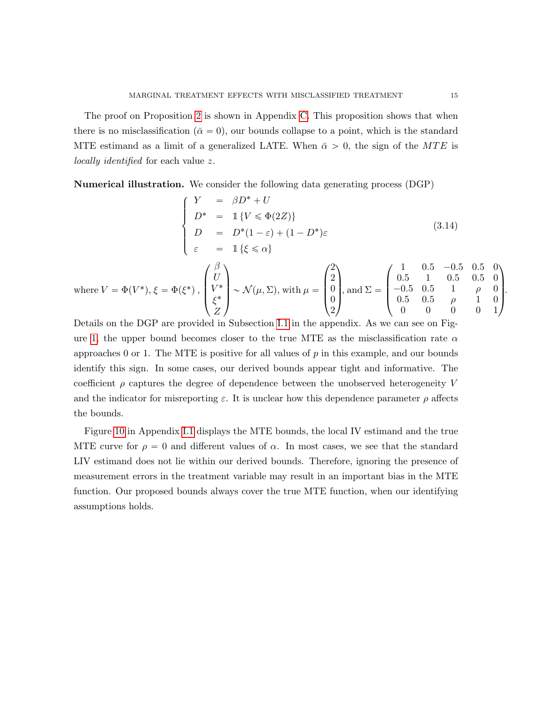The proof on Proposition [2](#page-13-2) is shown in Appendix [C.](#page-35-0) This proposition shows that when there is no misclassification ( $\bar{\alpha} = 0$ ), our bounds collapse to a point, which is the standard MTE estimand as a limit of a generalized LATE. When  $\bar{\alpha} > 0$ , the sign of the MTE is locally identified for each value z.

<span id="page-14-1"></span>Numerical illustration. We consider the following data generating process (DGP) \$

<span id="page-14-0"></span>
$$
\begin{cases}\nY &= \beta D^* + U \\
D^* &= \mathbb{1}\{V \le \Phi(2Z)\} \\
D &= D^*(1-\varepsilon) + (1-D^*)\varepsilon \\
\varepsilon &= \mathbb{1}\{\xi \le \alpha\}\n\end{cases}
$$
\n(3.14)

where 
$$
V = \Phi(V^*), \xi = \Phi(\xi^*), \begin{pmatrix} \beta \\ U \\ V^* \\ \xi^* \\ Z \end{pmatrix} \sim \mathcal{N}(\mu, \Sigma)
$$
, with  $\mu = \begin{pmatrix} 2 \\ 2 \\ 0 \\ 0 \\ 2 \end{pmatrix}$ , and  $\Sigma = \begin{pmatrix} 1 & 0.5 & -0.5 & 0.5 & 0 \\ 0.5 & 1 & 0.5 & 0.5 & 0 \\ -0.5 & 0.5 & 1 & \rho & 0 \\ 0.5 & 0.5 & \rho & 1 & 0 \\ 0 & 0 & 0 & 0 & 1 \end{pmatrix}$ .

Details on the DGP are provided in Subsection [I.1](#page-53-0) in the appendix. As we can see on Fig-ure [1,](#page-15-0) the upper bound becomes closer to the true MTE as the misclassification rate  $\alpha$ approaches 0 or 1. The MTE is positive for all values of  $p$  in this example, and our bounds identify this sign. In some cases, our derived bounds appear tight and informative. The coefficient  $\rho$  captures the degree of dependence between the unobserved heterogeneity V and the indicator for misreporting  $\varepsilon$ . It is unclear how this dependence parameter  $\rho$  affects the bounds.

Figure [10](#page-55-0) in Appendix [I.1](#page-53-0) displays the MTE bounds, the local IV estimand and the true MTE curve for  $\rho = 0$  and different values of  $\alpha$ . In most cases, we see that the standard LIV estimand does not lie within our derived bounds. Therefore, ignoring the presence of measurement errors in the treatment variable may result in an important bias in the MTE function. Our proposed bounds always cover the true MTE function, when our identifying assumptions holds.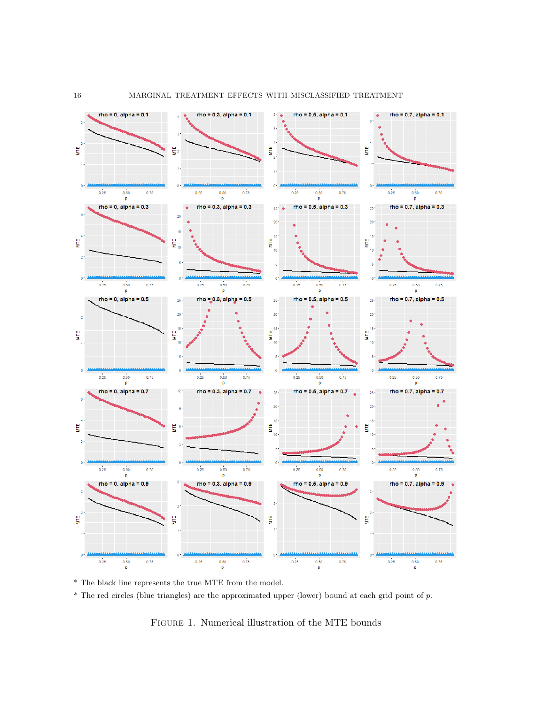

\* The black line represents the true MTE from the model.

 $*$  The red circles (blue triangles) are the approximated upper (lower) bound at each grid point of  $p$ .

<span id="page-15-0"></span>FIGURE 1. Numerical illustration of the MTE bounds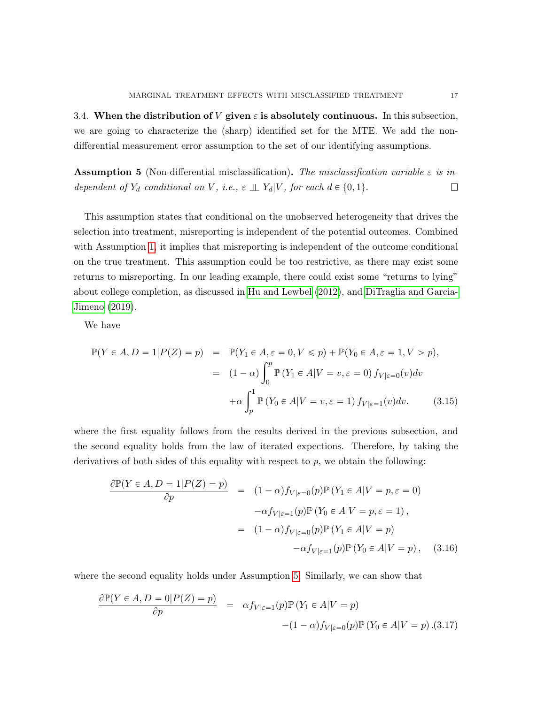3.4. When the distribution of V given  $\varepsilon$  is absolutely continuous. In this subsection, we are going to characterize the (sharp) identified set for the MTE. We add the nondifferential measurement error assumption to the set of our identifying assumptions.

<span id="page-16-0"></span>**Assumption 5** (Non-differential misclassification). The misclassification variable  $\varepsilon$  is in- $\Box$ dependent of  $Y_d$  conditional on V, i.e.,  $\varepsilon \perp Y_d | V$ , for each  $d \in \{0, 1\}$ .

This assumption states that conditional on the unobserved heterogeneity that drives the selection into treatment, misreporting is independent of the potential outcomes. Combined with Assumption [1,](#page-5-0) it implies that misreporting is independent of the outcome conditional on the true treatment. This assumption could be too restrictive, as there may exist some returns to misreporting. In our leading example, there could exist some "returns to lying" about college completion, as discussed in [Hu and Lewbel](#page-58-13) [\(2012\)](#page-58-13), and [DiTraglia and Garcia-](#page-58-4)[Jimeno](#page-58-4) [\(2019\)](#page-58-4).

We have

<span id="page-16-3"></span>
$$
\mathbb{P}(Y \in A, D = 1 | P(Z) = p) = \mathbb{P}(Y_1 \in A, \varepsilon = 0, V \le p) + \mathbb{P}(Y_0 \in A, \varepsilon = 1, V > p),
$$

$$
= (1 - \alpha) \int_0^p \mathbb{P}(Y_1 \in A | V = v, \varepsilon = 0) f_{V | \varepsilon = 0}(v) dv
$$

$$
+ \alpha \int_p^1 \mathbb{P}(Y_0 \in A | V = v, \varepsilon = 1) f_{V | \varepsilon = 1}(v) dv. \qquad (3.15)
$$

where the first equality follows from the results derived in the previous subsection, and the second equality holds from the law of iterated expections. Therefore, by taking the derivatives of both sides of this equality with respect to  $p$ , we obtain the following:

<span id="page-16-1"></span>
$$
\frac{\partial \mathbb{P}(Y \in A, D = 1 | P(Z) = p)}{\partial p} = (1 - \alpha) f_{V | \varepsilon = 0}(p) \mathbb{P}(Y_1 \in A | V = p, \varepsilon = 0)
$$

$$
-\alpha f_{V | \varepsilon = 1}(p) \mathbb{P}(Y_0 \in A | V = p, \varepsilon = 1),
$$

$$
= (1 - \alpha) f_{V | \varepsilon = 0}(p) \mathbb{P}(Y_1 \in A | V = p)
$$

$$
-\alpha f_{V | \varepsilon = 1}(p) \mathbb{P}(Y_0 \in A | V = p), \quad (3.16)
$$

where the second equality holds under Assumption [5.](#page-16-0) Similarly, we can show that

<span id="page-16-2"></span>
$$
\frac{\partial \mathbb{P}(Y \in A, D = 0 | P(Z) = p)}{\partial p} = \alpha f_{V|\varepsilon=1}(p) \mathbb{P}(Y_1 \in A | V = p)
$$

$$
-(1 - \alpha) f_{V|\varepsilon=0}(p) \mathbb{P}(Y_0 \in A | V = p) . (3.17)
$$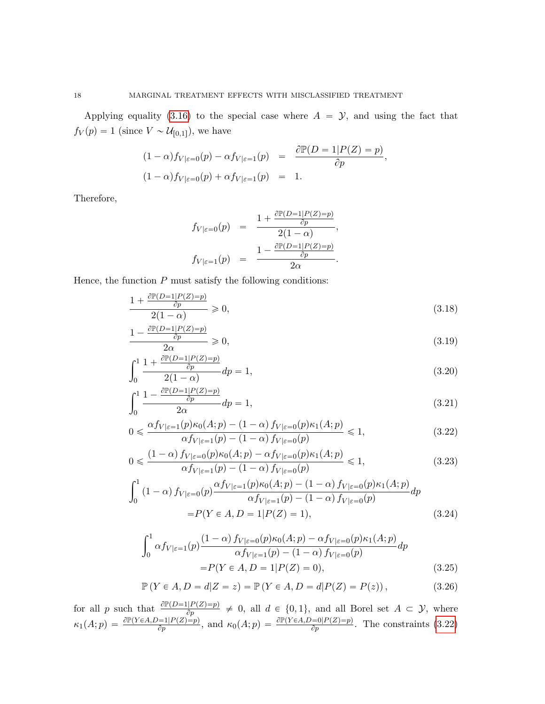Applying equality [\(3.16\)](#page-16-1) to the special case where  $A = \mathcal{Y}$ , and using the fact that  $f_V(p) = 1$  (since  $V \sim \mathcal{U}_{[0,1]}$ ), we have

$$
(1 - \alpha)f_{V|\varepsilon=0}(p) - \alpha f_{V|\varepsilon=1}(p) = \frac{\partial \mathbb{P}(D=1|P(Z) = p)}{\partial p},
$$
  

$$
(1 - \alpha)f_{V|\varepsilon=0}(p) + \alpha f_{V|\varepsilon=1}(p) = 1.
$$

Therefore,

$$
f_{V|\varepsilon=0}(p) = \frac{1 + \frac{\partial \mathbb{P}(D=1|P(Z)=p)}{\partial p}}{2(1-\alpha)},
$$
  

$$
f_{V|\varepsilon=1}(p) = \frac{1 - \frac{\partial \mathbb{P}(D=1|P(Z)=p)}{\partial p}}{2\alpha}.
$$

Hence, the function  $P$  must satisfy the following conditions:

<span id="page-17-0"></span>
$$
\frac{1 + \frac{\partial \mathbb{P}(D=1|P(Z)=p)}{\partial p}}{2(1-\alpha)} \ge 0,
$$
\n(3.18)

$$
\frac{1 - \frac{\partial \mathbb{P}(D=1|P(Z)=p)}{\partial p}}{2\alpha} \ge 0,
$$
\n(3.19)

$$
\int_0^1 \frac{1 + \frac{\partial \mathbb{P}(D=1|P(Z)=p)}{\partial p}}{2(1-\alpha)} dp = 1,
$$
\n(3.20)

$$
\int_0^1 \frac{1 - \frac{\partial \mathbb{P}(D=1|P(Z)=p)}{\partial p}}{2\alpha} dp = 1,\tag{3.21}
$$

$$
0 \leqslant \frac{\alpha f_{V|\varepsilon=1}(p)\kappa_0(A;p) - (1-\alpha) f_{V|\varepsilon=0}(p)\kappa_1(A;p)}{\alpha f_{V|\varepsilon=1}(p) - (1-\alpha) f_{V|\varepsilon=0}(p)} \leqslant 1,
$$
\n(3.22)

$$
0 \leqslant \frac{(1-\alpha) f_{V|\varepsilon=0}(p)\kappa_0(A;p) - \alpha f_{V|\varepsilon=0}(p)\kappa_1(A;p)}{\alpha f_{V|\varepsilon=1}(p) - (1-\alpha) f_{V|\varepsilon=0}(p)} \leqslant 1,
$$
\n(3.23)

$$
\int_0^1 (1 - \alpha) f_{V|\varepsilon=0}(p) \frac{\alpha f_{V|\varepsilon=1}(p)\kappa_0(A;p) - (1 - \alpha) f_{V|\varepsilon=0}(p)\kappa_1(A;p)}{\alpha f_{V|\varepsilon=1}(p) - (1 - \alpha) f_{V|\varepsilon=0}(p)} dp
$$
  
= P(Y \in A, D = 1 | P(Z) = 1), (3.24)

<span id="page-17-1"></span>
$$
\int_0^1 \alpha f_{V|\varepsilon=1}(p) \frac{(1-\alpha) f_{V|\varepsilon=0}(p)\kappa_0(A;p) - \alpha f_{V|\varepsilon=0}(p)\kappa_1(A;p)}{\alpha f_{V|\varepsilon=1}(p) - (1-\alpha) f_{V|\varepsilon=0}(p)} dp
$$
\n
$$
= P(Y \in A, D = 1 | P(Z) = 0),
$$
\n(3.25)

$$
\mathbb{P}(Y \in A, D = d | Z = z) = \mathbb{P}(Y \in A, D = d | P(Z) = P(z)),
$$
\n(3.26)

for all p such that  $\frac{\partial P(D=1|P(Z)=p)}{\partial p} \neq 0$ , all  $d \in \{0,1\}$ , and all Borel set  $A \subset \mathcal{Y}$ , where  $\kappa_1(A;p) = \frac{\partial \mathbb{P}(Y \in A, D=1 | P(Z)=p)}{\partial p}$ , and  $\kappa_0(A;p) = \frac{\partial \mathbb{P}(Y \in A, D=0 | P(Z)=p)}{\partial p}$ . The constraints [\(3.22\)](#page-17-0)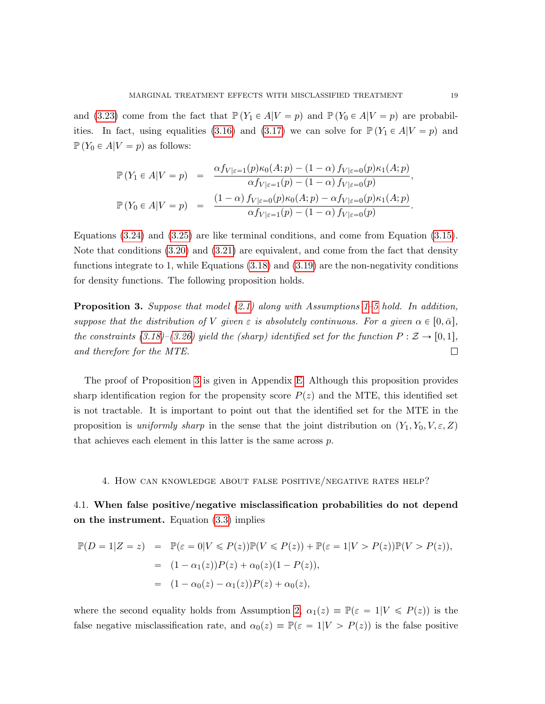and [\(3.23\)](#page-17-0) come from the fact that  $\mathbb{P}(Y_1 \in A | V = p)$  and  $\mathbb{P}(Y_0 \in A | V = p)$  are probabil-ities. In fact, using equalities [\(3.16\)](#page-16-1) and [\(3.17\)](#page-16-2) we can solve for  $\mathbb{P}(Y_1 \in A | V = p)$  and  $\mathbb{P}(Y_0 \in A | V = p)$  as follows:

$$
\mathbb{P}(Y_1 \in A | V = p) = \frac{\alpha f_{V | \varepsilon = 1}(p) \kappa_0(A; p) - (1 - \alpha) f_{V | \varepsilon = 0}(p) \kappa_1(A; p)}{\alpha f_{V | \varepsilon = 1}(p) - (1 - \alpha) f_{V | \varepsilon = 0}(p)},
$$
  

$$
\mathbb{P}(Y_0 \in A | V = p) = \frac{(1 - \alpha) f_{V | \varepsilon = 0}(p) \kappa_0(A; p) - \alpha f_{V | \varepsilon = 0}(p) \kappa_1(A; p)}{\alpha f_{V | \varepsilon = 1}(p) - (1 - \alpha) f_{V | \varepsilon = 0}(p)}.
$$

Equations [\(3.24\)](#page-17-0) and [\(3.25\)](#page-17-1) are like terminal conditions, and come from Equation [\(3.15\)](#page-16-3). Note that conditions [\(3.20\)](#page-17-0) and [\(3.21\)](#page-17-0) are equivalent, and come from the fact that density functions integrate to 1, while Equations  $(3.18)$  and  $(3.19)$  are the non-negativity conditions for density functions. The following proposition holds.

<span id="page-18-1"></span>**Proposition 3.** Suppose that model  $(2.1)$  along with Assumptions [1–](#page-5-0)[5](#page-16-0) hold. In addition, suppose that the distribution of V given  $\varepsilon$  is absolutely continuous. For a given  $\alpha \in [0, \bar{\alpha}],$ the constraints [\(3.18\)](#page-17-0)–[\(3.26\)](#page-17-1) yield the (sharp) identified set for the function  $P : \mathcal{Z} \to [0, 1],$  $\Box$ and therefore for the MTE.

The proof of Proposition [3](#page-18-1) is given in Appendix [E.](#page-37-0) Although this proposition provides sharp identification region for the propensity score  $P(z)$  and the MTE, this identified set is not tractable. It is important to point out that the identified set for the MTE in the proposition is uniformly sharp in the sense that the joint distribution on  $(Y_1, Y_0, V, \varepsilon, Z)$ that achieves each element in this latter is the same across p.

#### <span id="page-18-0"></span>4. How can knowledge about false positive/negative rates help?

<span id="page-18-2"></span>4.1. When false positive/negative misclassification probabilities do not depend on the instrument. Equation [\(3.3\)](#page-7-2) implies

$$
\mathbb{P}(D = 1|Z = z) = \mathbb{P}(\varepsilon = 0|V \le P(z))\mathbb{P}(V \le P(z)) + \mathbb{P}(\varepsilon = 1|V > P(z))\mathbb{P}(V > P(z)),
$$
  
=  $(1 - \alpha_1(z))P(z) + \alpha_0(z)(1 - P(z)),$   
=  $(1 - \alpha_0(z) - \alpha_1(z))P(z) + \alpha_0(z),$ 

where the second equality holds from Assumption [2,](#page-5-1)  $\alpha_1(z) \equiv \mathbb{P}(\varepsilon = 1|V \leq P(z))$  is the false negative misclassification rate, and  $\alpha_0(z) \equiv \mathbb{P}(\varepsilon = 1|V > P(z))$  is the false positive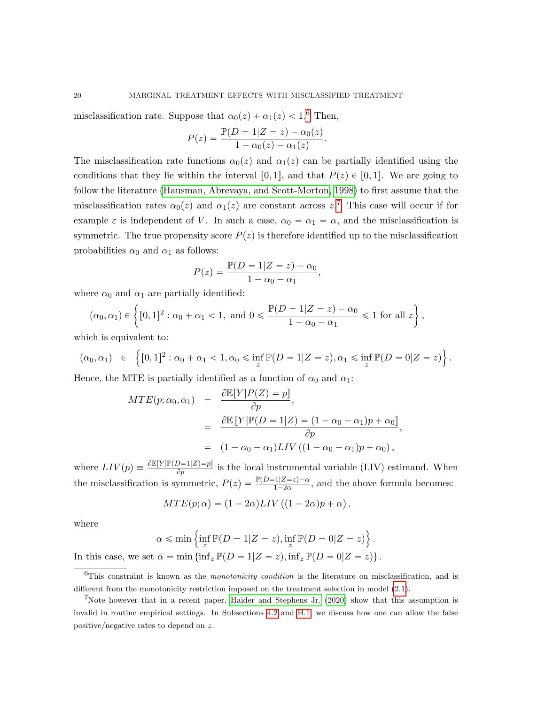.

 $\mathbf{r}$ 

misclassification rate. Suppose that  $\alpha_0(z) + \alpha_1(z) < 1.6$  $\alpha_0(z) + \alpha_1(z) < 1.6$  Then,

$$
P(z) = \frac{\mathbb{P}(D = 1|Z = z) - \alpha_0(z)}{1 - \alpha_0(z) - \alpha_1(z)}
$$

The misclassification rate functions  $\alpha_0(z)$  and  $\alpha_1(z)$  can be partially identified using the conditions that they lie within the interval [0, 1], and that  $P(z) \in [0, 1]$ . We are going to follow the literature [\(Hausman, Abrevaya, and Scott-Morton, 1998\)](#page-58-1) to first assume that the misclassification rates  $\alpha_0(z)$  and  $\alpha_1(z)$  are constant across  $z$ .<sup>[7](#page-19-1)</sup> This case will occur if for example  $\varepsilon$  is independent of V. In such a case,  $\alpha_0 = \alpha_1 = \alpha$ , and the misclassification is symmetric. The true propensity score  $P(z)$  is therefore identified up to the misclassification probabilities  $\alpha_0$  and  $\alpha_1$  as follows:

$$
P(z) = \frac{\mathbb{P}(D = 1|Z = z) - \alpha_0}{1 - \alpha_0 - \alpha_1},
$$

where 
$$
\alpha_0
$$
 and  $\alpha_1$  are partially identified:  
\n $(\alpha_0, \alpha_1) \in \left\{ [0, 1]^2 : \alpha_0 + \alpha_1 < 1, \text{ and } 0 \le \frac{\mathbb{P}(D = 1 | Z = z) - \alpha_0}{1 - \alpha_0 - \alpha_1} \le 1 \text{ for all } z \right\},\$ 

which is equivalent to:

$$
(\alpha_0, \alpha_1) \in \left\{ [0,1]^2 : \alpha_0 + \alpha_1 < 1, \alpha_0 \leq \inf_z \mathbb{P}(D=1|Z=z), \alpha_1 \leq \inf_z \mathbb{P}(D=0|Z=z) \right\}.
$$

Hence, the MTE is partially identified as a function of  $\alpha_0$  and  $\alpha_1$ :

$$
MTE(p; \alpha_0, \alpha_1) = \frac{\partial \mathbb{E}[Y|P(Z) = p]}{\partial p},
$$
  
= 
$$
\frac{\partial \mathbb{E}[Y|\mathbb{P}(D = 1|Z) = (1 - \alpha_0 - \alpha_1)p + \alpha_0]}{\partial p},
$$
  
= 
$$
(1 - \alpha_0 - \alpha_1)LIV((1 - \alpha_0 - \alpha_1)p + \alpha_0),
$$

where  $LIV(p) \equiv \frac{\partial \mathbb{E}[Y|\mathbb{P}(D=1|Z)=p]}{\partial p}$  is the local instrumental variable (LIV) estimand. When the misclassification is symmetric,  $P(z) = \frac{\mathbb{P}(D=1|Z=z)-\alpha}{1-2\alpha}$ , and the above formula becomes:

$$
MTE(p; \alpha) = (1 - 2\alpha)LIV((1 - 2\alpha)p + \alpha),
$$

where

$$
\alpha \leqslant \min\left\{\inf_{z} \mathbb{P}(D=1|Z=z), \inf_{z} \mathbb{P}(D=0|Z=z)\right\}.
$$

)

In this case, we set  $\bar{\alpha} = \min \{ \inf_z \mathbb{P}(D = 1|Z = z), \inf_z \mathbb{P}(D = 0|Z = z) \}.$ 

<span id="page-19-0"></span><sup>6</sup>This constraint is known as the monotonicity condition is the literature on misclassification, and is different from the monotonicity restriction imposed on the treatment selection in model [\(2.1\)](#page-3-2).

<span id="page-19-1"></span><sup>&</sup>lt;sup>7</sup>Note however that in a recent paper, [Haider and Stephens Jr.](#page-58-14) [\(2020\)](#page-58-14) show that this assumption is invalid in routine empirical settings. In Subsections [4.2](#page-21-0) and [H.1,](#page-48-0) we discuss how one can allow the false positive/negative rates to depend on z.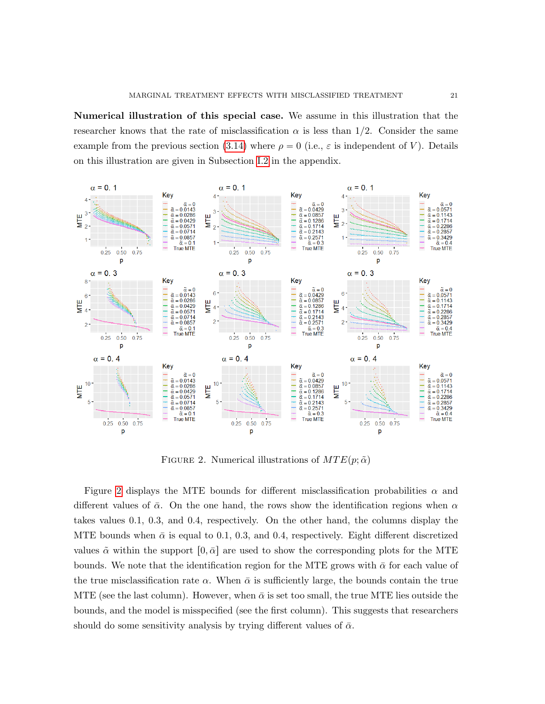Numerical illustration of this special case. We assume in this illustration that the researcher knows that the rate of misclassification  $\alpha$  is less than 1/2. Consider the same example from the previous section [\(3.14\)](#page-14-0) where  $\rho = 0$  (i.e.,  $\varepsilon$  is independent of V). Details on this illustration are given in Subsection [I.2](#page-56-0) in the appendix.



<span id="page-20-0"></span>FIGURE 2. Numerical illustrations of  $MTE(p; \tilde{\alpha})$ 

Figure [2](#page-20-0) displays the MTE bounds for different misclassification probabilities  $\alpha$  and different values of  $\bar{\alpha}$ . On the one hand, the rows show the identification regions when  $\alpha$ takes values 0.1, 0.3, and 0.4, respectively. On the other hand, the columns display the MTE bounds when  $\bar{\alpha}$  is equal to 0.1, 0.3, and 0.4, respectively. Eight different discretized values  $\tilde{\alpha}$  within the support  $[0, \bar{\alpha}]$  are used to show the corresponding plots for the MTE bounds. We note that the identification region for the MTE grows with  $\bar{\alpha}$  for each value of the true misclassification rate  $\alpha$ . When  $\bar{\alpha}$  is sufficiently large, the bounds contain the true MTE (see the last column). However, when  $\bar{\alpha}$  is set too small, the true MTE lies outside the bounds, and the model is misspecified (see the first column). This suggests that researchers should do some sensitivity analysis by trying different values of  $\bar{\alpha}$ .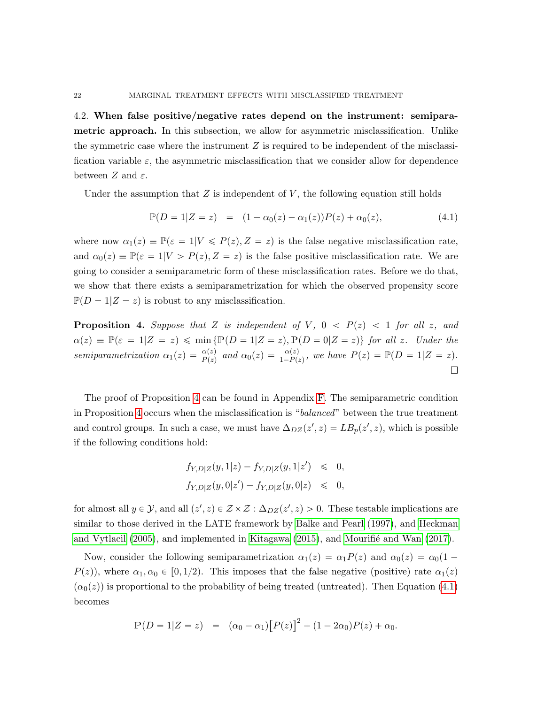<span id="page-21-0"></span>4.2. When false positive/negative rates depend on the instrument: semiparametric approach. In this subsection, we allow for asymmetric misclassification. Unlike the symmetric case where the instrument  $Z$  is required to be independent of the misclassification variable  $\varepsilon$ , the asymmetric misclassification that we consider allow for dependence between  $Z$  and  $\varepsilon$ .

Under the assumption that  $Z$  is independent of  $V$ , the following equation still holds

<span id="page-21-2"></span>
$$
\mathbb{P}(D = 1|Z = z) = (1 - \alpha_0(z) - \alpha_1(z))P(z) + \alpha_0(z), \tag{4.1}
$$

where now  $\alpha_1(z) \equiv \mathbb{P}(\varepsilon = 1|V \leq P(z), Z = z)$  is the false negative misclassification rate, and  $\alpha_0(z) \equiv \mathbb{P}(\varepsilon = 1|V > P(z), Z = z)$  is the false positive misclassification rate. We are going to consider a semiparametric form of these misclassification rates. Before we do that, we show that there exists a semiparametrization for which the observed propensity score  $\mathbb{P}(D = 1|Z = z)$  is robust to any misclassification.

<span id="page-21-1"></span>**Proposition 4.** Suppose that Z is independent of V,  $0 < P(z) < 1$  for all z, and  $\alpha(z) \equiv \mathbb{P}(\varepsilon = 1|Z = z) \leqslant \min\{ \mathbb{P}(D = 1|Z = z), \mathbb{P}(D = 0|Z = z) \}$  for all z. Under the semiparametrization  $\alpha_1(z) = \frac{\alpha(z)}{P(z)}$  and  $\alpha_0(z) = \frac{\alpha(z)}{1 - P(z)}$ , we have  $P(z) = \mathbb{P}(D = 1|Z = z)$ .  $\Box$ 

The proof of Proposition [4](#page-21-1) can be found in Appendix [F.](#page-40-1) The semiparametric condition in Proposition [4](#page-21-1) occurs when the misclassification is "balanced" between the true treatment and control groups. In such a case, we must have  $\Delta_{DZ}(z', z) = LB_p(z', z)$ , which is possible if the following conditions hold:

$$
f_{Y,D|Z}(y,1|z) - f_{Y,D|Z}(y,1|z') \leq 0,
$$
  

$$
f_{Y,D|Z}(y,0|z') - f_{Y,D|Z}(y,0|z) \leq 0,
$$

for almost all  $y \in \mathcal{Y}$ , and all  $(z', z) \in \mathcal{Z} \times \mathcal{Z} : \Delta_{DZ}(z', z) > 0$ . These testable implications are similar to those derived in the LATE framework by [Balke and Pearl](#page-57-10) [\(1997\)](#page-57-10), and [Heckman](#page-58-10) [and Vytlacil](#page-58-10)  $(2005)$ , and implemented in [Kitagawa](#page-58-15)  $(2015)$ , and Mourifié and Wan  $(2017)$ .

Now, consider the following semiparametrization  $\alpha_1(z) = \alpha_1P(z)$  and  $\alpha_0(z) = \alpha_0(1 - z)$  $P(z)$ , where  $\alpha_1, \alpha_0 \in [0, 1/2)$ . This imposes that the false negative (positive) rate  $\alpha_1(z)$  $(\alpha_0(z))$  is proportional to the probability of being treated (untreated). Then Equation [\(4.1\)](#page-21-2) becomes

$$
\mathbb{P}(D = 1|Z = z) = (\alpha_0 - \alpha_1)[P(z)]^2 + (1 - 2\alpha_0)P(z) + \alpha_0.
$$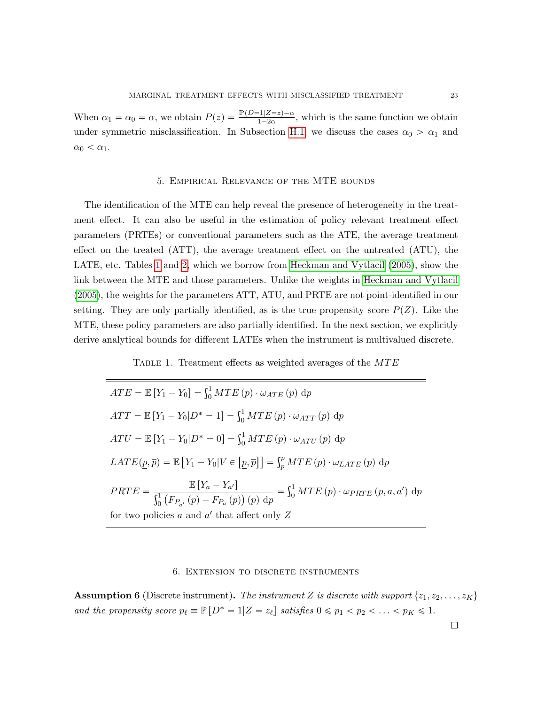When  $\alpha_1 = \alpha_0 = \alpha$ , we obtain  $P(z) = \frac{\mathbb{P}(D=1|Z=z) - \alpha}{1-2\alpha}$ , which is the same function we obtain under symmetric misclassification. In Subsection [H.1,](#page-48-0) we discuss the cases  $\alpha_0 > \alpha_1$  and  $\alpha_0 < \alpha_1$ .

## 5. Empirical Relevance of the MTE bounds

<span id="page-22-0"></span>The identification of the MTE can help reveal the presence of heterogeneity in the treatment effect. It can also be useful in the estimation of policy relevant treatment effect parameters (PRTEs) or conventional parameters such as the ATE, the average treatment effect on the treated (ATT), the average treatment effect on the untreated (ATU), the LATE, etc. Tables [1](#page-22-2) and [2,](#page-23-0) which we borrow from [Heckman and Vytlacil](#page-58-10) [\(2005\)](#page-58-10), show the link between the MTE and those parameters. Unlike the weights in [Heckman and Vytlacil](#page-58-10) [\(2005\)](#page-58-10), the weights for the parameters ATT, ATU, and PRTE are not point-identified in our setting. They are only partially identified, as is the true propensity score  $P(Z)$ . Like the MTE, these policy parameters are also partially identified. In the next section, we explicitly derive analytical bounds for different LATEs when the instrument is multivalued discrete.

<span id="page-22-2"></span>TABLE 1. Treatment effects as weighted averages of the MTE

$$
ATE = \mathbb{E}[Y_1 - Y_0] = \int_0^1 MTE(p) \cdot \omega_{ATE}(p) dp
$$
  
\n
$$
ATT = \mathbb{E}[Y_1 - Y_0|D^* = 1] = \int_0^1 MTE(p) \cdot \omega_{ATT}(p) dp
$$
  
\n
$$
ATU = \mathbb{E}[Y_1 - Y_0|D^* = 0] = \int_0^1 MTE(p) \cdot \omega_{ATU}(p) dp
$$
  
\n
$$
LATE(p, \overline{p}) = \mathbb{E}[Y_1 - Y_0|V \in [p, \overline{p}]] = \int_{\overline{p}}^{\overline{p}} MTE(p) \cdot \omega_{LATE}(p) dp
$$
  
\n
$$
PRTE = \frac{\mathbb{E}[Y_a - Y_{a'}]}{\int_0^1 (F_{P_{a'}}(p) - F_{P_{a}}(p))(p) dp} = \int_0^1 MTE(p) \cdot \omega_{PRTE}(p, a, a') dp
$$
  
\nfor two policies  $a$  and  $a'$  that affect only  $Z$ 

### 6. Extension to discrete instruments

<span id="page-22-3"></span><span id="page-22-1"></span>**Assumption 6** (Discrete instrument). The instrument Z is discrete with support  $\{z_1, z_2, \ldots, z_K\}$ and the propensity score  $p_\ell \equiv \mathbb{P} \left[ D^* = 1 | Z = z_\ell \right]$  satisfies  $0 \leq p_1 < p_2 < \ldots < p_K \leq 1$ .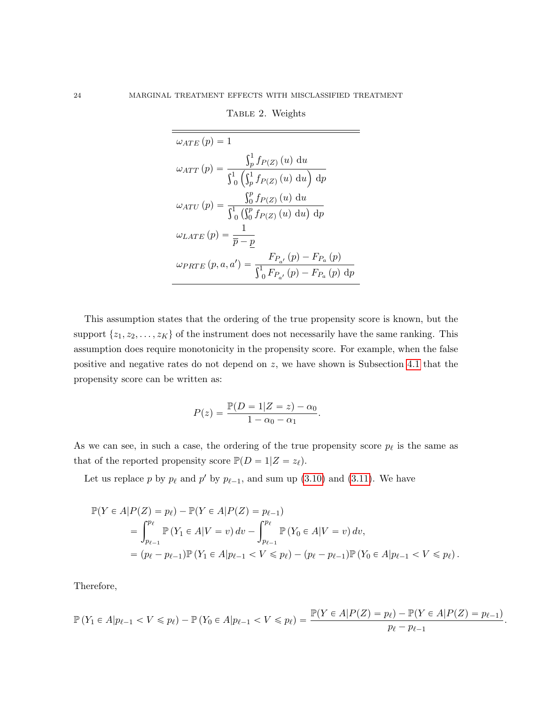$\omega_{ATE}(p) = 1$  $\omega_{ATT}\left( p\right) =% {\textstyle\int\nolimits_{-L}} \frac{1}{\left( p\right) ^{2}}\left( p\right)$  $\mathfrak{c}^1$  $\int_{p}^{1} f_{P(Z)}(u) \, \mathrm{d}u$  $\frac{1}{\sqrt{1}}$ 0  $\frac{1}{\sqrt{1}}$  $\int_{p}^{1} f_{P(Z)}(u) \, \mathrm{d}u$ '\_  $\mathrm{d}p$  $\omega_{ATU}\left( p\right) =% {\textstyle\int\nolimits_{-L}} \int_0^L e^{i\omega t}1_{\omega}e^{i\omega t}$  $\frac{3p}{5}$  $\int_0^p f_{P(Z)}(u) \, \mathrm{d}u$ 0  $\frac{y_0}{\sqrt{y}}$  $_{0}^{p}\,f_{P(Z)}\left( u\right) \,\mathrm{d}u$  $^{\prime}$  $\mathrm{d}p$  $\omega_{LATE}\left( p \right) = \frac{1}{\overline{p} - p}$  $\omega_{PRTE}\left(p,a,a'\right)=\frac{F_{P_{a'}}\left(p\right)-F_{P_{a}}\left(p\right)}{\Gamma\left(\frac{1}{F}\right)\left(\frac{1}{F}\right)\left(\frac{1}{F}\right)\left(\frac{1}{F}\right)}$  $_{0}F_{P_{a'}}(p) - F_{P_{a}}(p) dp$ 

<span id="page-23-0"></span>TABLE 2. Weights

This assumption states that the ordering of the true propensity score is known, but the support  $\{z_1, z_2, \ldots, z_K\}$  of the instrument does not necessarily have the same ranking. This assumption does require monotonicity in the propensity score. For example, when the false positive and negative rates do not depend on z, we have shown is Subsection [4.1](#page-18-2) that the propensity score can be written as:

$$
P(z) = \frac{\mathbb{P}(D = 1|Z = z) - \alpha_0}{1 - \alpha_0 - \alpha_1}.
$$

As we can see, in such a case, the ordering of the true propensity score  $p_\ell$  is the same as that of the reported propensity score  $\mathbb{P}(D = 1|Z = z_{\ell}).$ 

Let us replace p by  $p_\ell$  and p' by  $p_{\ell-1}$ , and sum up [\(3.10\)](#page-11-0) and [\(3.11\)](#page-11-1). We have

$$
\mathbb{P}(Y \in A | P(Z) = p_{\ell}) - \mathbb{P}(Y \in A | P(Z) = p_{\ell-1})
$$
  
= 
$$
\int_{p_{\ell-1}}^{p_{\ell}} \mathbb{P}(Y_1 \in A | V = v) dv - \int_{p_{\ell-1}}^{p_{\ell}} \mathbb{P}(Y_0 \in A | V = v) dv,
$$
  
= 
$$
(p_{\ell} - p_{\ell-1}) \mathbb{P}(Y_1 \in A | p_{\ell-1} < V \leq p_{\ell}) - (p_{\ell} - p_{\ell-1}) \mathbb{P}(Y_0 \in A | p_{\ell-1} < V \leq p_{\ell}).
$$

Therefore,

$$
\mathbb{P}(Y_1 \in A | p_{\ell-1} < V \leq p_{\ell}) - \mathbb{P}(Y_0 \in A | p_{\ell-1} < V \leq p_{\ell}) = \frac{\mathbb{P}(Y \in A | P(Z) = p_{\ell}) - \mathbb{P}(Y \in A | P(Z) = p_{\ell-1})}{p_{\ell} - p_{\ell-1}}
$$

.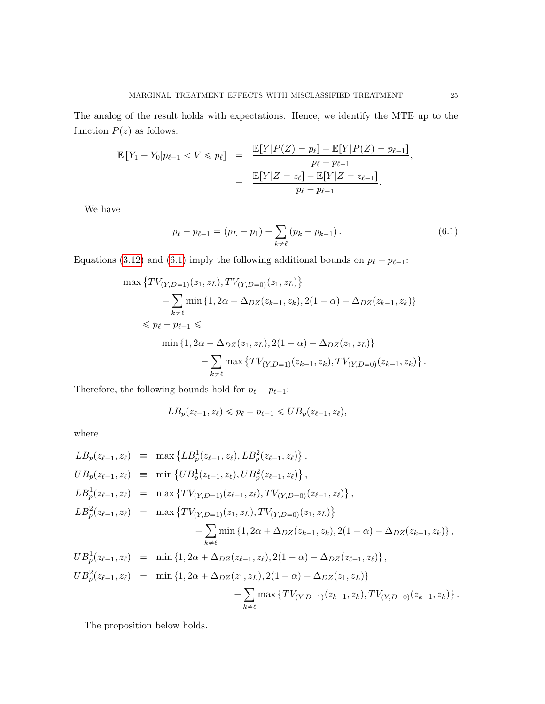The analog of the result holds with expectations. Hence, we identify the MTE up to the function  $P(z)$  as follows:

$$
\mathbb{E}[Y_1 - Y_0 | p_{\ell-1} < V \leq p_{\ell}] = \frac{\mathbb{E}[Y | P(Z) = p_{\ell}] - \mathbb{E}[Y | P(Z) = p_{\ell-1}]}{p_{\ell} - p_{\ell-1}},
$$
\n
$$
= \frac{\mathbb{E}[Y | Z = z_{\ell}] - \mathbb{E}[Y | Z = z_{\ell-1}]}{p_{\ell} - p_{\ell-1}}.
$$

We have

<span id="page-24-0"></span>
$$
p_{\ell} - p_{\ell-1} = (p_L - p_1) - \sum_{k \neq \ell} (p_k - p_{k-1}). \tag{6.1}
$$

Equations [\(3.12\)](#page-12-1) and [\(6.1\)](#page-24-0) imply the following additional bounds on  $p_{\ell} - p_{\ell-1}$ :

$$
\max \left\{ TV_{(Y,D=1)}(z_1, z_L), TV_{(Y,D=0)}(z_1, z_L) \right\}
$$
  
-
$$
\sum_{k \neq \ell} \min \left\{ 1, 2\alpha + \Delta_{DZ}(z_{k-1}, z_k), 2(1 - \alpha) - \Delta_{DZ}(z_{k-1}, z_k) \right\}
$$
  

$$
\leq p_{\ell} - p_{\ell-1} \leq \min \left\{ 1, 2\alpha + \Delta_{DZ}(z_1, z_L), 2(1 - \alpha) - \Delta_{DZ}(z_1, z_L) \right\}
$$
  
-
$$
\sum_{k \neq \ell} \max \left\{ TV_{(Y,D=1)}(z_{k-1}, z_k), TV_{(Y,D=0)}(z_{k-1}, z_k) \right\}.
$$

Therefore, the following bounds hold for  $p_{\ell} - p_{\ell-1}$ :

$$
LB_p(z_{\ell-1},z_{\ell}) \leqslant p_{\ell}-p_{\ell-1} \leqslant UB_p(z_{\ell-1},z_{\ell}),
$$

where

$$
LB_p(z_{\ell-1}, z_{\ell}) = \max \{LB_p(z_{\ell-1}, z_{\ell}), LB_p^2(z_{\ell-1}, z_{\ell})\},
$$
  
\n
$$
UB_p(z_{\ell-1}, z_{\ell}) = \min \{UB_p^1(z_{\ell-1}, z_{\ell}), UB_p^2(z_{\ell-1}, z_{\ell})\},
$$
  
\n
$$
LB_p^1(z_{\ell-1}, z_{\ell}) = \max \{TV_{(Y, D=1)}(z_{\ell-1}, z_{\ell}), TV_{(Y, D=0)}(z_{\ell-1}, z_{\ell})\},
$$
  
\n
$$
LB_p^2(z_{\ell-1}, z_{\ell}) = \max \{TV_{(Y, D=1)}(z_1, z_L), TV_{(Y, D=0)}(z_1, z_L)\} - \sum_{k \neq \ell} \min \{1, 2\alpha + \Delta_{DZ}(z_{k-1}, z_k), 2(1 - \alpha) - \Delta_{DZ}(z_{k-1}, z_k)\},
$$
  
\n
$$
UB_p^1(z_{\ell-1}, z_{\ell}) = \min \{1, 2\alpha + \Delta_{DZ}(z_{\ell-1}, z_{\ell}), 2(1 - \alpha) - \Delta_{DZ}(z_{\ell-1}, z_{\ell})\},
$$
  
\n
$$
UB_p^2(z_{\ell-1}, z_{\ell}) = \min \{1, 2\alpha + \Delta_{DZ}(z_1, z_L), 2(1 - \alpha) - \Delta_{DZ}(z_1, z_L)\} - \sum_{k \neq \ell} \max \{TV_{(Y, D=1)}(z_{k-1}, z_k), TV_{(Y, D=0)}(z_{k-1}, z_k)\}.
$$

The proposition below holds.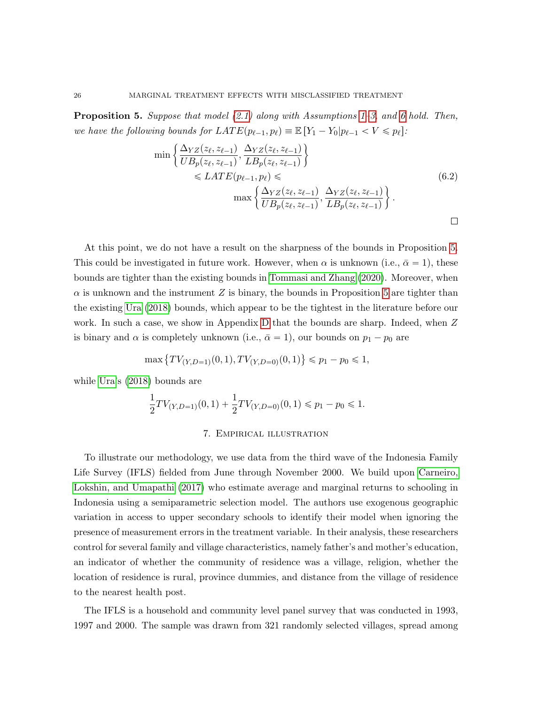<span id="page-25-1"></span>**Proposition 5.** Suppose that model  $(2.1)$  along with Assumptions [1–](#page-5-0)[3,](#page-6-1) and [6](#page-22-3) hold. Then, we have the following bounds for  $LATE(p_{\ell-1}, p_{\ell}) \equiv \mathbb{E}[Y_1 - Y_0|p_{\ell-1} < V \leq p_{\ell}].$ 

$$
\min\left\{\frac{\Delta_{YZ}(z_{\ell}, z_{\ell-1})}{UB_p(z_{\ell}, z_{\ell-1})}, \frac{\Delta_{YZ}(z_{\ell}, z_{\ell-1})}{LB_p(z_{\ell}, z_{\ell-1})}\right\}
$$
\n
$$
\leq LATE(p_{\ell-1}, p_{\ell}) \leq \max\left\{\frac{\Delta_{YZ}(z_{\ell}, z_{\ell-1})}{UB_p(z_{\ell}, z_{\ell-1})}, \frac{\Delta_{YZ}(z_{\ell}, z_{\ell-1})}{LB_p(z_{\ell}, z_{\ell-1})}\right\}.
$$
\n
$$
\Box
$$

(

At this point, we do not have a result on the sharpness of the bounds in Proposition [5.](#page-25-1) This could be investigated in future work. However, when  $\alpha$  is unknown (i.e.,  $\bar{\alpha} = 1$ ), these bounds are tighter than the existing bounds in [Tommasi and Zhang](#page-59-1) [\(2020\)](#page-59-1). Moreover, when  $\alpha$  is unknown and the instrument Z is binary, the bounds in Proposition [5](#page-25-1) are tighter than the existing [Ura](#page-59-0) [\(2018\)](#page-59-0) bounds, which appear to be the tightest in the literature before our work. In such a case, we show in Appendix [D](#page-35-1) that the bounds are sharp. Indeed, when Z is binary and  $\alpha$  is completely unknown (i.e.,  $\bar{\alpha} = 1$ ), our bounds on  $p_1 - p_0$  are

$$
\max \left\{ TV_{(Y,D=1)}(0,1), TV_{(Y,D=0)}(0,1) \right\} \leq p_1 - p_0 \leq 1,
$$

while [Ura'](#page-59-0)s [\(2018\)](#page-59-0) bounds are

$$
\frac{1}{2}TV_{(Y,D=1)}(0,1) + \frac{1}{2}TV_{(Y,D=0)}(0,1) \le p_1 - p_0 \le 1.
$$

### 7. Empirical illustration

<span id="page-25-0"></span>To illustrate our methodology, we use data from the third wave of the Indonesia Family Life Survey (IFLS) fielded from June through November 2000. We build upon [Carneiro,](#page-57-11) [Lokshin, and Umapathi](#page-57-11) [\(2017\)](#page-57-11) who estimate average and marginal returns to schooling in Indonesia using a semiparametric selection model. The authors use exogenous geographic variation in access to upper secondary schools to identify their model when ignoring the presence of measurement errors in the treatment variable. In their analysis, these researchers control for several family and village characteristics, namely father's and mother's education, an indicator of whether the community of residence was a village, religion, whether the location of residence is rural, province dummies, and distance from the village of residence to the nearest health post.

The IFLS is a household and community level panel survey that was conducted in 1993, 1997 and 2000. The sample was drawn from 321 randomly selected villages, spread among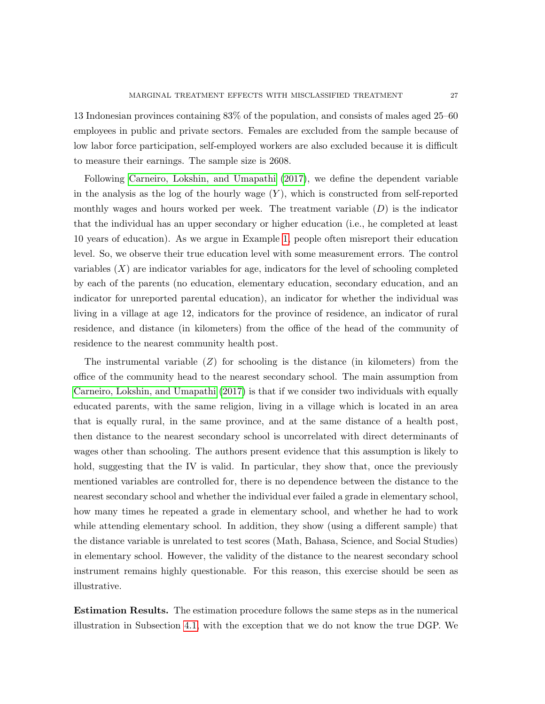13 Indonesian provinces containing 83% of the population, and consists of males aged 25–60 employees in public and private sectors. Females are excluded from the sample because of low labor force participation, self-employed workers are also excluded because it is difficult to measure their earnings. The sample size is 2608.

Following [Carneiro, Lokshin, and Umapathi](#page-57-11) [\(2017\)](#page-57-11), we define the dependent variable in the analysis as the log of the hourly wage  $(Y)$ , which is constructed from self-reported monthly wages and hours worked per week. The treatment variable  $(D)$  is the indicator that the individual has an upper secondary or higher education (i.e., he completed at least 10 years of education). As we argue in Example [1,](#page-4-1) people often misreport their education level. So, we observe their true education level with some measurement errors. The control variables  $(X)$  are indicator variables for age, indicators for the level of schooling completed by each of the parents (no education, elementary education, secondary education, and an indicator for unreported parental education), an indicator for whether the individual was living in a village at age 12, indicators for the province of residence, an indicator of rural residence, and distance (in kilometers) from the office of the head of the community of residence to the nearest community health post.

The instrumental variable  $(Z)$  for schooling is the distance (in kilometers) from the office of the community head to the nearest secondary school. The main assumption from [Carneiro, Lokshin, and Umapathi](#page-57-11) [\(2017\)](#page-57-11) is that if we consider two individuals with equally educated parents, with the same religion, living in a village which is located in an area that is equally rural, in the same province, and at the same distance of a health post, then distance to the nearest secondary school is uncorrelated with direct determinants of wages other than schooling. The authors present evidence that this assumption is likely to hold, suggesting that the IV is valid. In particular, they show that, once the previously mentioned variables are controlled for, there is no dependence between the distance to the nearest secondary school and whether the individual ever failed a grade in elementary school, how many times he repeated a grade in elementary school, and whether he had to work while attending elementary school. In addition, they show (using a different sample) that the distance variable is unrelated to test scores (Math, Bahasa, Science, and Social Studies) in elementary school. However, the validity of the distance to the nearest secondary school instrument remains highly questionable. For this reason, this exercise should be seen as illustrative.

Estimation Results. The estimation procedure follows the same steps as in the numerical illustration in Subsection [4.1,](#page-18-2) with the exception that we do not know the true DGP. We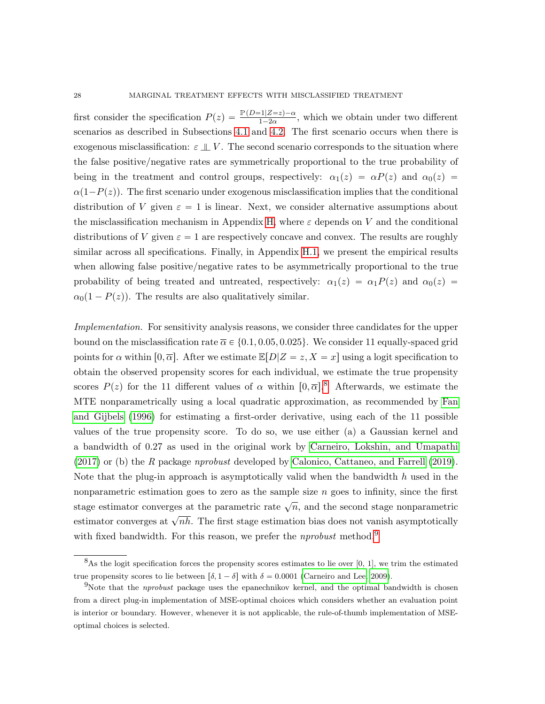first consider the specification  $P(z) = \frac{\mathbb{P}(D=1|Z=z)-\alpha}{1-2\alpha}$ , which we obtain under two different scenarios as described in Subsections [4.1](#page-18-2) and [4.2.](#page-21-0) The first scenario occurs when there is exogenous misclassification:  $\varepsilon \perp V$ . The second scenario corresponds to the situation where the false positive/negative rates are symmetrically proportional to the true probability of being in the treatment and control groups, respectively:  $\alpha_1(z) = \alpha P(z)$  and  $\alpha_0(z) =$  $\alpha(1-P(z))$ . The first scenario under exogenous misclassification implies that the conditional distribution of V given  $\varepsilon = 1$  is linear. Next, we consider alternative assumptions about the misclassification mechanism in Appendix [H,](#page-41-0) where  $\varepsilon$  depends on V and the conditional distributions of V given  $\varepsilon = 1$  are respectively concave and convex. The results are roughly similar across all specifications. Finally, in Appendix [H.1,](#page-48-0) we present the empirical results when allowing false positive/negative rates to be asymmetrically proportional to the true probability of being treated and untreated, respectively:  $\alpha_1(z) = \alpha_1P(z)$  and  $\alpha_0(z) =$  $\alpha_0(1 - P(z))$ . The results are also qualitatively similar.

Implementation. For sensitivity analysis reasons, we consider three candidates for the upper bound on the misclassification rate  $\overline{\alpha} \in \{0.1, 0.05, 0.025\}$ . We consider 11 equally-spaced grid points for  $\alpha$  within  $[0, \overline{\alpha}]$ . After we estimate  $\mathbb{E}[D|Z=z, X=x]$  using a logit specification to obtain the observed propensity scores for each individual, we estimate the true propensity scores  $P(z)$  for the 11 different values of  $\alpha$  within  $[0, \overline{\alpha}]$ .<sup>[8](#page-27-0)</sup> Afterwards, we estimate the MTE nonparametrically using a local quadratic approximation, as recommended by [Fan](#page-58-16) [and Gijbels](#page-58-16) [\(1996\)](#page-58-16) for estimating a first-order derivative, using each of the 11 possible values of the true propensity score. To do so, we use either (a) a Gaussian kernel and a bandwidth of 0.27 as used in the original work by [Carneiro, Lokshin, and Umapathi](#page-57-11) [\(2017\)](#page-57-11) or (b) the R package nprobust developed by [Calonico, Cattaneo, and Farrell](#page-57-12) [\(2019\)](#page-57-12). Note that the plug-in approach is asymptotically valid when the bandwidth  $h$  used in the nonparametric estimation goes to zero as the sample size  $n$  goes to infinity, since the first stage estimator converges at the parametric rate  $\sqrt{n}$ , and the second stage nonparametric estimator converges at  $\sqrt{n}$ . The first stage estimation bias does not vanish asymptotically with fixed bandwidth. For this reason, we prefer the *nprobust* method.<sup>[9](#page-27-1)</sup>

<span id="page-27-0"></span> $8$ As the logit specification forces the propensity scores estimates to lie over [0, 1], we trim the estimated true propensity scores to lie between  $\lceil \delta, 1 - \delta \rceil$  with  $\delta = 0.0001$  [\(Carneiro and Lee, 2009\)](#page-57-6).

<span id="page-27-1"></span><sup>&</sup>lt;sup>9</sup>Note that the *nprobust* package uses the epanechnikov kernel, and the optimal bandwidth is chosen from a direct plug-in implementation of MSE-optimal choices which considers whether an evaluation point is interior or boundary. However, whenever it is not applicable, the rule-of-thumb implementation of MSEoptimal choices is selected.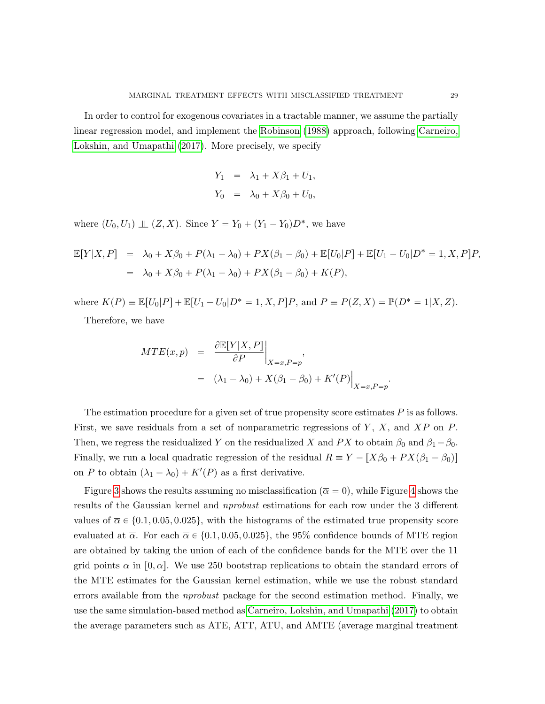In order to control for exogenous covariates in a tractable manner, we assume the partially linear regression model, and implement the [Robinson](#page-59-12) [\(1988\)](#page-59-12) approach, following [Carneiro,](#page-57-11) [Lokshin, and Umapathi](#page-57-11) [\(2017\)](#page-57-11). More precisely, we specify

$$
Y_1 = \lambda_1 + X\beta_1 + U_1,
$$
  

$$
Y_0 = \lambda_0 + X\beta_0 + U_0,
$$

where  $(U_0, U_1) \perp (Z, X)$ . Since  $Y = Y_0 + (Y_1 - Y_0)D^*$ , we have

$$
\mathbb{E}[Y|X,P] = \lambda_0 + X\beta_0 + P(\lambda_1 - \lambda_0) + PX(\beta_1 - \beta_0) + \mathbb{E}[U_0|P] + \mathbb{E}[U_1 - U_0|D^* = 1, X, P]P,
$$
  
=  $\lambda_0 + X\beta_0 + P(\lambda_1 - \lambda_0) + PX(\beta_1 - \beta_0) + K(P),$ 

where  $K(P) \equiv \mathbb{E}[U_0|P] + \mathbb{E}[U_1 - U_0|D^* = 1, X, P]P$ , and  $P \equiv P(Z, X) = \mathbb{P}(D^* = 1|X, Z)$ .

Therefore, we have

$$
MTE(x, p) = \frac{\partial \mathbb{E}[Y|X, P]}{\partial P}\Big|_{X=x, P=p},
$$
  
=  $(\lambda_1 - \lambda_0) + X(\beta_1 - \beta_0) + K'(P)\Big|_{X=x, P=p}.$ 

The estimation procedure for a given set of true propensity score estimates  $P$  is as follows. First, we save residuals from a set of nonparametric regressions of  $Y$ ,  $X$ , and  $XP$  on  $P$ . Then, we regress the residualized Y on the residualized X and PX to obtain  $\beta_0$  and  $\beta_1 - \beta_0$ . Finally, we run a local quadratic regression of the residual  $R \equiv Y - [X\beta_0 + PX(\beta_1 - \beta_0)]$ on P to obtain  $(\lambda_1 - \lambda_0) + K'(P)$  as a first derivative.

Figure [3](#page-29-0) shows the results assuming no misclassification ( $\overline{\alpha} = 0$ ), while Figure [4](#page-30-0) shows the results of the Gaussian kernel and nprobust estimations for each row under the 3 different values of  $\bar{\alpha} \in \{0.1, 0.05, 0.025\}$ , with the histograms of the estimated true propensity score evaluated at  $\overline{\alpha}$ . For each  $\overline{\alpha} \in \{0.1, 0.05, 0.025\}$ , the 95% confidence bounds of MTE region are obtained by taking the union of each of the confidence bands for the MTE over the 11 grid points  $\alpha$  in  $[0, \overline{\alpha}]$ . We use 250 bootstrap replications to obtain the standard errors of the MTE estimates for the Gaussian kernel estimation, while we use the robust standard errors available from the nprobust package for the second estimation method. Finally, we use the same simulation-based method as [Carneiro, Lokshin, and Umapathi](#page-57-11) [\(2017\)](#page-57-11) to obtain the average parameters such as ATE, ATT, ATU, and AMTE (average marginal treatment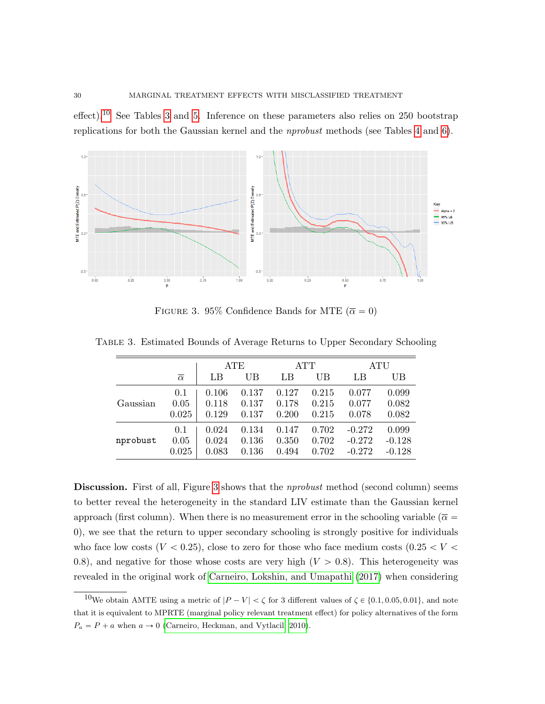effect).<sup>[10](#page-29-1)</sup> See Tables [3](#page-29-2) and [5.](#page-31-0) Inference on these parameters also relies on 250 bootstrap replications for both the Gaussian kernel and the nprobust methods (see Tables [4](#page-31-1) and [6\)](#page-31-2).



<span id="page-29-2"></span><span id="page-29-0"></span>FIGURE 3. 95% Confidence Bands for MTE ( $\overline{\alpha} = 0$ )

|          |                     |       | ATE   |       | ATT   | ATU      |          |
|----------|---------------------|-------|-------|-------|-------|----------|----------|
|          | $\overline{\alpha}$ | LB    | UB    | LB    | UB    | LB       | UB       |
| Gaussian | 0.1                 | 0.106 | 0.137 | 0.127 | 0.215 | 0.077    | 0.099    |
|          | 0.05                | 0.118 | 0.137 | 0.178 | 0.215 | 0.077    | 0.082    |
|          | 0.025               | 0.129 | 0.137 | 0.200 | 0.215 | 0.078    | 0.082    |
| nprobust | 0.1                 | 0.024 | 0.134 | 0.147 | 0.702 | $-0.272$ | 0.099    |
|          | 0.05                | 0.024 | 0.136 | 0.350 | 0.702 | $-0.272$ | $-0.128$ |
|          | 0.025               | 0.083 | 0.136 | 0.494 | 0.702 | $-0.272$ | $-0.128$ |

Table 3. Estimated Bounds of Average Returns to Upper Secondary Schooling

Discussion. First of all, Figure [3](#page-29-0) shows that the *nprobust* method (second column) seems to better reveal the heterogeneity in the standard LIV estimate than the Gaussian kernel approach (first column). When there is no measurement error in the schooling variable ( $\overline{\alpha}$  = 0), we see that the return to upper secondary schooling is strongly positive for individuals who face low costs ( $V < 0.25$ ), close to zero for those who face medium costs ( $0.25 < V <$ 0.8), and negative for those whose costs are very high  $(V > 0.8)$ . This heterogeneity was revealed in the original work of [Carneiro, Lokshin, and Umapathi](#page-57-11) [\(2017\)](#page-57-11) when considering

<span id="page-29-1"></span><sup>&</sup>lt;sup>10</sup>We obtain AMTE using a metric of  $|P - V| < \zeta$  for 3 different values of  $\zeta \in \{0.1, 0.05, 0.01\}$ , and note that it is equivalent to MPRTE (marginal policy relevant treatment effect) for policy alternatives of the form  $P_a = P + a$  when  $a \rightarrow 0$  [\(Carneiro, Heckman, and Vytlacil, 2010\)](#page-57-7).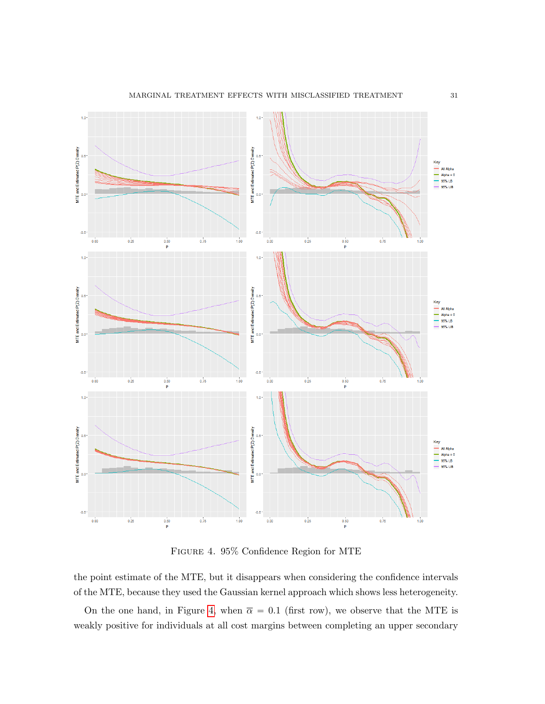

<span id="page-30-0"></span>Figure 4. 95% Confidence Region for MTE

the point estimate of the MTE, but it disappears when considering the confidence intervals of the MTE, because they used the Gaussian kernel approach which shows less heterogeneity.

On the one hand, in Figure [4,](#page-30-0) when  $\bar{\alpha} = 0.1$  (first row), we observe that the MTE is weakly positive for individuals at all cost margins between completing an upper secondary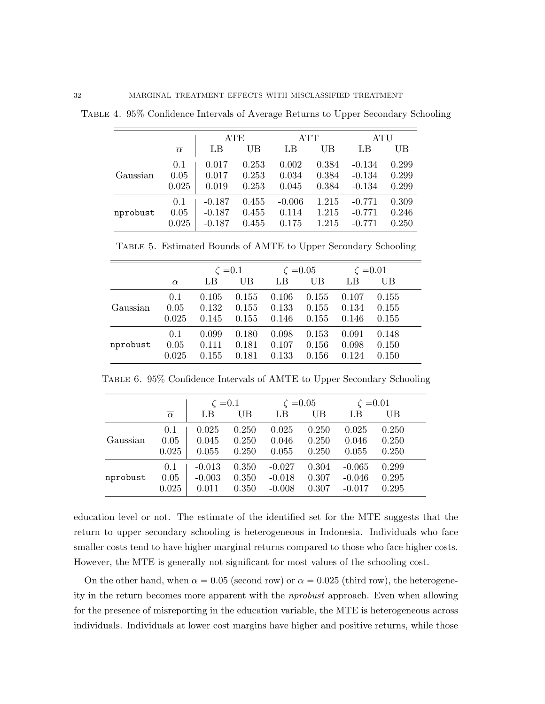<span id="page-31-1"></span>

|          |                     |          | ATE   |          | ATT   | <b>ATU</b> |       |
|----------|---------------------|----------|-------|----------|-------|------------|-------|
|          | $\overline{\alpha}$ | LB       | UВ    | LB       | UB    | LB         | UB    |
| Gaussian | 0.1                 | 0.017    | 0.253 | 0.002    | 0.384 | $-0.134$   | 0.299 |
|          | 0.05                | 0.017    | 0.253 | 0.034    | 0.384 | $-0.134$   | 0.299 |
|          | 0.025               | 0.019    | 0.253 | 0.045    | 0.384 | $-0.134$   | 0.299 |
| nprobust | 0.1                 | $-0.187$ | 0.455 | $-0.006$ | 1.215 | $-0.771$   | 0.309 |
|          | 0.05                | $-0.187$ | 0.455 | 0.114    | 1.215 | $-0.771$   | 0.246 |
|          | 0.025               | $-0.187$ | 0.455 | 0.175    | 1.215 | $-0.771$   | 0.250 |

Table 4. 95% Confidence Intervals of Average Returns to Upper Secondary Schooling

<span id="page-31-0"></span>

|  |  | TABLE 5. Estimated Bounds of AMTE to Upper Secondary Schooling |  |
|--|--|----------------------------------------------------------------|--|
|  |  |                                                                |  |

|          |                     |       | $\zeta = 0.1$ |       | $\zeta = 0.05$ |       | $\zeta = 0.01$ |
|----------|---------------------|-------|---------------|-------|----------------|-------|----------------|
|          | $\overline{\alpha}$ | LB    | UB            | LB    | UB             | LΒ    | UB             |
|          | 0.1                 | 0.105 | 0.155         | 0.106 | 0.155          | 0.107 | 0.155          |
| Gaussian | 0.05                | 0.132 | 0.155         | 0.133 | 0.155          | 0.134 | 0.155          |
|          | 0.025               | 0.145 | 0.155         | 0.146 | 0.155          | 0.146 | 0.155          |
|          | 0.1                 | 0.099 | 0.180         | 0.098 | 0.153          | 0.091 | 0.148          |
| nprobust | 0.05                | 0.111 | 0.181         | 0.107 | 0.156          | 0.098 | 0.150          |
|          | 0.025               | 0.155 | 0.181         | 0.133 | 0.156          | 0.124 | 0.150          |

<span id="page-31-2"></span>Table 6. 95% Confidence Intervals of AMTE to Upper Secondary Schooling

|          |                     |          | $\zeta = 0.1$ |          | $\zeta = 0.05$ | $\zeta = 0.01$ |       |
|----------|---------------------|----------|---------------|----------|----------------|----------------|-------|
|          | $\overline{\alpha}$ | LB       | UB            | LB       | UB             | LB             | UB    |
|          | 0.1                 | 0.025    | 0.250         | 0.025    | 0.250          | 0.025          | 0.250 |
| Gaussian | 0.05                | 0.045    | 0.250         | 0.046    | 0.250          | 0.046          | 0.250 |
|          | 0.025               | 0.055    | 0.250         | 0.055    | 0.250          | 0.055          | 0.250 |
|          | 0.1                 | $-0.013$ | 0.350         | $-0.027$ | 0.304          | $-0.065$       | 0.299 |
| nprobust | 0.05                | $-0.003$ | 0.350         | $-0.018$ | 0.307          | $-0.046$       | 0.295 |
|          | 0.025               | 0.011    | 0.350         | $-0.008$ | 0.307          | $-0.017$       | 0.295 |

education level or not. The estimate of the identified set for the MTE suggests that the return to upper secondary schooling is heterogeneous in Indonesia. Individuals who face smaller costs tend to have higher marginal returns compared to those who face higher costs. However, the MTE is generally not significant for most values of the schooling cost.

On the other hand, when  $\bar{\alpha} = 0.05$  (second row) or  $\bar{\alpha} = 0.025$  (third row), the heterogeneity in the return becomes more apparent with the nprobust approach. Even when allowing for the presence of misreporting in the education variable, the MTE is heterogeneous across individuals. Individuals at lower cost margins have higher and positive returns, while those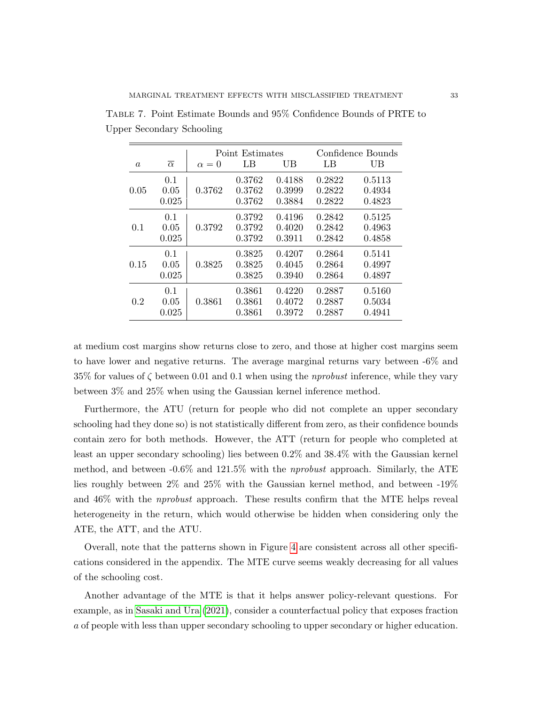<span id="page-32-0"></span>

|                  |                      |            | Point Estimates            |                            |                            | Confidence Bounds          |
|------------------|----------------------|------------|----------------------------|----------------------------|----------------------------|----------------------------|
| $\boldsymbol{a}$ | $\overline{\alpha}$  | $\alpha=0$ | LB                         | UB                         | LB                         | UB                         |
| 0.05             | 0.1<br>0.05<br>0.025 | 0.3762     | 0.3762<br>0.3762<br>0.3762 | 0.4188<br>0.3999<br>0.3884 | 0.2822<br>0.2822<br>0.2822 | 0.5113<br>0.4934<br>0.4823 |
| 0.1              | 0.1<br>0.05<br>0.025 | 0.3792     | 0.3792<br>0.3792<br>0.3792 | 0.4196<br>0.4020<br>0.3911 | 0.2842<br>0.2842<br>0.2842 | 0.5125<br>0.4963<br>0.4858 |
| 0.15             | 0.1<br>0.05<br>0.025 | 0.3825     | 0.3825<br>0.3825<br>0.3825 | 0.4207<br>0.4045<br>0.3940 | 0.2864<br>0.2864<br>0.2864 | 0.5141<br>0.4997<br>0.4897 |
| 0.2              | 0.1<br>0.05<br>0.025 | 0.3861     | 0.3861<br>0.3861<br>0.3861 | 0.4220<br>0.4072<br>0.3972 | 0.2887<br>0.2887<br>0.2887 | 0.5160<br>0.5034<br>0.4941 |

Table 7. Point Estimate Bounds and 95% Confidence Bounds of PRTE to Upper Secondary Schooling

at medium cost margins show returns close to zero, and those at higher cost margins seem to have lower and negative returns. The average marginal returns vary between -6% and 35% for values of  $\zeta$  between 0.01 and 0.1 when using the *nprobust* inference, while they vary between 3% and 25% when using the Gaussian kernel inference method.

Furthermore, the ATU (return for people who did not complete an upper secondary schooling had they done so) is not statistically different from zero, as their confidence bounds contain zero for both methods. However, the ATT (return for people who completed at least an upper secondary schooling) lies between 0.2% and 38.4% with the Gaussian kernel method, and between -0.6% and 121.5% with the nprobust approach. Similarly, the ATE lies roughly between 2% and 25% with the Gaussian kernel method, and between -19% and 46% with the nprobust approach. These results confirm that the MTE helps reveal heterogeneity in the return, which would otherwise be hidden when considering only the ATE, the ATT, and the ATU.

Overall, note that the patterns shown in Figure [4](#page-30-0) are consistent across all other specifications considered in the appendix. The MTE curve seems weakly decreasing for all values of the schooling cost.

Another advantage of the MTE is that it helps answer policy-relevant questions. For example, as in [Sasaki and Ura](#page-59-13) [\(2021\)](#page-59-13), consider a counterfactual policy that exposes fraction a of people with less than upper secondary schooling to upper secondary or higher education.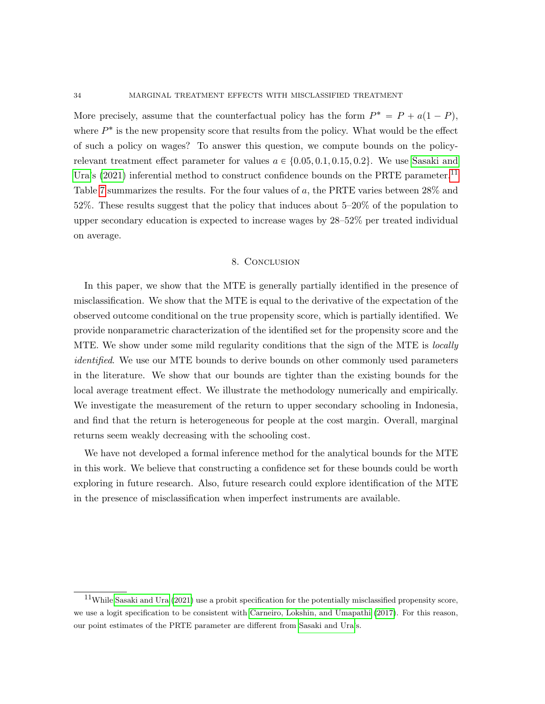More precisely, assume that the counterfactual policy has the form  $P^* = P + a(1 - P)$ , where  $P^*$  is the new propensity score that results from the policy. What would be the effect of such a policy on wages? To answer this question, we compute bounds on the policyrelevant treatment effect parameter for values  $a \in \{0.05, 0.1, 0.15, 0.2\}$ . We use [Sasaki and](#page-59-13) [Ura'](#page-59-13)s [\(2021\)](#page-59-13) inferential method to construct confidence bounds on the PRTE parameter.<sup>[11](#page-33-1)</sup> Table [7](#page-32-0) summarizes the results. For the four values of a, the PRTE varies between 28% and 52%. These results suggest that the policy that induces about 5–20% of the population to upper secondary education is expected to increase wages by 28–52% per treated individual on average.

### 8. Conclusion

<span id="page-33-0"></span>In this paper, we show that the MTE is generally partially identified in the presence of misclassification. We show that the MTE is equal to the derivative of the expectation of the observed outcome conditional on the true propensity score, which is partially identified. We provide nonparametric characterization of the identified set for the propensity score and the MTE. We show under some mild regularity conditions that the sign of the MTE is *locally identified*. We use our MTE bounds to derive bounds on other commonly used parameters in the literature. We show that our bounds are tighter than the existing bounds for the local average treatment effect. We illustrate the methodology numerically and empirically. We investigate the measurement of the return to upper secondary schooling in Indonesia, and find that the return is heterogeneous for people at the cost margin. Overall, marginal returns seem weakly decreasing with the schooling cost.

We have not developed a formal inference method for the analytical bounds for the MTE in this work. We believe that constructing a confidence set for these bounds could be worth exploring in future research. Also, future research could explore identification of the MTE in the presence of misclassification when imperfect instruments are available.

<span id="page-33-1"></span> $11$ While [Sasaki and Ura](#page-59-13) [\(2021\)](#page-59-13) use a probit specification for the potentially misclassified propensity score, we use a logit specification to be consistent with [Carneiro, Lokshin, and Umapathi](#page-57-11) [\(2017\)](#page-57-11). For this reason, our point estimates of the PRTE parameter are different from [Sasaki and Ura'](#page-59-13)s.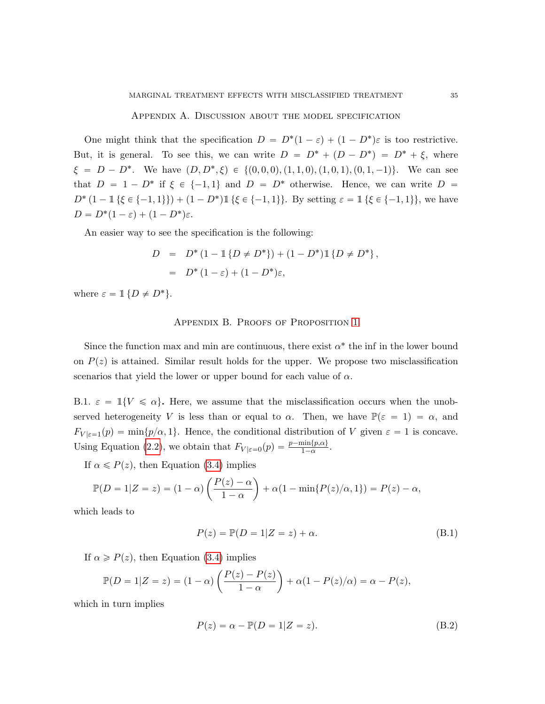#### Appendix A. Discussion about the model specification

<span id="page-34-0"></span>One might think that the specification  $D = D^*(1 - \varepsilon) + (1 - D^*)\varepsilon$  is too restrictive. But, it is general. To see this, we can write  $D = D^* + (D - D^*) = D^* + \xi$ , where  $\xi = D - D^*$ . We have  $(D, D^*, \xi) \in \{(0, 0, 0), (1, 1, 0), (1, 0, 1), (0, 1, -1)\}$ . We can see that  $D = 1 - D^*$  if  $\xi \in \{-1, 1\}$  and  $D = D^*$  otherwise. Hence, we can write  $D =$  $D^*$   $(1 - 1 \{\xi \in \{-1, 1\}\}) + (1 - D^*) 1 \{\xi \in \{-1, 1\}\}\)$ . By setting  $\varepsilon = 1 \{\xi \in \{-1, 1\}\}\$ , we have  $D = D^*(1 - \varepsilon) + (1 - D^*)\varepsilon.$ 

An easier way to see the specification is the following:

$$
D = D^* (1 - \mathbb{1} \{ D \neq D^* \}) + (1 - D^*) \mathbb{1} \{ D \neq D^* \},
$$
  
= 
$$
D^* (1 - \varepsilon) + (1 - D^*) \varepsilon,
$$

<span id="page-34-1"></span>where  $\varepsilon = \mathbb{1} \{ D \neq D^* \}.$ 

### Appendix B. Proofs of Proposition [1](#page-9-0)

Since the function max and min are continuous, there exist  $\alpha^*$  the inf in the lower bound on  $P(z)$  is attained. Similar result holds for the upper. We propose two misclassification scenarios that yield the lower or upper bound for each value of  $\alpha$ .

B.1.  $\varepsilon = \mathbb{1}{V \le \alpha}$ . Here, we assume that the misclassification occurs when the unobserved heterogeneity V is less than or equal to  $\alpha$ . Then, we have  $\mathbb{P}(\varepsilon = 1) = \alpha$ , and  $F_{V|\varepsilon=1}(p) = \min\{p/\alpha, 1\}.$  Hence, the conditional distribution of V given  $\varepsilon = 1$  is concave. Using Equation [\(2.2\)](#page-6-3), we obtain that  $F_{V|\varepsilon=0}(p) = \frac{p-\min\{p,\alpha\}}{1-\alpha}$ .

If  $\alpha \leq P(z)$ , then Equation [\(3.4\)](#page-8-0) implies

$$
\mathbb{P}(D = 1|Z = z) = (1 - \alpha) \left( \frac{P(z) - \alpha}{1 - \alpha} \right) + \alpha (1 - \min\{P(z)/\alpha, 1\}) = P(z) - \alpha,
$$

which leads to

$$
P(z) = \mathbb{P}(D = 1|Z = z) + \alpha.
$$
 (B.1)

If  $\alpha \ge P(z)$ , then Equation [\(3.4\)](#page-8-0) implies

$$
\mathbb{P}(D = 1|Z = z) = (1 - \alpha) \left( \frac{P(z) - P(z)}{1 - \alpha} \right) + \alpha (1 - P(z)/\alpha) = \alpha - P(z),
$$

which in turn implies

$$
P(z) = \alpha - \mathbb{P}(D = 1|Z = z).
$$
 (B.2)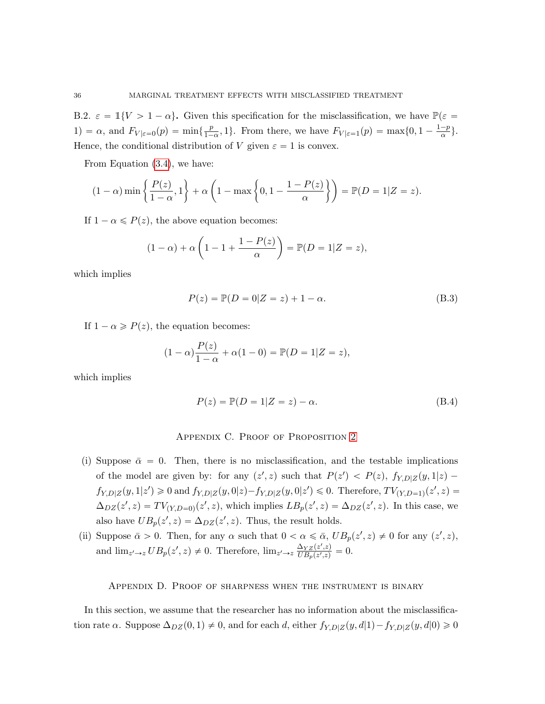B.2.  $\varepsilon = \mathbb{1}{V > 1 - \alpha}$ . Given this specification for the misclassification, we have  $\mathbb{P}(\varepsilon =$ 1) =  $\alpha$ , and  $F_{V|\varepsilon=0}(p) = \min\{\frac{p}{1-p}\}$  $\frac{p}{1-\alpha}$ , 1}. From there, we have  $F_{V|\varepsilon=1}(p) = \max\{0, 1 - \frac{1-p}{\alpha}\}$  $\frac{-p}{\alpha}\}.$ Hence, the conditional distribution of V given  $\varepsilon = 1$  is convex.

From Equation [\(3.4\)](#page-8-0), we have:

$$
(1-\alpha)\min\left\{\frac{P(z)}{1-\alpha},1\right\}+\alpha\left(1-\max\left\{0,1-\frac{1-P(z)}{\alpha}\right\}\right)=\mathbb{P}(D=1|Z=z).
$$

If  $1 - \alpha \leq P(z)$ , the above equation becomes:

$$
(1 - \alpha) + \alpha \left( 1 - 1 + \frac{1 - P(z)}{\alpha} \right) = \mathbb{P}(D = 1 | Z = z),
$$

which implies

$$
P(z) = \mathbb{P}(D = 0|Z = z) + 1 - \alpha.
$$
 (B.3)

If  $1 - \alpha \geqslant P(z)$ , the equation becomes:

$$
(1 - \alpha) \frac{P(z)}{1 - \alpha} + \alpha (1 - 0) = \mathbb{P}(D = 1 | Z = z),
$$

which implies

$$
P(z) = \mathbb{P}(D = 1|Z = z) - \alpha.
$$
 (B.4)

### Appendix C. Proof of Proposition [2](#page-13-2)

- <span id="page-35-0"></span>(i) Suppose  $\bar{\alpha} = 0$ . Then, there is no misclassification, and the testable implications of the model are given by: for any  $(z', z)$  such that  $P(z') < P(z)$ ,  $f_{Y,D|Z}(y, 1|z)$  $f_{Y,D|Z}(y,1|z') \geq 0$  and  $f_{Y,D|Z}(y,0|z) - f_{Y,D|Z}(y,0|z') \leq 0$ . Therefore,  $TV_{(Y,D=1)}(z',z) =$  $\Delta_{DZ}(z', z) = TV_{(Y, D=0)}(z', z)$ , which implies  $LB_p(z', z) = \Delta_{DZ}(z', z)$ . In this case, we also have  $UB_p(z', z) = \Delta_{DZ}(z', z)$ . Thus, the result holds.
- (ii) Suppose  $\bar{\alpha} > 0$ . Then, for any  $\alpha$  such that  $0 < \alpha \leq \bar{\alpha}$ ,  $UB_p(z', z) \neq 0$  for any  $(z', z)$ , and  $\lim_{z'\to z} UB_p(z', z) \neq 0$ . Therefore,  $\lim_{z'\to z} \frac{\Delta_{YZ}(z', z)}{UB_n(z', z)}$  $\frac{\Delta_{YZ}(z^*,z)}{UB_p(z^*,z)}=0.$

Appendix D. Proof of sharpness when the instrument is binary

<span id="page-35-1"></span>In this section, we assume that the researcher has no information about the misclassification rate  $\alpha$ . Suppose  $\Delta_{DZ}(0, 1) \neq 0$ , and for each d, either  $f_{Y,D|Z}(y, d|1) - f_{Y,D|Z}(y, d|0) \geq 0$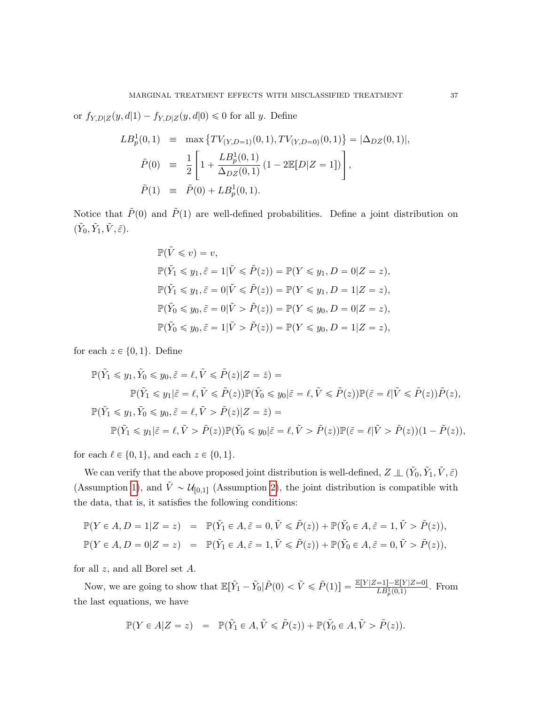or  $f_{Y,D|Z}(y, d|1) - f_{Y,D|Z}(y, d|0) \leq 0$  for all y. Define

$$
LB_p^1(0,1) = \max \{ TV_{(Y,D=1)}(0,1), TV_{(Y,D=0)}(0,1) \} = |\Delta_{DZ}(0,1)|,
$$
  
\n
$$
\tilde{P}(0) = \frac{1}{2} \left[ 1 + \frac{LB_p^1(0,1)}{\Delta_{DZ}(0,1)} (1 - 2\mathbb{E}[D|Z=1]) \right],
$$
  
\n
$$
\tilde{P}(1) = \tilde{P}(0) + LB_p^1(0,1).
$$

Notice that  $\tilde{P}(0)$  and  $\tilde{P}(1)$  are well-defined probabilities. Define a joint distribution on  $(\tilde{Y}_0, \tilde{Y}_1, \tilde{V}, \tilde{\varepsilon}).$ 

$$
\begin{aligned}\n\mathbb{P}(\tilde{V} \leq v) &= v, \\
\mathbb{P}(\tilde{Y}_1 \leq y_1, \tilde{\varepsilon} = 1 | \tilde{V} \leq \tilde{P}(z)) &= \mathbb{P}(Y \leq y_1, D = 0 | Z = z), \\
\mathbb{P}(\tilde{Y}_1 \leq y_1, \tilde{\varepsilon} = 0 | \tilde{V} \leq \tilde{P}(z)) &= \mathbb{P}(Y \leq y_1, D = 1 | Z = z), \\
\mathbb{P}(\tilde{Y}_0 \leq y_0, \tilde{\varepsilon} = 0 | \tilde{V} > \tilde{P}(z)) &= \mathbb{P}(Y \leq y_0, D = 0 | Z = z), \\
\mathbb{P}(\tilde{Y}_0 \leq y_0, \tilde{\varepsilon} = 1 | \tilde{V} > \tilde{P}(z)) &= \mathbb{P}(Y \leq y_0, D = 1 | Z = z),\n\end{aligned}
$$

for each  $z \in \{0, 1\}$ . Define

$$
\mathbb{P}(\tilde{Y}_1 \leq y_1, \tilde{Y}_0 \leq y_0, \tilde{\varepsilon} = \ell, \tilde{V} \leq \tilde{P}(z)|Z = \tilde{z}) =
$$
  
\n
$$
\mathbb{P}(\tilde{Y}_1 \leq y_1|\tilde{\varepsilon} = \ell, \tilde{V} \leq \tilde{P}(z))\mathbb{P}(\tilde{Y}_0 \leq y_0|\tilde{\varepsilon} = \ell, \tilde{V} \leq \tilde{P}(z))\mathbb{P}(\tilde{\varepsilon} = \ell|\tilde{V} \leq \tilde{P}(z))\tilde{P}(z),
$$
  
\n
$$
\mathbb{P}(\tilde{Y}_1 \leq y_1, \tilde{Y}_0 \leq y_0, \tilde{\varepsilon} = \ell, \tilde{V} > \tilde{P}(z)|Z = \tilde{z}) =
$$
  
\n
$$
\mathbb{P}(\tilde{Y}_1 \leq y_1|\tilde{\varepsilon} = \ell, \tilde{V} > \tilde{P}(z))\mathbb{P}(\tilde{Y}_0 \leq y_0|\tilde{\varepsilon} = \ell, \tilde{V} > \tilde{P}(z))\mathbb{P}(\tilde{\varepsilon} = \ell|\tilde{V} > \tilde{P}(z))(1 - \tilde{P}(z)),
$$

for each  $\ell \in \{0, 1\}$ , and each  $z \in \{0, 1\}$ .

We can verify that the above proposed joint distribution is well-defined,  $Z \perp\!\!\!\perp (\tilde{Y}_0,\tilde{Y}_1,\tilde{V},\tilde{\varepsilon})$ (Assumption [1\)](#page-5-0), and  $\tilde{V} \sim \mathcal{U}_{[0,1]}$  (Assumption [2\)](#page-5-1), the joint distribution is compatible with the data, that is, it satisfies the following conditions:

$$
\mathbb{P}(Y \in A, D = 1|Z = z) = \mathbb{P}(\tilde{Y}_1 \in A, \tilde{\varepsilon} = 0, \tilde{V} \le \tilde{P}(z)) + \mathbb{P}(\tilde{Y}_0 \in A, \tilde{\varepsilon} = 1, \tilde{V} > \tilde{P}(z)),
$$
  

$$
\mathbb{P}(Y \in A, D = 0|Z = z) = \mathbb{P}(\tilde{Y}_1 \in A, \tilde{\varepsilon} = 1, \tilde{V} \le \tilde{P}(z)) + \mathbb{P}(\tilde{Y}_0 \in A, \tilde{\varepsilon} = 0, \tilde{V} > \tilde{P}(z)),
$$

for all  $z$ , and all Borel set  $A$ .

Now, we are going to show that  $\mathbb{E}[\tilde{Y}_1 - \tilde{Y}_0 | \tilde{P}(0) < \tilde{V} \leq \tilde{P}(1)] = \frac{\mathbb{E}[Y|Z=1] - \mathbb{E}[Y|Z=0]}{LB_p^1(0,1)}$ . From the last equations, we have

$$
\mathbb{P}(Y \in A | Z = z) = \mathbb{P}(\tilde{Y}_1 \in A, \tilde{V} \leq \tilde{P}(z)) + \mathbb{P}(\tilde{Y}_0 \in A, \tilde{V} > \tilde{P}(z)).
$$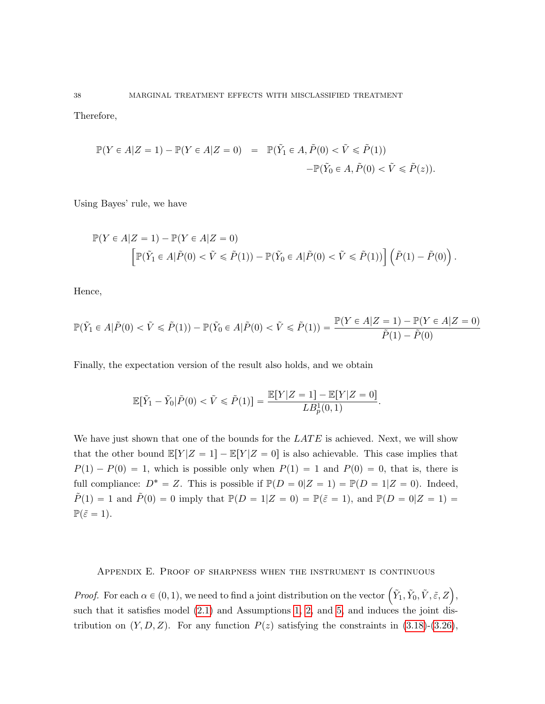Therefore,

$$
\mathbb{P}(Y \in A | Z = 1) - \mathbb{P}(Y \in A | Z = 0) = \mathbb{P}(\tilde{Y}_1 \in A, \tilde{P}(0) < \tilde{V} \leq \tilde{P}(1)) - \mathbb{P}(\tilde{Y}_0 \in A, \tilde{P}(0) < \tilde{V} \leq \tilde{P}(z)).
$$

Using Bayes' rule, we have

$$
\mathbb{P}(Y \in A | Z = 1) - \mathbb{P}(Y \in A | Z = 0)
$$
  

$$
\left[ \mathbb{P}(\tilde{Y}_1 \in A | \tilde{P}(0) < \tilde{V} \leq \tilde{P}(1)) - \mathbb{P}(\tilde{Y}_0 \in A | \tilde{P}(0) < \tilde{V} \leq \tilde{P}(1)) \right] \left( \tilde{P}(1) - \tilde{P}(0) \right).
$$

Hence,

$$
\mathbb{P}(\tilde{Y}_1 \in A | \tilde{P}(0) < \tilde{V} \leq \tilde{P}(1)) - \mathbb{P}(\tilde{Y}_0 \in A | \tilde{P}(0) < \tilde{V} \leq \tilde{P}(1)) = \frac{\mathbb{P}(Y \in A | Z = 1) - \mathbb{P}(Y \in A | Z = 0)}{\tilde{P}(1) - \tilde{P}(0)}
$$

Finally, the expectation version of the result also holds, and we obtain

$$
\mathbb{E}[\tilde{Y}_1 - \tilde{Y}_0 | \tilde{P}(0) < \tilde{V} \leq \tilde{P}(1)] = \frac{\mathbb{E}[Y|Z=1] - \mathbb{E}[Y|Z=0]}{LB_p^1(0,1)}.
$$

We have just shown that one of the bounds for the  $LATE$  is achieved. Next, we will show that the other bound  $\mathbb{E}[Y|Z = 1] - \mathbb{E}[Y|Z = 0]$  is also achievable. This case implies that  $P(1) - P(0) = 1$ , which is possible only when  $P(1) = 1$  and  $P(0) = 0$ , that is, there is full compliance:  $D^* = Z$ . This is possible if  $\mathbb{P}(D = 0|Z = 1) = \mathbb{P}(D = 1|Z = 0)$ . Indeed,  $\tilde{P}(1) = 1$  and  $\tilde{P}(0) = 0$  imply that  $\mathbb{P}(D = 1|Z = 0) = \mathbb{P}(\tilde{\varepsilon} = 1)$ , and  $\mathbb{P}(D = 0|Z = 1) =$  $\mathbb{P}(\tilde{\varepsilon}=1).$ 

Appendix E. Proof of sharpness when the instrument is continuous

<span id="page-37-0"></span>*Proof.* For each  $\alpha \in (0, 1)$ , we need to find a joint distribution on the vector  $(\tilde{Y}_1, \tilde{Y}_0, \tilde{V}, \tilde{\varepsilon}, Z)$ , such that it satisfies model  $(2.1)$  and Assumptions [1,](#page-5-0) [2,](#page-5-1) and [5,](#page-16-0) and induces the joint distribution on  $(Y, D, Z)$ . For any function  $P(z)$  satisfying the constraints in  $(3.18)-(3.26)$  $(3.18)-(3.26)$  $(3.18)-(3.26)$ ,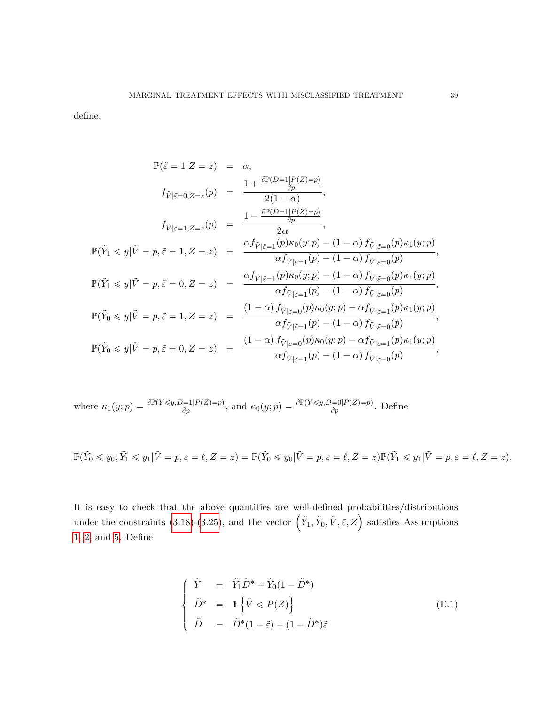define:

$$
\mathbb{P}(\tilde{\varepsilon} = 1|Z = z) = \alpha,
$$
\n
$$
f_{\tilde{V}|\tilde{\varepsilon}=0, Z=z}(p) = \frac{1 + \frac{\partial \mathbb{P}(D=1|P(Z)=p)}{\partial p}}{2(1-\alpha)},
$$
\n
$$
f_{\tilde{V}|\tilde{\varepsilon}=1, Z=z}(p) = \frac{1 - \frac{\partial \mathbb{P}(D=1|P(Z)=p)}{\partial p}}{2\alpha},
$$
\n
$$
\mathbb{P}(\tilde{Y}_1 \le y|\tilde{V}=p, \tilde{\varepsilon}=1, Z=z) = \frac{\alpha f_{\tilde{V}|\tilde{\varepsilon}=1}(p)\kappa_0(y;p)-(1-\alpha) f_{\tilde{V}|\tilde{\varepsilon}=0}(p)\kappa_1(y;p)}{\alpha f_{\tilde{V}|\tilde{\varepsilon}=1}(p)-(1-\alpha) f_{\tilde{V}|\tilde{\varepsilon}=0}(p))},
$$
\n
$$
\mathbb{P}(\tilde{Y}_1 \le y|\tilde{V}=p, \tilde{\varepsilon}=0, Z=z) = \frac{\alpha f_{\tilde{V}|\tilde{\varepsilon}=1}(p)\kappa_0(y;p)-(1-\alpha) f_{\tilde{V}|\tilde{\varepsilon}=0}(p)\kappa_1(y;p)}{\alpha f_{\tilde{V}|\tilde{\varepsilon}=1}(p)-(1-\alpha) f_{\tilde{V}|\tilde{\varepsilon}=0}(p))},
$$
\n
$$
\mathbb{P}(\tilde{Y}_0 \le y|\tilde{V}=p, \tilde{\varepsilon}=1, Z=z) = \frac{(1-\alpha) f_{\tilde{V}|\tilde{\varepsilon}=0}(p)\kappa_0(y;p)-\alpha f_{\tilde{V}|\tilde{\varepsilon}=1}(p)\kappa_1(y;p)}{\alpha f_{\tilde{V}|\tilde{\varepsilon}=1}(p)-(1-\alpha) f_{\tilde{V}|\tilde{\varepsilon}=0}(p))},
$$
\n
$$
\mathbb{P}(\tilde{Y}_0 \le y|\tilde{V}=p, \tilde{\varepsilon}=0, Z=z) = \frac{(1-\alpha) f_{\tilde{V}|\varepsilon=0}(p)\kappa_0(y;p)-\alpha f_{\tilde{V}|\varepsilon=1}(p)\kappa_1(y;p)}{\alpha f_{\tilde{V}|\tilde{\varepsilon}=1}(p)-(1-\alpha)
$$

where 
$$
\kappa_1(y; p) = \frac{\partial \mathbb{P}(Y \leq y, D=1 | P(Z) = p)}{\partial p}
$$
, and  $\kappa_0(y; p) = \frac{\partial \mathbb{P}(Y \leq y, D=0 | P(Z) = p)}{\partial p}$ . Define

$$
\mathbb{P}(\tilde{Y}_0 \leq y_0, \tilde{Y}_1 \leq y_1 | \tilde{V} = p, \varepsilon = \ell, Z = z) = \mathbb{P}(\tilde{Y}_0 \leq y_0 | \tilde{V} = p, \varepsilon = \ell, Z = z) \mathbb{P}(\tilde{Y}_1 \leq y_1 | \tilde{V} = p, \varepsilon = \ell, Z = z).
$$

It is easy to check that the above quantities are well-defined probabilities/distributions It is easy to check that the above quantities are well-defined probabilities/distributions<br>under the constraints [\(3.18\)](#page-17-0)-[\(3.25\)](#page-17-1), and the vector  $(\tilde{Y}_1, \tilde{Y}_0, \tilde{V}, \tilde{\varepsilon}, Z)$  satisfies Assumptions [1,](#page-5-0) [2,](#page-5-1) and [5.](#page-16-0) Define

$$
\begin{cases}\n\tilde{Y} = \tilde{Y}_1 \tilde{D}^* + \tilde{Y}_0 (1 - \tilde{D}^*) \\
\tilde{D}^* = 1 \left\{ \tilde{V} \le P(Z) \right\} \\
\tilde{D} = \tilde{D}^* (1 - \tilde{\varepsilon}) + (1 - \tilde{D}^*) \tilde{\varepsilon}\n\end{cases}
$$
\n(E.1)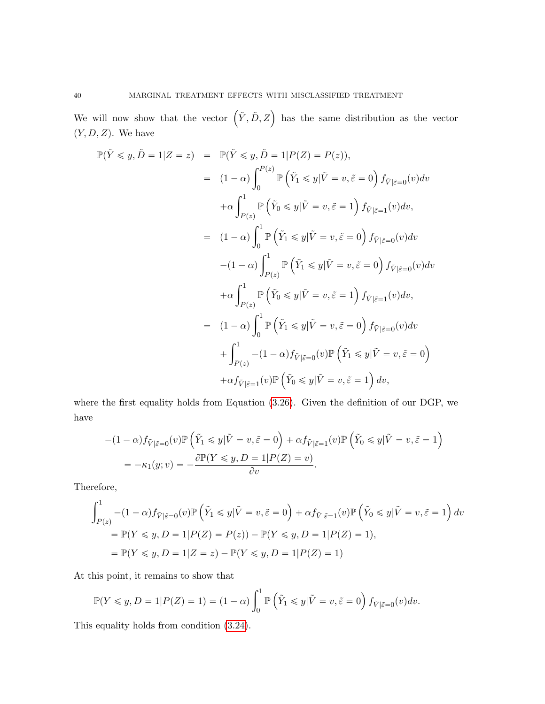We will now show that the vector  $(\tilde{Y}, \tilde{D}, Z)$  has the same distribution as the vector  $(Y, D, Z)$ . We have

$$
\mathbb{P}(\tilde{Y} \leq y, \tilde{D} = 1 | Z = z) = \mathbb{P}(\tilde{Y} \leq y, \tilde{D} = 1 | P(Z) = P(z)),
$$
  
\n
$$
= (1 - \alpha) \int_0^{P(z)} \mathbb{P}(\tilde{Y}_1 \leq y | \tilde{V} = v, \tilde{\varepsilon} = 0) f_{\tilde{V}|\tilde{\varepsilon}=0}(v) dv
$$
  
\n
$$
+ \alpha \int_{P(z)}^1 \mathbb{P}(\tilde{Y}_0 \leq y | \tilde{V} = v, \tilde{\varepsilon} = 1) f_{\tilde{V}|\tilde{\varepsilon}=1}(v) dv,
$$
  
\n
$$
= (1 - \alpha) \int_0^1 \mathbb{P}(\tilde{Y}_1 \leq y | \tilde{V} = v, \tilde{\varepsilon} = 0) f_{\tilde{V}|\tilde{\varepsilon}=0}(v) dv
$$
  
\n
$$
- (1 - \alpha) \int_{P(z)}^1 \mathbb{P}(\tilde{Y}_1 \leq y | \tilde{V} = v, \tilde{\varepsilon} = 0) f_{\tilde{V}|\tilde{\varepsilon}=0}(v) dv
$$
  
\n
$$
+ \alpha \int_{P(z)}^1 \mathbb{P}(\tilde{Y}_0 \leq y | \tilde{V} = v, \tilde{\varepsilon} = 1) f_{\tilde{V}|\tilde{\varepsilon}=1}(v) dv,
$$
  
\n
$$
= (1 - \alpha) \int_0^1 \mathbb{P}(\tilde{Y}_1 \leq y | \tilde{V} = v, \tilde{\varepsilon} = 0) f_{\tilde{V}|\tilde{\varepsilon}=0}(v) dv
$$
  
\n
$$
+ \int_{P(z)}^1 - (1 - \alpha) f_{\tilde{V}|\tilde{\varepsilon}=0}(v) \mathbb{P}(\tilde{Y}_1 \leq y | \tilde{V} = v, \tilde{\varepsilon} = 0)
$$
  
\n
$$
+ \alpha f_{\tilde{V}|\tilde{\varepsilon}=1}(v) \mathbb{P}(\tilde{Y}_0 \leq y | \tilde{V} = v, \tilde{\varepsilon} = 1) dv,
$$

where the first equality holds from Equation [\(3.26\)](#page-17-1). Given the definition of our DGP, we have

$$
-(1 - \alpha)f_{\tilde{V}|\tilde{\varepsilon}=0}(v)\mathbb{P}\left(\tilde{Y}_1 \leqslant y|\tilde{V}=v,\tilde{\varepsilon}=0\right) + \alpha f_{\tilde{V}|\tilde{\varepsilon}=1}(v)\mathbb{P}\left(\tilde{Y}_0 \leqslant y|\tilde{V}=v,\tilde{\varepsilon}=1\right)
$$

$$
= -\kappa_1(y;v) = -\frac{\partial \mathbb{P}(Y \leqslant y, D=1|P(Z)=v)}{\partial v}.
$$

Therefore,

$$
\int_{P(z)}^1 -(1-\alpha)f_{\tilde{V}|\tilde{\varepsilon}=0}(v)\mathbb{P}\left(\tilde{Y}_1 \le y|\tilde{V}=v,\tilde{\varepsilon}=0\right) + \alpha f_{\tilde{V}|\tilde{\varepsilon}=1}(v)\mathbb{P}\left(\tilde{Y}_0 \le y|\tilde{V}=v,\tilde{\varepsilon}=1\right)dv
$$
  
=  $\mathbb{P}(Y \le y, D = 1|P(Z) = P(z)) - \mathbb{P}(Y \le y, D = 1|P(Z) = 1),$   
=  $\mathbb{P}(Y \le y, D = 1|Z = z) - \mathbb{P}(Y \le y, D = 1|P(Z) = 1)$ 

At this point, it remains to show that

$$
\mathbb{P}(Y \leq y, D = 1 | P(Z) = 1) = (1 - \alpha) \int_0^1 \mathbb{P}\left(\tilde{Y}_1 \leq y | \tilde{V} = v, \tilde{\varepsilon} = 0\right) f_{\tilde{V} | \tilde{\varepsilon} = 0}(v) dv.
$$

This equality holds from condition [\(3.24\)](#page-17-0).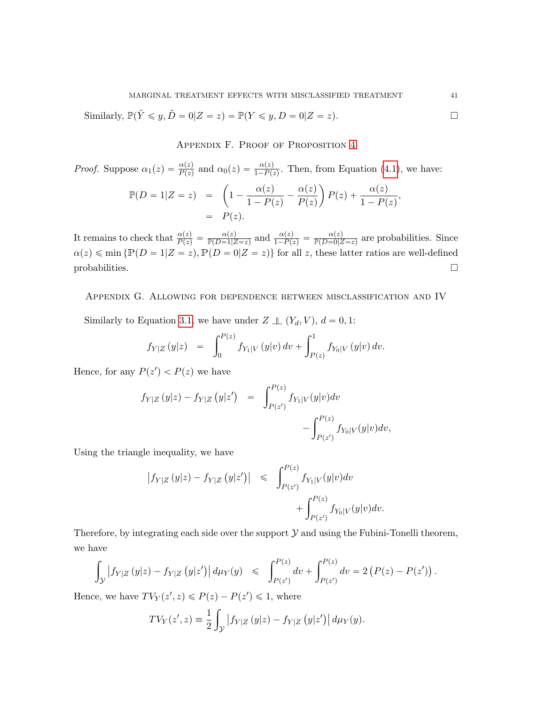<span id="page-40-1"></span>Similarly,  $\mathbb{P}(\tilde{Y} \leq y, \tilde{D} = 0 | Z = z) = \mathbb{P}(Y \leq y, D = 0 | Z = z).$ 

Appendix F. Proof of Proposition [4](#page-21-1)

*Proof.* Suppose  $\alpha_1(z) = \frac{\alpha(z)}{P(z)}$  and  $\alpha_0(z) = \frac{\alpha(z)}{1 - P(z)}$ . Then, from Equation [\(4.1\)](#page-21-2), we have:

$$
\mathbb{P}(D = 1|Z = z) = \left(1 - \frac{\alpha(z)}{1 - P(z)} - \frac{\alpha(z)}{P(z)}\right)P(z) + \frac{\alpha(z)}{1 - P(z)},
$$
  
=  $P(z).$ 

It remains to check that  $\frac{\alpha(z)}{P(z)} = \frac{\alpha(z)}{\mathbb{P}(D=1|Z=z)}$  and  $\frac{\alpha(z)}{1-P(z)} = \frac{\alpha(z)}{\mathbb{P}(D=0|Z=z)}$  are probabilities. Since  $\alpha(z) \leq \min \{ \mathbb{P}(D = 1|Z = z), \mathbb{P}(D = 0|Z = z) \}$  for all z, these latter ratios are well-defined  $\Box$ 

<span id="page-40-0"></span>Appendix G. Allowing for dependence between misclassification and IV

Similarly to Equation [3.1,](#page-6-4) we have under  $Z \perp\!\!\!\perp (Y_d, V), d = 0, 1$ :

$$
f_{Y|Z}(y|z) = \int_0^{P(z)} f_{Y_1|V}(y|v) dv + \int_{P(z)}^1 f_{Y_0|V}(y|v) dv.
$$

Hence, for any  $P(z') < P(z)$  we have

$$
f_{Y|Z}(y|z) - f_{Y|Z}(y|z') = \int_{P(z')}^{P(z)} f_{Y_1|V}(y|v)dv - \int_{P(z')}^{P(z)} f_{Y_0|V}(y|v)dv,
$$

Using the triangle inequality, we have

$$
\begin{array}{lcl} \left|f_{Y|Z} \left( y|z \right) - f_{Y|Z} \left( y|z' \right) \right| & \leqslant & \displaystyle \int_{P(z')}^{P(z)} f_{Y_1|V} (y|v) dv \\ & & \displaystyle \qquad \qquad + \displaystyle \int_{P(z')}^{P(z)} f_{Y_0|V} (y|v) dv. \end{array}
$$

Therefore, by integrating each side over the support  $\mathcal Y$  and using the Fubini-Tonelli theorem, we have

$$
\int_{\mathcal{Y}} |f_{Y|Z} (y|z) - f_{Y|Z} (y|z')| d\mu_Y(y) \leq \int_{P(z')}^{P(z)} dv + \int_{P(z')}^{P(z)} dv = 2 (P(z) - P(z')).
$$

Hence, we have  $TV_Y(z', z) \leq P(z) - P(z') \leq 1$ , where

$$
TV_Y(z', z) = \frac{1}{2} \int_{\mathcal{Y}} |f_{Y|Z}(y|z) - f_{Y|Z}(y|z')| d\mu_Y(y).
$$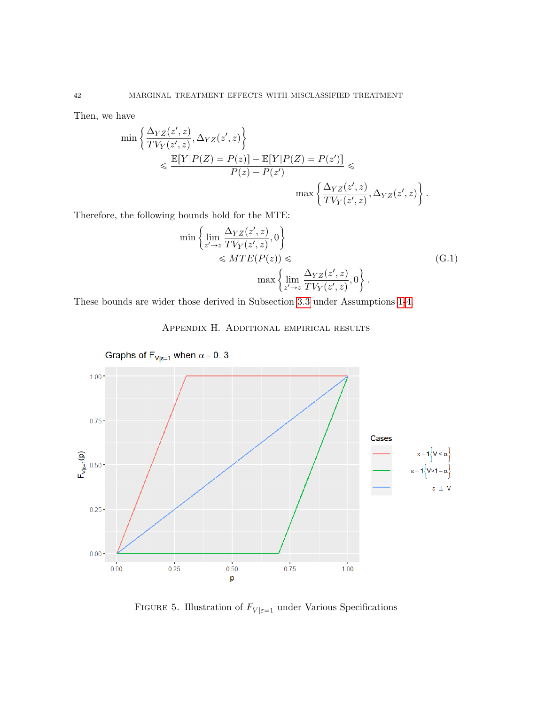Then, we have

$$
\min \left\{ \frac{\Delta_{YZ}(z', z)}{TV_Y(z', z)}, \Delta_{YZ}(z', z) \right\}
$$
  
\$\leqslant \frac{\mathbb{E}[Y|P(Z) = P(z)] - \mathbb{E}[Y|P(Z) = P(z')] }{P(z) - P(z')} \leqslant  
\max \left\{ \frac{\Delta\_{YZ}(z', z)}{TV\_Y(z', z)}, \Delta\_{YZ}(z', z) \right\}.

Therefore, the following bounds hold for the MTE:  
\n
$$
\min \left\{ \lim_{z' \to z} \frac{\Delta_{YZ}(z', z)}{TV_Y(z', z)}, 0 \right\}
$$
\n
$$
\leq MTE(P(z)) \leq \max \left\{ \lim_{z' \to z} \frac{\Delta_{YZ}(z', z)}{TV_Y(z', z)}, 0 \right\}.
$$
\n(G.1)

<span id="page-41-0"></span>These bounds are wider those derived in Subsection [3.3](#page-10-0) under Assumptions [1-](#page-5-0)[4.](#page-6-2)



Appendix H. Additional empirical results

FIGURE 5. Illustration of  $F_{V|\varepsilon=1}$  under Various Specifications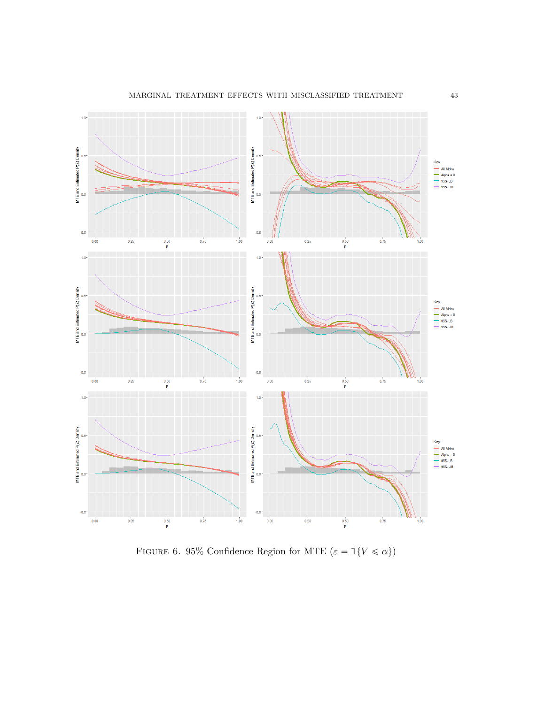

FIGURE 6. 95% Confidence Region for MTE  $(\varepsilon = \mathbbm{1}\{V \le \alpha\})$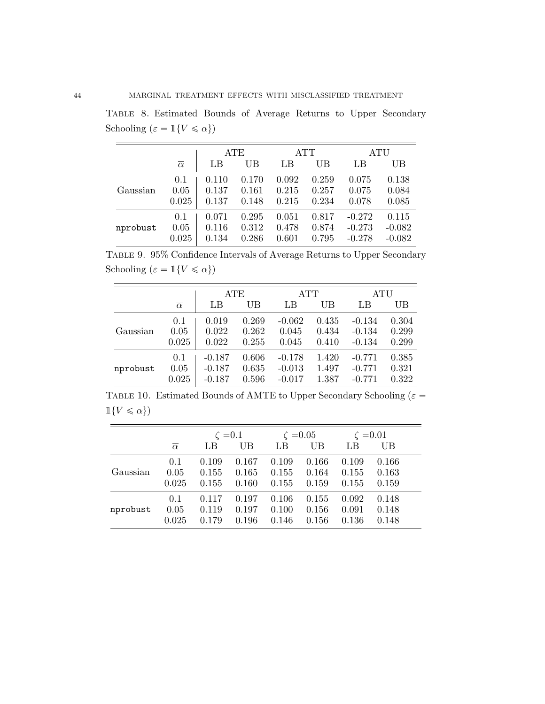Table 8. Estimated Bounds of Average Returns to Upper Secondary Schooling ( $\varepsilon = \mathbbm{1}\{V \leqslant \alpha\})$ 

|          |                     | ATE   |       | ATT   |       | ATU      |          |
|----------|---------------------|-------|-------|-------|-------|----------|----------|
|          | $\overline{\alpha}$ | LB    | UB    | LB    | UB    | LB       | UВ       |
| Gaussian | 0.1                 | 0.110 | 0.170 | 0.092 | 0.259 | 0.075    | 0.138    |
|          | 0.05                | 0.137 | 0.161 | 0.215 | 0.257 | 0.075    | 0.084    |
|          | 0.025               | 0.137 | 0.148 | 0.215 | 0.234 | 0.078    | 0.085    |
| nprobust | 0.1                 | 0.071 | 0.295 | 0.051 | 0.817 | $-0.272$ | 0.115    |
|          | 0.05                | 0.116 | 0.312 | 0.478 | 0.874 | $-0.273$ | $-0.082$ |
|          | 0.025               | 0.134 | 0.286 | 0.601 | 0.795 | $-0.278$ | $-0.082$ |

Table 9. 95% Confidence Intervals of Average Returns to Upper Secondary Schooling  $(\varepsilon = \mathbb{1}{V \le \alpha})$ 

|          |                     | ATE      |       | ATT      |       | <b>ATU</b> |       |
|----------|---------------------|----------|-------|----------|-------|------------|-------|
|          | $\overline{\alpha}$ | LB       | UB    | LB       | UB    | LB         | UB    |
| Gaussian | 0.1                 | 0.019    | 0.269 | $-0.062$ | 0.435 | $-0.134$   | 0.304 |
|          | 0.05                | 0.022    | 0.262 | 0.045    | 0.434 | $-0.134$   | 0.299 |
|          | 0.025               | 0.022    | 0.255 | 0.045    | 0.410 | $-0.134$   | 0.299 |
| nprobust | 0.1                 | $-0.187$ | 0.606 | $-0.178$ | 1.420 | $-0.771$   | 0.385 |
|          | 0.05                | $-0.187$ | 0.635 | $-0.013$ | 1.497 | $-0.771$   | 0.321 |
|          | 0.025               | $-0.187$ | 0.596 | $-0.017$ | 1.387 | $-0.771$   | 0.322 |

TABLE 10. Estimated Bounds of AMTE to Upper Secondary Schooling ( $\varepsilon =$  $\mathbb{1}{V \leq \alpha}$ 

|          |                     | $\zeta = 0.1$ |       |       | $\zeta = 0.05$ |       | $\zeta = 0.01$ |
|----------|---------------------|---------------|-------|-------|----------------|-------|----------------|
|          | $\overline{\alpha}$ | LB            | UB    | LB    | UB             | LB    | UB             |
|          | 0.1                 | 0.109         | 0.167 | 0.109 | 0.166          | 0.109 | 0.166          |
| Gaussian | 0.05                | 0.155         | 0.165 | 0.155 | 0.164          | 0.155 | 0.163          |
|          | 0.025               | 0.155         | 0.160 | 0.155 | 0.159          | 0.155 | 0.159          |
|          | 0.1                 | 0.117         | 0.197 | 0.106 | 0.155          | 0.092 | 0.148          |
| nprobust | 0.05                | 0.119         | 0.197 | 0.100 | 0.156          | 0.091 | 0.148          |
|          | 0.025               | 0.179         | 0.196 | 0.146 | 0.156          | 0.136 | 0.148          |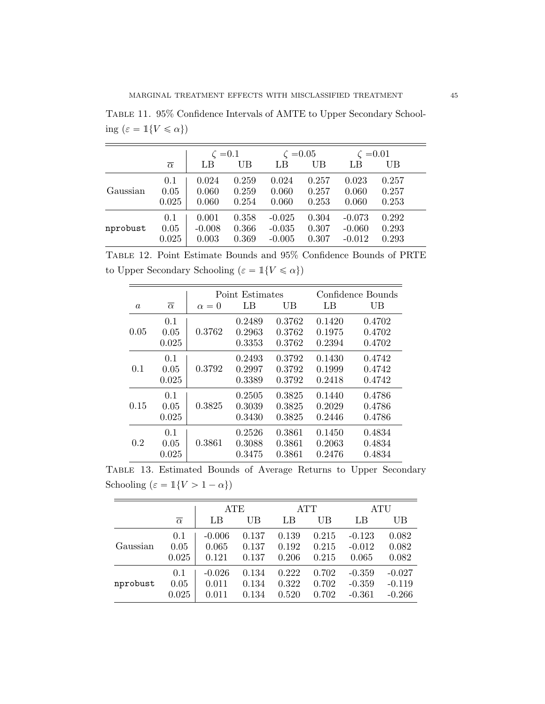Table 11. 95% Confidence Intervals of AMTE to Upper Secondary Schooling  $(\varepsilon = \mathbbm{1}\{V \leqslant \alpha\})$ 

|          |                     | $\zeta = 0.1$ |       | $\zeta = 0.05$ |       | $\zeta = 0.01$ |       |
|----------|---------------------|---------------|-------|----------------|-------|----------------|-------|
|          | $\overline{\alpha}$ | LB            | UB    | LB             | UB    | LΒ             | UB    |
|          | 0.1                 | 0.024         | 0.259 | 0.024          | 0.257 | 0.023          | 0.257 |
| Gaussian | 0.05                | 0.060         | 0.259 | 0.060          | 0.257 | 0.060          | 0.257 |
|          | 0.025               | 0.060         | 0.254 | 0.060          | 0.253 | 0.060          | 0.253 |
|          | 0.1                 | 0.001         | 0.358 | $-0.025$       | 0.304 | $-0.073$       | 0.292 |
| nprobust | 0.05                | $-0.008$      | 0.366 | $-0.035$       | 0.307 | $-0.060$       | 0.293 |
|          | 0.025               | 0.003         | 0.369 | $-0.005$       | 0.307 | $-0.012$       | 0.293 |

Table 12. Point Estimate Bounds and 95% Confidence Bounds of PRTE to Upper Secondary Schooling  $(\varepsilon = \mathbbm{1}\{V \leqslant \alpha\})$ 

|          |                      |              | Point Estimates            |                            |                            | Confidence Bounds          |
|----------|----------------------|--------------|----------------------------|----------------------------|----------------------------|----------------------------|
| $\alpha$ | $\overline{\alpha}$  | $\alpha = 0$ | LB                         | UB                         | LB                         | UВ                         |
| 0.05     | 0.1<br>0.05<br>0.025 | 0.3762       | 0.2489<br>0.2963<br>0.3353 | 0.3762<br>0.3762<br>0.3762 | 0.1420<br>0.1975<br>0.2394 | 0.4702<br>0.4702<br>0.4702 |
| 0.1      | 0.1<br>0.05<br>0.025 | 0.3792       | 0.2493<br>0.2997<br>0.3389 | 0.3792<br>0.3792<br>0.3792 | 0.1430<br>0.1999<br>0.2418 | 0.4742<br>0.4742<br>0.4742 |
| 0.15     | 0.1<br>0.05<br>0.025 | 0.3825       | 0.2505<br>0.3039<br>0.3430 | 0.3825<br>0.3825<br>0.3825 | 0.1440<br>0.2029<br>0.2446 | 0.4786<br>0.4786<br>0.4786 |
| 0.2      | 0.1<br>0.05<br>0.025 | 0.3861       | 0.2526<br>0.3088<br>0.3475 | 0.3861<br>0.3861<br>0.3861 | 0.1450<br>0.2063<br>0.2476 | 0.4834<br>0.4834<br>0.4834 |

Table 13. Estimated Bounds of Average Returns to Upper Secondary Schooling ( $\varepsilon = \mathbbm{1}\{V > 1 - \alpha\}$ )

|          |                     | <b>ATE</b> |       |       | ATT   |          | ATU      |
|----------|---------------------|------------|-------|-------|-------|----------|----------|
|          | $\overline{\alpha}$ | LB         | UB    | LB    | UB    | LB       | UB       |
| Gaussian | 0.1                 | $-0.006$   | 0.137 | 0.139 | 0.215 | $-0.123$ | 0.082    |
|          | 0.05                | 0.065      | 0.137 | 0.192 | 0.215 | $-0.012$ | 0.082    |
|          | 0.025               | 0.121      | 0.137 | 0.206 | 0.215 | 0.065    | 0.082    |
| nprobust | 0.1                 | $-0.026$   | 0.134 | 0.222 | 0.702 | $-0.359$ | $-0.027$ |
|          | 0.05                | 0.011      | 0.134 | 0.322 | 0.702 | $-0.359$ | $-0.119$ |
|          | 0.025               | 0.011      | 0.134 | 0.520 | 0.702 | $-0.361$ | $-0.266$ |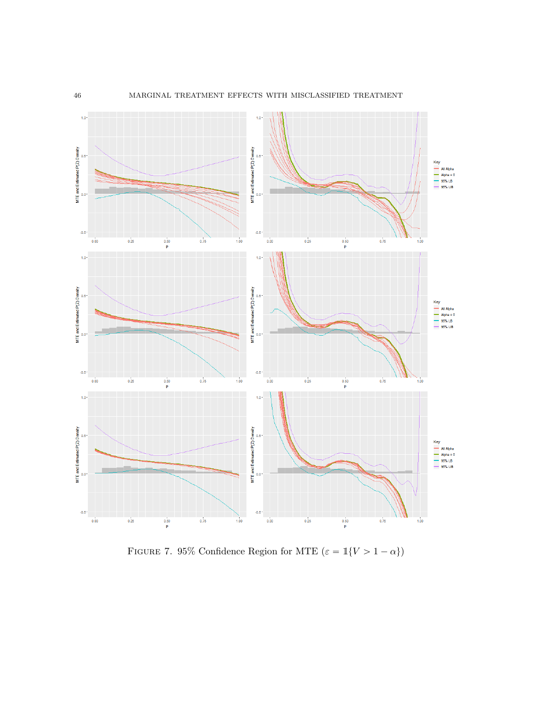

FIGURE 7. 95% Confidence Region for MTE  $(\varepsilon = \mathbb{1}{V > 1 - \alpha})$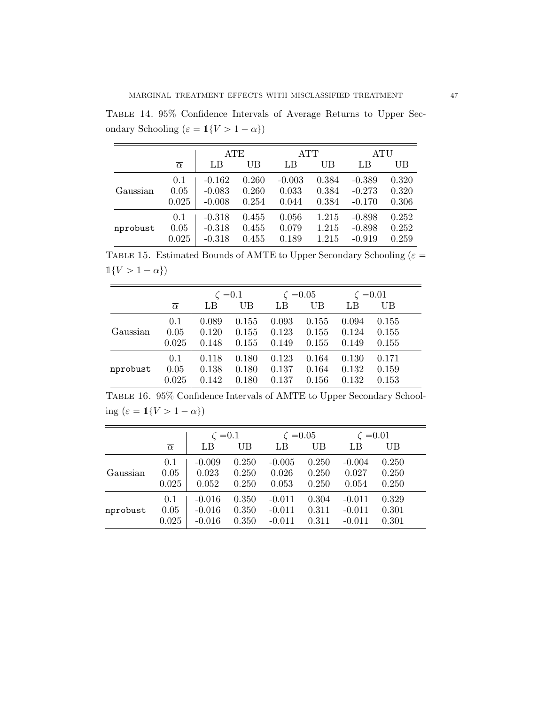Table 14. 95% Confidence Intervals of Average Returns to Upper Secondary Schooling ( $\varepsilon = \mathbbm{1}\{V > 1-\alpha\})$ 

|          |                     |          | ATE   |          | ATT   |          | ATU   |
|----------|---------------------|----------|-------|----------|-------|----------|-------|
|          | $\overline{\alpha}$ | LB       | UB    | LB       | UB    | LB       | UB    |
| Gaussian | 0.1                 | $-0.162$ | 0.260 | $-0.003$ | 0.384 | $-0.389$ | 0.320 |
|          | 0.05                | $-0.083$ | 0.260 | 0.033    | 0.384 | $-0.273$ | 0.320 |
|          | 0.025               | $-0.008$ | 0.254 | 0.044    | 0.384 | $-0.170$ | 0.306 |
| nprobust | 0.1                 | $-0.318$ | 0.455 | 0.056    | 1.215 | $-0.898$ | 0.252 |
|          | 0.05                | $-0.318$ | 0.455 | 0.079    | 1.215 | $-0.898$ | 0.252 |
|          | 0.025               | $-0.318$ | 0.455 | 0.189    | 1.215 | $-0.919$ | 0.259 |

TABLE 15. Estimated Bounds of AMTE to Upper Secondary Schooling ( $\varepsilon =$  $\mathbb{1}{V > 1 - \alpha}$ 

|          |                     | $\zeta = 0.1$ |       |       | $\zeta = 0.05$ |       | $\zeta = 0.01$ |
|----------|---------------------|---------------|-------|-------|----------------|-------|----------------|
|          | $\overline{\alpha}$ | LB            | UB    | LB    | UB             | LB    | UB             |
|          | 0.1                 | 0.089         | 0.155 | 0.093 | 0.155          | 0.094 | 0.155          |
| Gaussian | 0.05                | 0.120         | 0.155 | 0.123 | 0.155          | 0.124 | 0.155          |
|          | 0.025               | 0.148         | 0.155 | 0.149 | 0.155          | 0.149 | 0.155          |
|          | 0.1                 | 0.118         | 0.180 | 0.123 | 0.164          | 0.130 | 0.171          |
| nprobust | 0.05                | 0.138         | 0.180 | 0.137 | 0.164          | 0.132 | 0.159          |
|          | 0.025               | 0.142         | 0.180 | 0.137 | 0.156          | 0.132 | 0.153          |

Table 16. 95% Confidence Intervals of AMTE to Upper Secondary Schooling  $(\varepsilon = \mathbbm{1}{V > 1 - \alpha})$ 

|          |                     | $\zeta = 0.1$ |       | $\zeta = 0.05$ |       | $\zeta = 0.01$ |       |
|----------|---------------------|---------------|-------|----------------|-------|----------------|-------|
|          | $\overline{\alpha}$ | LB            | UB    | LB             | UB    | LB             | UB    |
|          | 0.1                 | $-0.009$      | 0.250 | $-0.005$       | 0.250 | $-0.004$       | 0.250 |
| Gaussian | 0.05                | 0.023         | 0.250 | 0.026          | 0.250 | 0.027          | 0.250 |
|          | 0.025               | 0.052         | 0.250 | 0.053          | 0.250 | 0.054          | 0.250 |
|          | 0.1                 | $-0.016$      | 0.350 | $-0.011$       | 0.304 | $-0.011$       | 0.329 |
| nprobust | 0.05                | $-0.016$      | 0.350 | $-0.011$       | 0.311 | $-0.011$       | 0.301 |
|          | 0.025               | $-0.016$      | 0.350 | $-0.011$       | 0.311 | $-0.011$       | 0.301 |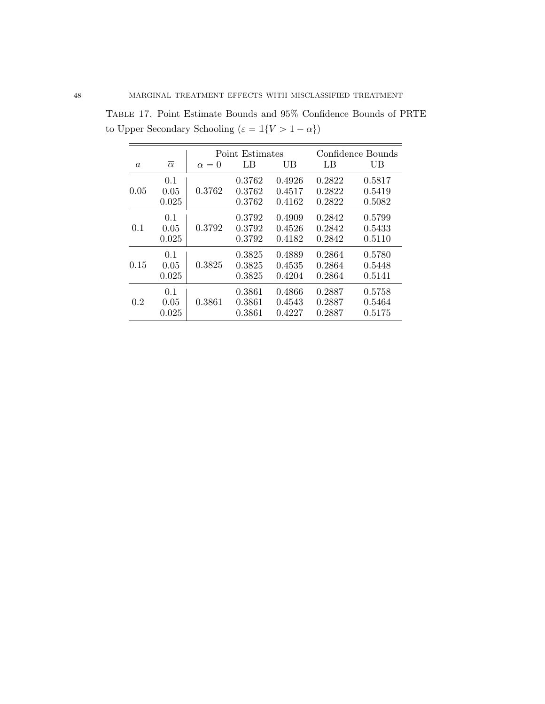|          |                      |              | Point Estimates            |                            |                            | Confidence Bounds          |
|----------|----------------------|--------------|----------------------------|----------------------------|----------------------------|----------------------------|
| $\alpha$ | $\overline{\alpha}$  | $\alpha = 0$ | LB                         | UB                         | LB                         | UВ                         |
| 0.05     | 0.1<br>0.05<br>0.025 | 0.3762       | 0.3762<br>0.3762<br>0.3762 | 0.4926<br>0.4517<br>0.4162 | 0.2822<br>0.2822<br>0.2822 | 0.5817<br>0.5419<br>0.5082 |
| 0.1      | 0.1<br>0.05<br>0.025 | 0.3792       | 0.3792<br>0.3792<br>0.3792 | 0.4909<br>0.4526<br>0.4182 | 0.2842<br>0.2842<br>0.2842 | 0.5799<br>0.5433<br>0.5110 |
| 0.15     | 0.1<br>0.05<br>0.025 | 0.3825       | 0.3825<br>0.3825<br>0.3825 | 0.4889<br>0.4535<br>0.4204 | 0.2864<br>0.2864<br>0.2864 | 0.5780<br>0.5448<br>0.5141 |
| 0.2      | 0.1<br>0.05<br>0.025 | 0.3861       | 0.3861<br>0.3861<br>0.3861 | 0.4866<br>0.4543<br>0.4227 | 0.2887<br>0.2887<br>0.2887 | 0.5758<br>0.5464<br>0.5175 |

Table 17. Point Estimate Bounds and 95% Confidence Bounds of PRTE to Upper Secondary Schooling $(\varepsilon = \mathbbm{1}\{V > 1-\alpha\})$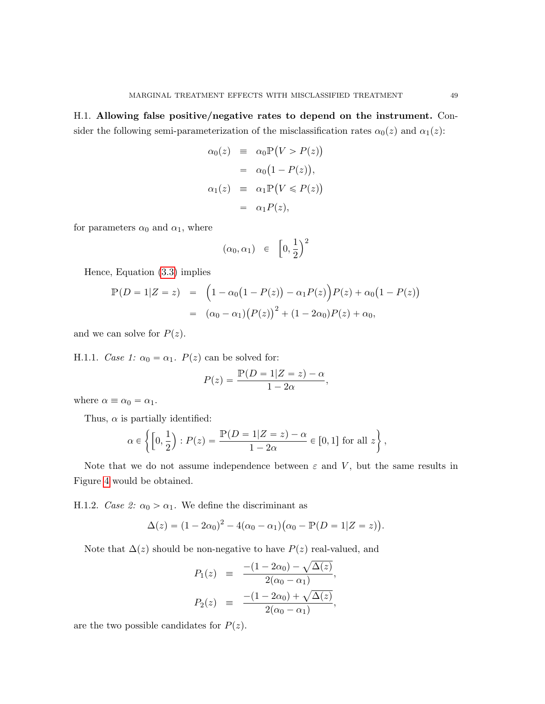<span id="page-48-0"></span>H.1. Allowing false positive/negative rates to depend on the instrument. Consider the following semi-parameterization of the misclassification rates  $\alpha_0(z)$  and  $\alpha_1(z)$ :

$$
\alpha_0(z) \equiv \alpha_0 \mathbb{P}(V > P(z))
$$
  
= 
$$
\alpha_0 (1 - P(z)),
$$
  

$$
\alpha_1(z) \equiv \alpha_1 \mathbb{P}(V \leq P(z))
$$
  
= 
$$
\alpha_1 P(z),
$$

for parameters  $\alpha_0$  and  $\alpha_1$ , where

$$
(\alpha_0, \alpha_1) \in \left[0, \frac{1}{2}\right)^2
$$

Hence, Equation [\(3.3\)](#page-7-2) implies

$$
\mathbb{P}(D = 1|Z = z) = (1 - \alpha_0(1 - P(z)) - \alpha_1 P(z))P(z) + \alpha_0(1 - P(z))
$$
  
=  $(\alpha_0 - \alpha_1)(P(z))^2 + (1 - 2\alpha_0)P(z) + \alpha_0,$ 

and we can solve for  $P(z)$ .

H.1.1. Case 1:  $\alpha_0 = \alpha_1$ .  $P(z)$  can be solved for:

$$
P(z) = \frac{\mathbb{P}(D=1|Z=z) - \alpha}{1 - 2\alpha},
$$

where  $\alpha \equiv \alpha_0 = \alpha_1$ .

Thus,  $\alpha$  is partially identified:

$$
\alpha \in \left\{ \left[0, \frac{1}{2}\right) : P(z) = \frac{\mathbb{P}(D = 1|Z = z) - \alpha}{1 - 2\alpha} \in [0, 1] \text{ for all } z \right\},\
$$

Note that we do not assume independence between  $\varepsilon$  and V, but the same results in Figure [4](#page-30-0) would be obtained.

H.1.2. Case 2:  $\alpha_0 > \alpha_1$ . We define the discriminant as

$$
\Delta(z) = (1 - 2\alpha_0)^2 - 4(\alpha_0 - \alpha_1)(\alpha_0 - \mathbb{P}(D = 1|Z = z)).
$$

Note that  $\Delta(z)$  should be non-negative to have  $P(z)$  real-valued, and

$$
P_1(z) = \frac{-(1 - 2\alpha_0) - \sqrt{\Delta(z)}}{2(\alpha_0 - \alpha_1)},
$$
  
\n
$$
P_2(z) = \frac{-(1 - 2\alpha_0) + \sqrt{\Delta(z)}}{2(\alpha_0 - \alpha_1)},
$$

are the two possible candidates for  $P(z)$ .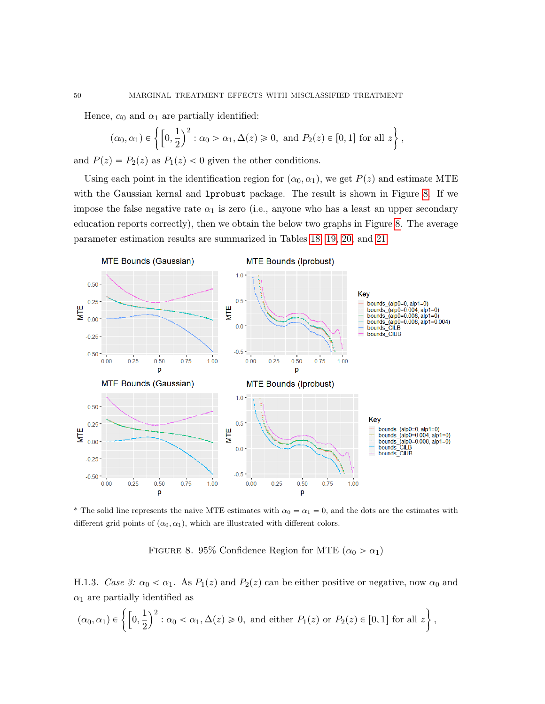\*

Hence, 
$$
\alpha_0
$$
 and  $\alpha_1$  are partially identified:  
\n
$$
(\alpha_0, \alpha_1) \in \left\{ \left[0, \frac{1}{2}\right)^2 : \alpha_0 > \alpha_1, \Delta(z) \ge 0, \text{ and } P_2(z) \in [0, 1] \text{ for all } z \right\},\
$$

and  $P(z) = P_2(z)$  as  $P_1(z) < 0$  given the other conditions.

Using each point in the identification region for  $(\alpha_0, \alpha_1)$ , we get  $P(z)$  and estimate MTE with the Gaussian kernal and lprobust package. The result is shown in Figure [8.](#page-49-0) If we impose the false negative rate  $\alpha_1$  is zero (i.e., anyone who has a least an upper secondary education reports correctly), then we obtain the below two graphs in Figure [8.](#page-49-0) The average parameter estimation results are summarized in Tables [18,](#page-50-0) [19,](#page-50-1) [20,](#page-50-2) and [21.](#page-50-3)



\* The solid line represents the naive MTE estimates with  $\alpha_0 = \alpha_1 = 0$ , and the dots are the estimates with different grid points of  $(\alpha_0, \alpha_1)$ , which are illustrated with different colors.

<span id="page-49-0"></span>FIGURE 8. 95% Confidence Region for MTE  $(\alpha_0 > \alpha_1)$ 

H.1.3. Case 3:  $\alpha_0 < \alpha_1$ . As  $P_1(z)$  and  $P_2(z)$  can be either positive or negative, now  $\alpha_0$  and \*

$$
\alpha_1 \text{ are partially identified as}
$$
  

$$
(\alpha_0, \alpha_1) \in \left\{ \left[0, \frac{1}{2}\right)^2 : \alpha_0 < \alpha_1, \Delta(z) \ge 0, \text{ and either } P_1(z) \text{ or } P_2(z) \in [0, 1] \text{ for all } z \right\},\
$$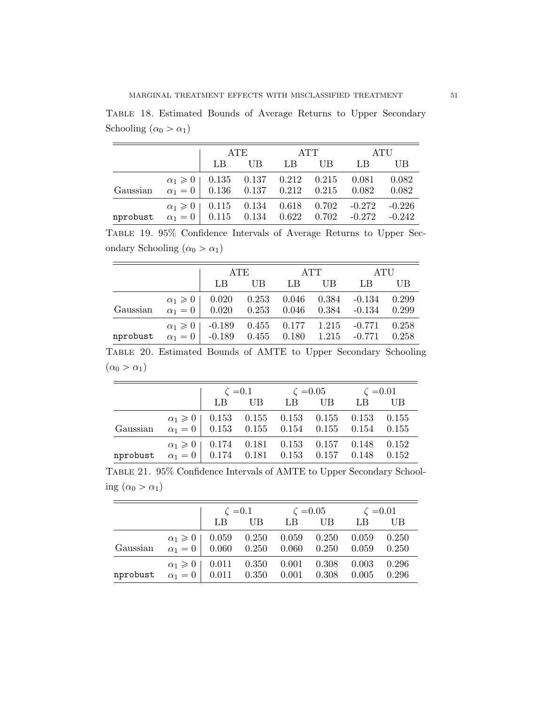<span id="page-50-0"></span>Table 18. Estimated Bounds of Average Returns to Upper Secondary Schooling  $(\alpha_0 > \alpha_1)$ 

|                                                               |                                                | ATE |       | ATT |       |                                                           | ATU   |
|---------------------------------------------------------------|------------------------------------------------|-----|-------|-----|-------|-----------------------------------------------------------|-------|
|                                                               |                                                |     | LB UB |     | LB UB | – LB                                                      | UB    |
| Gaussian                                                      | $\alpha_1 = 0$   0.136 0.137 0.212 0.215 0.082 |     |       |     |       | $\alpha_1 \geq 0$   0.135 0.137 0.212 0.215 0.081 0.082   | 0.082 |
| nprobust $\alpha_1 = 0$ 0.115 0.134 0.622 0.702 -0.272 -0.242 |                                                |     |       |     |       | $\alpha_1 \geq 0$   0.115 0.134 0.618 0.702 -0.272 -0.226 |       |

<span id="page-50-1"></span>Table 19. 95% Confidence Intervals of Average Returns to Upper Secondary Schooling  $(\alpha_0 > \alpha_1)$ 

|          |                                                                                                       | ATE |    | ATT  | ATU |                |
|----------|-------------------------------------------------------------------------------------------------------|-----|----|------|-----|----------------|
|          | LB                                                                                                    | UB  | LB | - UB | LB  | UB             |
| Gaussian | $\alpha_1 \geq 0$   0.020 0.253 0.046 0.384 -0.134<br>$\alpha_1 = 0$   0.020 0.253 0.046 0.384 -0.134 |     |    |      |     | 0.299<br>0.299 |
| nprobust | $\alpha_1 \geq 0$   -0.189 0.455 0.177 1.215 -0.771<br>$\alpha_1 = 0$ -0.189 0.455 0.180 1.215 -0.771 |     |    |      |     | 0.258<br>0.258 |

<span id="page-50-2"></span>Table 20. Estimated Bounds of AMTE to Upper Secondary Schooling  $(\alpha_0 > \alpha_1)$ 

|                                                                                                                      |                                                         |  | $\begin{array}{ c c c c c c }\n\hline\n&\zeta = 0.1 & \zeta = 0.05 & \zeta = 0.01 \\ \hline\nLB & UB & LB & UB & LB & UB\n\end{array}$ |  |  |  |
|----------------------------------------------------------------------------------------------------------------------|---------------------------------------------------------|--|----------------------------------------------------------------------------------------------------------------------------------------|--|--|--|
| $\alpha_1 \geq 0$ 0.153 0.155 0.155 0.155 0.153 0.155<br>Gaussian $\alpha_1 = 0$ 0.153 0.155 0.154 0.155 0.154 0.155 |                                                         |  |                                                                                                                                        |  |  |  |
|                                                                                                                      |                                                         |  |                                                                                                                                        |  |  |  |
|                                                                                                                      | $\alpha_1 \geq 0$   0.174 0.181 0.153 0.157 0.148 0.152 |  |                                                                                                                                        |  |  |  |
| nprobust $\alpha_1 = 0$ 0.174 0.181 0.153 0.157 0.148 0.152                                                          |                                                         |  |                                                                                                                                        |  |  |  |

<span id="page-50-3"></span>Table 21. 95% Confidence Intervals of AMTE to Upper Secondary Schooling  $(\alpha_0 > \alpha_1)$ 

|          |                                                              | $\zeta = 0.1$ |                | $\zeta = 0.05$ |                | $\zeta = 0.01$ |                |
|----------|--------------------------------------------------------------|---------------|----------------|----------------|----------------|----------------|----------------|
|          |                                                              | LB            | $_{\rm UB}$    |                | UB             | LB             | UВ             |
| Gaussian | $\alpha_1 \geqslant 0$   0.059<br>$\alpha_1 = 0$ 0.060 0.250 |               | 0.250          | 0.059<br>0.060 | 0.250<br>0.250 | 0.059<br>0.059 | 0.250<br>0.250 |
| nprobust | $\alpha_1 \geq 0$   0.011<br>$\alpha_1=0$                    | 0.011         | 0.350<br>0.350 | 0.001<br>0.001 | 0.308<br>0.308 | 0.003<br>0.005 | 0.296<br>0.296 |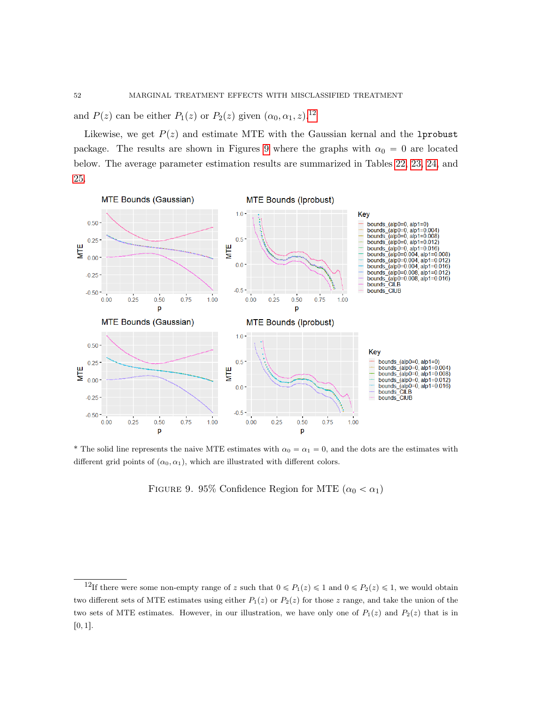and  $P(z)$  can be either  $P_1(z)$  or  $P_2(z)$  given  $(\alpha_0, \alpha_1, z)$ .<sup>[12](#page-51-0)</sup>

Likewise, we get  $P(z)$  and estimate MTE with the Gaussian kernal and the 1probust package. The results are shown in Figures [9](#page-51-1) where the graphs with  $\alpha_0 = 0$  are located below. The average parameter estimation results are summarized in Tables [22,](#page-52-0) [23,](#page-52-1) [24,](#page-52-2) and [25.](#page-52-3)



\* The solid line represents the naive MTE estimates with  $\alpha_0 = \alpha_1 = 0$ , and the dots are the estimates with different grid points of  $(\alpha_0, \alpha_1)$ , which are illustrated with different colors.

<span id="page-51-1"></span>FIGURE 9. 95% Confidence Region for MTE  $(\alpha_0 < \alpha_1)$ 

<span id="page-51-0"></span><sup>&</sup>lt;sup>12</sup>If there were some non-empty range of z such that  $0 \le P_1(z) \le 1$  and  $0 \le P_2(z) \le 1$ , we would obtain two different sets of MTE estimates using either  $P_1(z)$  or  $P_2(z)$  for those z range, and take the union of the two sets of MTE estimates. However, in our illustration, we have only one of  $P_1(z)$  and  $P_2(z)$  that is in  $[0, 1].$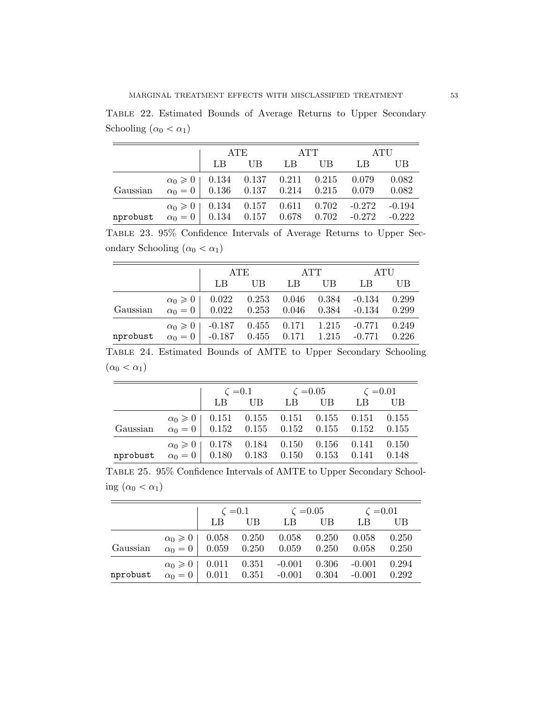<span id="page-52-0"></span>Table 22. Estimated Bounds of Average Returns to Upper Secondary Schooling  $(\alpha_0<\alpha_1)$ 

|                                                               |                                              | ATE   |  | <b>ATT</b> | ATU                                                       |       |
|---------------------------------------------------------------|----------------------------------------------|-------|--|------------|-----------------------------------------------------------|-------|
|                                                               |                                              | LB UB |  | LB UB      | – LB                                                      | UB    |
| Gaussian                                                      | $\alpha_0 = 0$ 0.136 0.137 0.214 0.215 0.079 |       |  |            | $\alpha_0 \geq 0$   0.134 0.137 0.211 0.215 0.079 0.082   | 0.082 |
| nprobust $\alpha_0 = 0$ 0.134 0.157 0.678 0.702 -0.272 -0.222 |                                              |       |  |            | $\alpha_0 \geq 0$   0.134 0.157 0.611 0.702 -0.272 -0.194 |       |

<span id="page-52-1"></span>Table 23. 95% Confidence Intervals of Average Returns to Upper Secondary Schooling  $(\alpha_0 < \alpha_1)$ 

|          | ATE                                                                                                   |    | ATT |       | ATU      |                |
|----------|-------------------------------------------------------------------------------------------------------|----|-----|-------|----------|----------------|
|          | LB                                                                                                    | UB | LB  | UB.   | LB       | UB             |
| Gaussian | $\alpha_0 \geq 0$   0.022 0.253 0.046<br>$\alpha_0 = 0$ 0.022 0.253 0.046 0.384 -0.134                |    |     | 0.384 | $-0.134$ | 0.299<br>0.299 |
| nprobust | $\alpha_0 \geq 0$   -0.187 0.455 0.171 1.215 -0.771<br>$\alpha_0 = 0$ -0.187 0.455 0.171 1.215 -0.771 |    |     |       |          | 0.249<br>0.226 |

<span id="page-52-2"></span>Table 24. Estimated Bounds of AMTE to Upper Secondary Schooling  $(\alpha_0 < \alpha_1)$ 

|                                                             |                                                         | $\zeta = 0.1$ $\zeta = 0.05$ $\zeta = 0.01$<br>LB UB LB UB LB U |  |  | - UB  |
|-------------------------------------------------------------|---------------------------------------------------------|-----------------------------------------------------------------|--|--|-------|
|                                                             | $\alpha_0 \geq 0$   0.151 0.155 0.151 0.155 0.151 0.155 |                                                                 |  |  |       |
| Gaussian $\alpha_0 = 0$ 0.152 0.155 0.152 0.155 0.152 0.155 |                                                         |                                                                 |  |  |       |
|                                                             | $\alpha_0 \geq 0$   0.178 0.184 0.150 0.156 0.141 0.150 |                                                                 |  |  |       |
| nprobust $\alpha_0 = 0$ 0.180 0.183 0.150 0.153 0.141       |                                                         |                                                                 |  |  | 0.148 |

<span id="page-52-3"></span>Table 25. 95% Confidence Intervals of AMTE to Upper Secondary Schooling  $(\alpha_0 < \alpha_1)$ 

|          |                                  | $\zeta = 0.1$                   |           |          | $\zeta = 0.05$ |          | $\zeta = 0.01$ |
|----------|----------------------------------|---------------------------------|-----------|----------|----------------|----------|----------------|
|          |                                  | LB                              | <b>UB</b> |          | UB             | LB       | UB             |
|          |                                  | $\alpha_0 \geq 0$   0.058 0.250 |           | 0.058    | 0.250          | 0.058    | 0.250          |
| Gaussian | $\alpha_0 = 0$ 0.059 0.250 0.059 |                                 |           |          | 0.250          | 0.058    | 0.250          |
|          | $\alpha_0 \geqslant 0$   0.011   |                                 | 0.351     | $-0.001$ | 0.306          | $-0.001$ | 0.294          |
| nprobust | $\alpha_0 = 0$                   | $0.011$ $0.351$ $-0.001$        |           |          | 0.304          | $-0.001$ | 0.292          |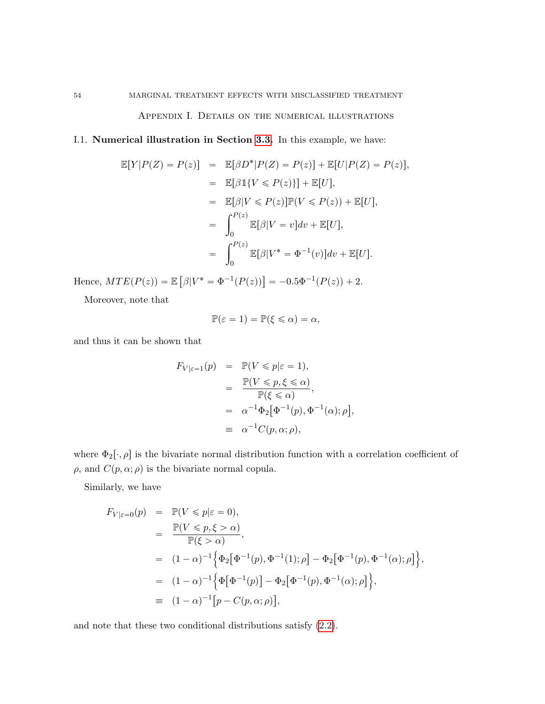Appendix I. Details on the numerical illustrations

<span id="page-53-0"></span>I.1. Numerical illustration in Section [3.3.](#page-14-1) In this example, we have:

$$
\mathbb{E}[Y|P(Z) = P(z)] = \mathbb{E}[\beta D^*|P(Z) = P(z)] + \mathbb{E}[U|P(Z) = P(z)],
$$
  
\n
$$
= \mathbb{E}[\beta \mathbb{1}\{V \le P(z)\}] + \mathbb{E}[U],
$$
  
\n
$$
= \mathbb{E}[\beta|V \le P(z)]\mathbb{P}(V \le P(z)) + \mathbb{E}[U],
$$
  
\n
$$
= \int_0^{P(z)} \mathbb{E}[\beta|V = v]dv + \mathbb{E}[U],
$$
  
\n
$$
= \int_0^{P(z)} \mathbb{E}[\beta|V^* = \Phi^{-1}(v)]dv + \mathbb{E}[U].
$$

Hence,  $MTE(P(z)) = \mathbb{E}$  $\beta |V^* = \Phi^{-1}(P(z)) = -0.5\Phi^{-1}(P(z)) + 2.$ 

Moreover, note that

$$
\mathbb{P}(\varepsilon = 1) = \mathbb{P}(\xi \leq \alpha) = \alpha,
$$

and thus it can be shown that

$$
F_{V|\varepsilon=1}(p) = \mathbb{P}(V \le p|\varepsilon=1),
$$
  
= 
$$
\frac{\mathbb{P}(V \le p, \xi \le \alpha)}{\mathbb{P}(\xi \le \alpha)},
$$
  
= 
$$
\alpha^{-1} \Phi_2[\Phi^{-1}(p), \Phi^{-1}(\alpha); \rho],
$$
  
\equiv 
$$
\alpha^{-1} C(p, \alpha; \rho),
$$

where  $\Phi_2[\cdot,\rho]$  is the bivariate normal distribution function with a correlation coefficient of  $\rho$ , and  $C(p, \alpha; \rho)$  is the bivariate normal copula.

Similarly, we have

$$
F_{V|\varepsilon=0}(p) = \mathbb{P}(V \le p|\varepsilon=0),
$$
  
\n
$$
= \frac{\mathbb{P}(V \le p, \xi > \alpha)}{\mathbb{P}(\xi > \alpha)},
$$
  
\n
$$
= (1 - \alpha)^{-1} \Big\{ \Phi_2[\Phi^{-1}(p), \Phi^{-1}(1); \rho] - \Phi_2[\Phi^{-1}(p), \Phi^{-1}(\alpha); \rho] \Big\},
$$
  
\n
$$
= (1 - \alpha)^{-1} \Big\{ \Phi[\Phi^{-1}(p)] - \Phi_2[\Phi^{-1}(p), \Phi^{-1}(\alpha); \rho] \Big\},
$$
  
\n
$$
= (1 - \alpha)^{-1} [p - C(p, \alpha; \rho)],
$$

and note that these two conditional distributions satisfy [\(2.2\)](#page-6-3).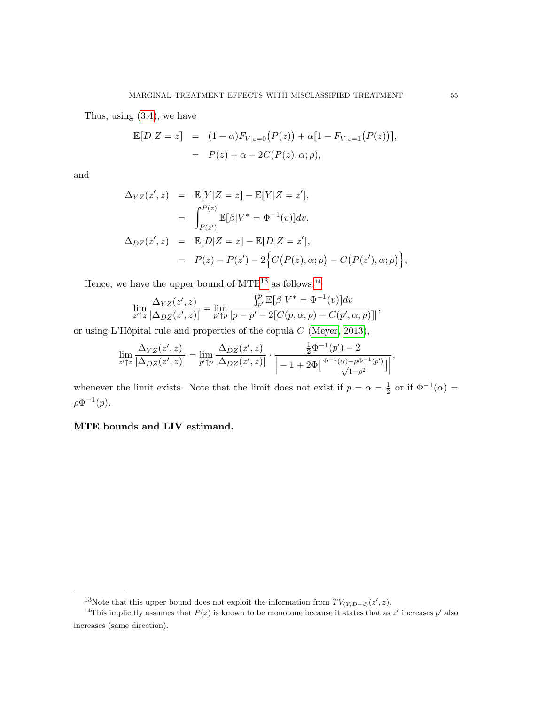Thus, using [\(3.4\)](#page-8-0), we have

$$
\mathbb{E}[D|Z=z] = (1-\alpha)F_{V|\varepsilon=0}(P(z)) + \alpha[1 - F_{V|\varepsilon=1}(P(z))],
$$
  
= 
$$
P(z) + \alpha - 2C(P(z), \alpha; \rho),
$$

and

$$
\Delta_{YZ}(z', z) = \mathbb{E}[Y|Z = z] - \mathbb{E}[Y|Z = z'],
$$
  
\n
$$
= \int_{P(z')}^{P(z)} \mathbb{E}[\beta|V^* = \Phi^{-1}(v)]dv,
$$
  
\n
$$
\Delta_{DZ}(z', z) = \mathbb{E}[D|Z = z] - \mathbb{E}[D|Z = z'],
$$
  
\n
$$
= P(z) - P(z') - 2\Big\{C(P(z), \alpha; \rho) - C(P(z'), \alpha; \rho)\Big\},
$$

Hence, we have the upper bound of  $MTE^{13}$  $MTE^{13}$  $MTE^{13}$  as follows:<sup>[14](#page-54-1)</sup>

$$
\lim_{z' \uparrow z} \frac{\Delta_{YZ}(z', z)}{|\Delta_{DZ}(z', z)|} = \lim_{p' \uparrow p} \frac{\int_{p'}^p \mathbb{E}[\beta | V^* = \Phi^{-1}(v)] dv}{|p - p' - 2[C(p, \alpha; \rho) - C(p', \alpha; \rho)]|},
$$

or using L'Hôpital rule and properties of the copula  $C$  [\(Meyer, 2013\)](#page-59-14),

$$
\lim_{z' \uparrow z} \frac{\Delta_{YZ}(z', z)}{|\Delta_{DZ}(z', z)|} = \lim_{p' \uparrow p} \frac{\Delta_{DZ}(z', z)}{|\Delta_{DZ}(z', z)|} \cdot \frac{\frac{1}{2} \Phi^{-1}(p') - 2}{\left|-1 + 2\Phi\left[\frac{\Phi^{-1}(\alpha) - \rho \Phi^{-1}(p')}{\sqrt{1 - \rho^2}}\right]\right|},
$$

whenever the limit exists. Note that the limit does not exist if  $p = \alpha = \frac{1}{2}$  $\frac{1}{2}$  or if  $\Phi^{-1}(\alpha) =$  $\rho\Phi^{-1}(p).$ 

MTE bounds and LIV estimand.

<span id="page-54-1"></span><span id="page-54-0"></span><sup>&</sup>lt;sup>13</sup>Note that this upper bound does not exploit the information from  $TV_{(Y,D=d)}(z',z)$ .

<sup>&</sup>lt;sup>14</sup>This implicitly assumes that  $P(z)$  is known to be monotone because it states that as z' increases p' also increases (same direction).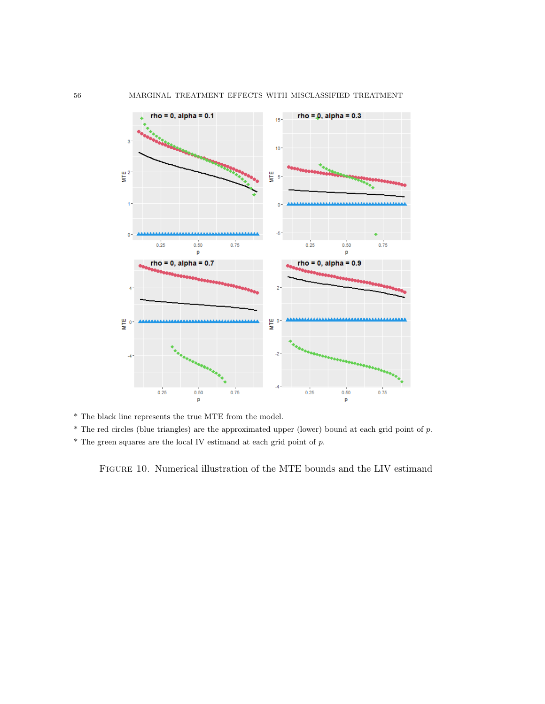

\* The black line represents the true MTE from the model.

\* The red circles (blue triangles) are the approximated upper (lower) bound at each grid point of p.

 $^\ast$  The green squares are the local IV estimand at each grid point of  $p.$ 

<span id="page-55-0"></span>Figure 10. Numerical illustration of the MTE bounds and the LIV estimand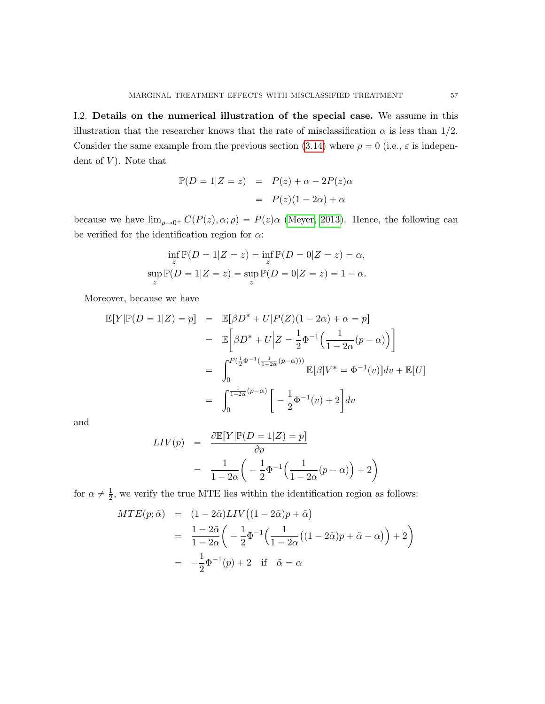<span id="page-56-0"></span>I.2. Details on the numerical illustration of the special case. We assume in this illustration that the researcher knows that the rate of misclassification  $\alpha$  is less than 1/2. Consider the same example from the previous section [\(3.14\)](#page-14-0) where  $\rho = 0$  (i.e.,  $\varepsilon$  is independent of  $V$ ). Note that

$$
\mathbb{P}(D = 1|Z = z) = P(z) + \alpha - 2P(z)\alpha
$$

$$
= P(z)(1 - 2\alpha) + \alpha
$$

because we have  $\lim_{\rho\to 0^+} C(P(z), \alpha; \rho) = P(z)\alpha$  [\(Meyer, 2013\)](#page-59-14). Hence, the following can be verified for the identification region for  $\alpha$ :

$$
\inf_{z} \mathbb{P}(D = 1|Z = z) = \inf_{z} \mathbb{P}(D = 0|Z = z) = \alpha,
$$
  
\n
$$
\sup_{z} \mathbb{P}(D = 1|Z = z) = \sup_{z} \mathbb{P}(D = 0|Z = z) = 1 - \alpha.
$$

Moreover, because we have

$$
\mathbb{E}[Y|\mathbb{P}(D=1|Z) = p] = \mathbb{E}[\beta D^* + U|P(Z)(1 - 2\alpha) + \alpha = p]
$$
  
\n
$$
= \mathbb{E}\left[\beta D^* + U|Z = \frac{1}{2}\Phi^{-1}\left(\frac{1}{1 - 2\alpha}(p - \alpha)\right)\right]
$$
  
\n
$$
= \int_0^{P(\frac{1}{2}\Phi^{-1}(\frac{1}{1 - 2\alpha}(p - \alpha)))} \mathbb{E}[\beta|V^* = \Phi^{-1}(v)]dv + \mathbb{E}[U]
$$
  
\n
$$
= \int_0^{\frac{1}{1 - 2\alpha}(p - \alpha)} \left[-\frac{1}{2}\Phi^{-1}(v) + 2\right]dv
$$

and

$$
LIV(p) = \frac{\partial \mathbb{E}[Y|\mathbb{P}(D=1|Z) = p]}{\partial p}
$$
  
= 
$$
\frac{1}{1 - 2\alpha} \left( -\frac{1}{2} \Phi^{-1} \left( \frac{1}{1 - 2\alpha} (p - \alpha) \right) + 2 \right)
$$

for  $\alpha \neq \frac{1}{2}$  $\frac{1}{2}$ , we verify the true MTE lies within the identification region as follows:

$$
MTE(p; \tilde{\alpha}) = (1 - 2\tilde{\alpha})LIV((1 - 2\tilde{\alpha})p + \tilde{\alpha})
$$
  
= 
$$
\frac{1 - 2\tilde{\alpha}}{1 - 2\alpha} \left( -\frac{1}{2} \Phi^{-1} \left( \frac{1}{1 - 2\alpha} \left( (1 - 2\tilde{\alpha})p + \tilde{\alpha} - \alpha \right) \right) + 2 \right)
$$
  
= 
$$
-\frac{1}{2} \Phi^{-1}(p) + 2 \quad \text{if} \quad \tilde{\alpha} = \alpha
$$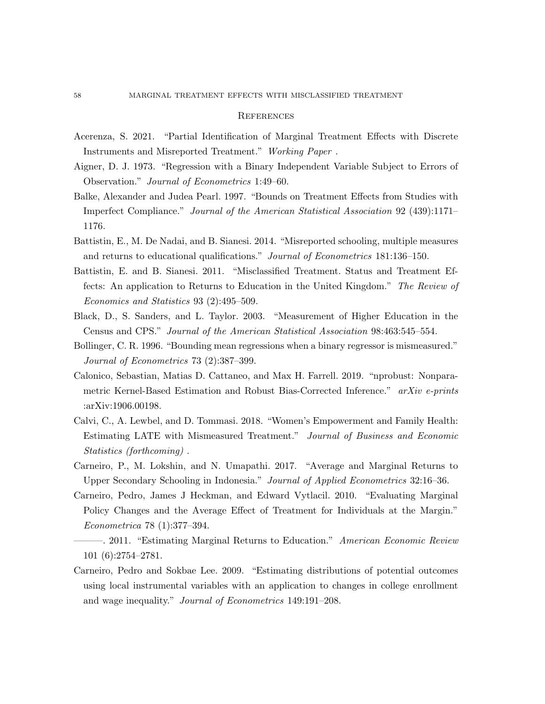### **REFERENCES**

- <span id="page-57-9"></span>Acerenza, S. 2021. "Partial Identification of Marginal Treatment Effects with Discrete Instruments and Misreported Treatment." Working Paper .
- <span id="page-57-1"></span>Aigner, D. J. 1973. "Regression with a Binary Independent Variable Subject to Errors of Observation." Journal of Econometrics 1:49–60.
- <span id="page-57-10"></span>Balke, Alexander and Judea Pearl. 1997. "Bounds on Treatment Effects from Studies with Imperfect Compliance." Journal of the American Statistical Association 92 (439):1171– 1176.
- <span id="page-57-4"></span>Battistin, E., M. De Nadai, and B. Sianesi. 2014. "Misreported schooling, multiple measures and returns to educational qualifications." Journal of Econometrics 181:136–150.
- <span id="page-57-3"></span>Battistin, E. and B. Sianesi. 2011. "Misclassified Treatment. Status and Treatment Effects: An application to Returns to Education in the United Kingdom." The Review of Economics and Statistics 93 (2):495–509.
- <span id="page-57-5"></span>Black, D., S. Sanders, and L. Taylor. 2003. "Measurement of Higher Education in the Census and CPS." Journal of the American Statistical Association 98:463:545–554.
- <span id="page-57-2"></span>Bollinger, C. R. 1996. "Bounding mean regressions when a binary regressor is mismeasured." Journal of Econometrics 73 (2):387–399.
- <span id="page-57-12"></span>Calonico, Sebastian, Matias D. Cattaneo, and Max H. Farrell. 2019. "nprobust: Nonparametric Kernel-Based Estimation and Robust Bias-Corrected Inference." arXiv e-prints :arXiv:1906.00198.
- <span id="page-57-0"></span>Calvi, C., A. Lewbel, and D. Tommasi. 2018. "Women's Empowerment and Family Health: Estimating LATE with Mismeasured Treatment." Journal of Business and Economic Statistics (forthcoming) .
- <span id="page-57-11"></span>Carneiro, P., M. Lokshin, and N. Umapathi. 2017. "Average and Marginal Returns to Upper Secondary Schooling in Indonesia." Journal of Applied Econometrics 32:16–36.
- <span id="page-57-7"></span>Carneiro, Pedro, James J Heckman, and Edward Vytlacil. 2010. "Evaluating Marginal Policy Changes and the Average Effect of Treatment for Individuals at the Margin." Econometrica 78 (1):377–394.
- <span id="page-57-8"></span>-. 2011. "Estimating Marginal Returns to Education." American Economic Review 101 (6):2754–2781.
- <span id="page-57-6"></span>Carneiro, Pedro and Sokbae Lee. 2009. "Estimating distributions of potential outcomes using local instrumental variables with an application to changes in college enrollment and wage inequality." Journal of Econometrics 149:191–208.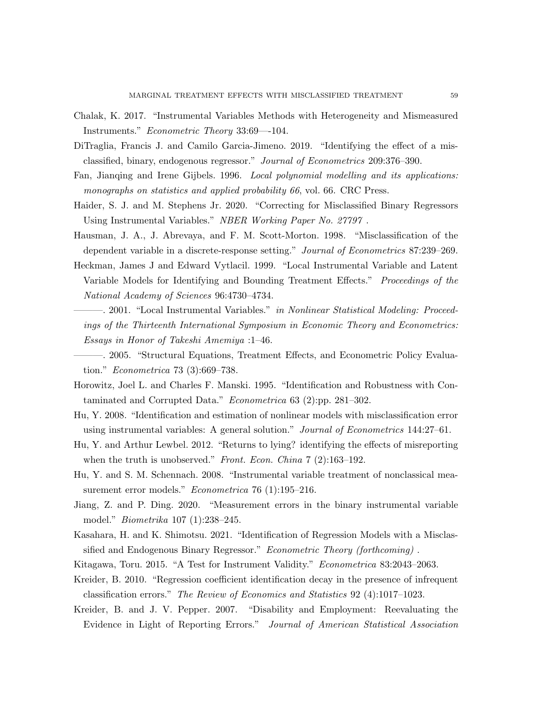- <span id="page-58-5"></span>Chalak, K. 2017. "Instrumental Variables Methods with Heterogeneity and Mismeasured Instruments." Econometric Theory 33:69—-104.
- <span id="page-58-4"></span>DiTraglia, Francis J. and Camilo Garcia-Jimeno. 2019. "Identifying the effect of a misclassified, binary, endogenous regressor." Journal of Econometrics 209:376–390.
- <span id="page-58-16"></span>Fan, Jianqing and Irene Gijbels. 1996. Local polynomial modelling and its applications: monographs on statistics and applied probability 66, vol. 66. CRC Press.
- <span id="page-58-14"></span>Haider, S. J. and M. Stephens Jr. 2020. "Correcting for Misclassified Binary Regressors Using Instrumental Variables." NBER Working Paper No. 27797 .
- <span id="page-58-1"></span>Hausman, J. A., J. Abrevaya, and F. M. Scott-Morton. 1998. "Misclassification of the dependent variable in a discrete-response setting." Journal of Econometrics 87:239–269.
- <span id="page-58-8"></span>Heckman, James J and Edward Vytlacil. 1999. "Local Instrumental Variable and Latent Variable Models for Identifying and Bounding Treatment Effects." Proceedings of the National Academy of Sciences 96:4730–4734.
- <span id="page-58-9"></span>-. 2001. "Local Instrumental Variables." *in Nonlinear Statistical Modeling: Proceed*ings of the Thirteenth International Symposium in Economic Theory and Econometrics: Essays in Honor of Takeshi Amemiya :1–46.
- <span id="page-58-10"></span>———. 2005. "Structural Equations, Treatment Effects, and Econometric Policy Evaluation." Econometrica 73 (3):669–738.
- <span id="page-58-11"></span>Horowitz, Joel L. and Charles F. Manski. 1995. "Identification and Robustness with Contaminated and Corrupted Data." Econometrica 63 (2):pp. 281–302.
- <span id="page-58-2"></span>Hu, Y. 2008. "Identification and estimation of nonlinear models with misclassification error using instrumental variables: A general solution." Journal of Econometrics 144:27–61.
- <span id="page-58-13"></span>Hu, Y. and Arthur Lewbel. 2012. "Returns to lying? identifying the effects of misreporting when the truth is unobserved." Front. Econ. China  $7(2)$ :163-192.
- <span id="page-58-3"></span>Hu, Y. and S. M. Schennach. 2008. "Instrumental variable treatment of nonclassical measurement error models." Econometrica 76 (1):195–216.
- <span id="page-58-6"></span>Jiang, Z. and P. Ding. 2020. "Measurement errors in the binary instrumental variable model." Biometrika 107 (1):238–245.
- <span id="page-58-7"></span>Kasahara, H. and K. Shimotsu. 2021. "Identification of Regression Models with a Misclassified and Endogenous Binary Regressor." Econometric Theory (forthcoming).
- <span id="page-58-15"></span><span id="page-58-0"></span>Kitagawa, Toru. 2015. "A Test for Instrument Validity." Econometrica 83:2043–2063.
- Kreider, B. 2010. "Regression coefficient identification decay in the presence of infrequent classification errors." The Review of Economics and Statistics 92 (4):1017–1023.
- <span id="page-58-12"></span>Kreider, B. and J. V. Pepper. 2007. "Disability and Employment: Reevaluating the Evidence in Light of Reporting Errors." Journal of American Statistical Association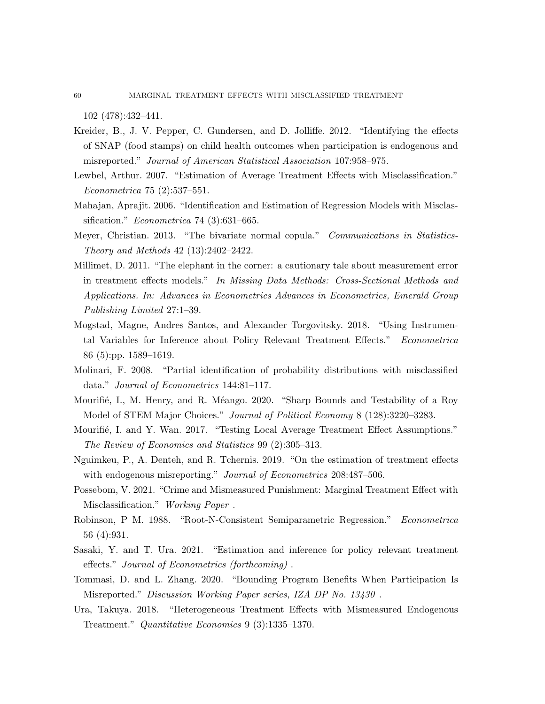102 (478):432–441.

- <span id="page-59-7"></span>Kreider, B., J. V. Pepper, C. Gundersen, and D. Jolliffe. 2012. "Identifying the effects of SNAP (food stamps) on child health outcomes when participation is endogenous and misreported." Journal of American Statistical Association 107:958–975.
- <span id="page-59-4"></span>Lewbel, Arthur. 2007. "Estimation of Average Treatment Effects with Misclassification." Econometrica 75 (2):537–551.
- <span id="page-59-3"></span>Mahajan, Aprajit. 2006. "Identification and Estimation of Regression Models with Misclassification." *Econometrica* 74 (3):631–665.
- <span id="page-59-14"></span>Meyer, Christian. 2013. "The bivariate normal copula." Communications in Statistics-Theory and Methods 42 (13):2402–2422.
- <span id="page-59-6"></span>Millimet, D. 2011. "The elephant in the corner: a cautionary tale about measurement error in treatment effects models." In Missing Data Methods: Cross-Sectional Methods and Applications. In: Advances in Econometrics Advances in Econometrics, Emerald Group Publishing Limited 27:1–39.
- <span id="page-59-9"></span>Mogstad, Magne, Andres Santos, and Alexander Torgovitsky. 2018. "Using Instrumental Variables for Inference about Policy Relevant Treatment Effects." Econometrica 86 (5):pp. 1589–1619.
- <span id="page-59-2"></span>Molinari, F. 2008. "Partial identification of probability distributions with misclassified data." Journal of Econometrics 144:81–117.
- <span id="page-59-10"></span>Mourifié, I., M. Henry, and R. Méango. 2020. "Sharp Bounds and Testability of a Roy Model of STEM Major Choices." Journal of Political Economy 8 (128):3220-3283.
- <span id="page-59-11"></span>Mourifié, I. and Y. Wan. 2017. "Testing Local Average Treatment Effect Assumptions." The Review of Economics and Statistics 99 (2):305–313.
- <span id="page-59-5"></span>Nguimkeu, P., A. Denteh, and R. Tchernis. 2019. "On the estimation of treatment effects with endogenous misreporting." Journal of Econometrics 208:487-506.
- <span id="page-59-8"></span>Possebom, V. 2021. "Crime and Mismeasured Punishment: Marginal Treatment Effect with Misclassification." Working Paper .
- <span id="page-59-12"></span>Robinson, P M. 1988. "Root-N-Consistent Semiparametric Regression." Econometrica 56 (4):931.
- <span id="page-59-13"></span>Sasaki, Y. and T. Ura. 2021. "Estimation and inference for policy relevant treatment effects." Journal of Econometrics (forthcoming) .
- <span id="page-59-1"></span>Tommasi, D. and L. Zhang. 2020. "Bounding Program Benefits When Participation Is Misreported." Discussion Working Paper series, IZA DP No. 13430 .
- <span id="page-59-0"></span>Ura, Takuya. 2018. "Heterogeneous Treatment Effects with Mismeasured Endogenous Treatment." Quantitative Economics 9 (3):1335–1370.